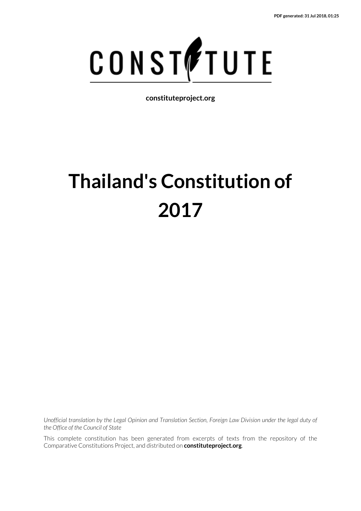

**constituteproject.org**

# **Thailand's Constitution of 2017**

*Unofficial translation by the Legal Opinion and Translation Section, Foreign Law Division under the legal duty of the Office of the Council of State*

This complete constitution has been generated from excerpts of texts from the repository of the Comparative Constitutions Project, and distributed on **constituteproject.org**.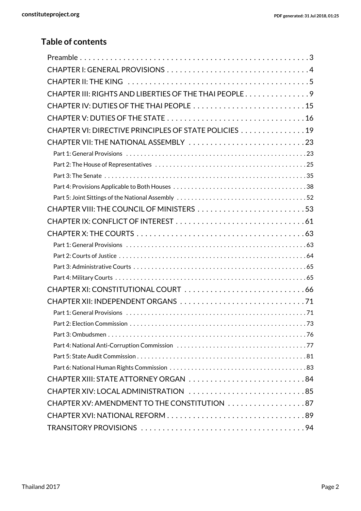### **Table of contents**

| CHAPTER III: RIGHTS AND LIBERTIES OF THE THAI PEOPLE9 |
|-------------------------------------------------------|
| CHAPTER IV: DUTIES OF THE THAI PEOPLE 15              |
|                                                       |
| CHAPTER VI: DIRECTIVE PRINCIPLES OF STATE POLICIES 19 |
| CHAPTER VII: THE NATIONAL ASSEMBLY 23                 |
|                                                       |
|                                                       |
|                                                       |
|                                                       |
|                                                       |
| CHAPTER VIII: THE COUNCIL OF MINISTERS 53             |
|                                                       |
|                                                       |
|                                                       |
|                                                       |
|                                                       |
|                                                       |
|                                                       |
|                                                       |
|                                                       |
|                                                       |
|                                                       |
|                                                       |
|                                                       |
| CHAPTER XIII: STATE ATTORNEY ORGAN 84                 |
|                                                       |
|                                                       |
| CHAPTER XV: AMENDMENT TO THE CONSTITUTION 87          |
|                                                       |
|                                                       |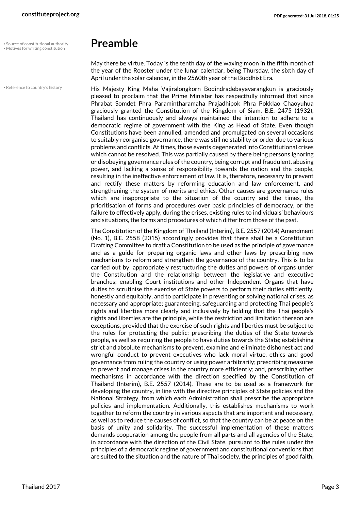• Reference to country's history

# <span id="page-2-0"></span>**Preamble**

May there be virtue. Today is the tenth day of the waxing moon in the fifth month of the year of the Rooster under the lunar calendar, being Thursday, the sixth day of April under the solar calendar, in the 2560th year of the Buddhist Era.

His Majesty King Maha Vajiralongkorn Bodindradebayavarangkun is graciously pleased to proclaim that the Prime Minister has respectfully informed that since Phrabat Somdet Phra Paramintharamaha Prajadhipok Phra Pokklao Chaoyuhua graciously granted the Constitution of the Kingdom of Siam, B.E. 2475 (1932), Thailand has continuously and always maintained the intention to adhere to a democratic regime of government with the King as Head of State. Even though Constitutions have been annulled, amended and promulgated on several occasions to suitably reorganise governance, there was still no stability or order due to various problems and conflicts. At times, those events degenerated into Constitutional crises which cannot be resolved. This was partially caused by there being persons ignoring or disobeying governance rules of the country, being corrupt and fraudulent, abusing power, and lacking a sense of responsibility towards the nation and the people, resulting in the ineffective enforcement of law. It is, therefore, necessary to prevent and rectify these matters by reforming education and law enforcement, and strengthening the system of merits and ethics. Other causes are governance rules which are inappropriate to the situation of the country and the times, the prioritisation of forms and procedures over basic principles of democracy, or the failure to effectively apply, during the crises, existing rules to individuals' behaviours and situations, the forms and procedures of which differ from those of the past.

The Constitution of the Kingdom of Thailand (Interim), B.E. 2557 (2014) Amendment (No. 1), B.E. 2558 (2015) accordingly provides that there shall be a Constitution Drafting Committee to draft a Constitution to be used as the principle of governance and as a guide for preparing organic laws and other laws by prescribing new mechanisms to reform and strengthen the governance of the country. This is to be carried out by: appropriately restructuring the duties and powers of organs under the Constitution and the relationship between the legislative and executive branches; enabling Court institutions and other Independent Organs that have duties to scrutinise the exercise of State powers to perform their duties efficiently, honestly and equitably, and to participate in preventing or solving national crises, as necessary and appropriate; guaranteeing, safeguarding and protecting Thai people's rights and liberties more clearly and inclusively by holding that the Thai people's rights and liberties are the principle, while the restriction and limitation thereon are exceptions, provided that the exercise of such rights and liberties must be subject to the rules for protecting the public; prescribing the duties of the State towards people, as well as requiring the people to have duties towards the State; establishing strict and absolute mechanisms to prevent, examine and eliminate dishonest act and wrongful conduct to prevent executives who lack moral virtue, ethics and good governance from ruling the country or using power arbitrarily; prescribing measures to prevent and manage crises in the country more efficiently; and, prescribing other mechanisms in accordance with the direction specified by the Constitution of Thailand (Interim), B.E. 2557 (2014). These are to be used as a framework for developing the country, in line with the directive principles of State policies and the National Strategy, from which each Administration shall prescribe the appropriate policies and implementation. Additionally, this establishes mechanisms to work together to reform the country in various aspects that are important and necessary, as well as to reduce the causes of conflict, so that the country can be at peace on the basis of unity and solidarity. The successful implementation of these matters demands cooperation among the people from all parts and all agencies of the State, in accordance with the direction of the Civil State, pursuant to the rules under the principles of a democratic regime of government and constitutional conventions that are suited to the situation and the nature of Thai society, the principles of good faith,

<sup>•</sup> • Source of constitutional authority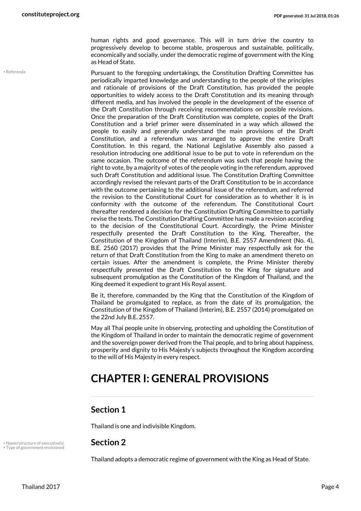human rights and good governance. This will in turn drive the country to progressively develop to become stable, prosperous and sustainable, politically, economically and socially, under the democratic regime of government with the King as Head of State.

• Referenda

Pursuant to the foregoing undertakings, the Constitution Drafting Committee has periodically imparted knowledge and understanding to the people of the principles and rationale of provisions of the Draft Constitution, has provided the people opportunities to widely access to the Draft Constitution and its meaning through different media, and has involved the people in the development of the essence of the Draft Constitution through receiving recommendations on possible revisions. Once the preparation of the Draft Constitution was complete, copies of the Draft Constitution and a brief primer were disseminated in a way which allowed the people to easily and generally understand the main provisions of the Draft Constitution, and a referendum was arranged to approve the entire Draft Constitution. In this regard, the National Legislative Assembly also passed a resolution introducing one additional issue to be put to vote in referendum on the same occasion. The outcome of the referendum was such that people having the right to vote, by a majority of votes of the people voting in the referendum, approved such Draft Constitution and additional issue. The Constitution Drafting Committee accordingly revised the relevant parts of the Draft Constitution to be in accordance with the outcome pertaining to the additional issue of the referendum, and referred the revision to the Constitutional Court for consideration as to whether it is in conformity with the outcome of the referendum. The Constitutional Court thereafter rendered a decision for the Constitution Drafting Committee to partially revise the texts. The Constitution Drafting Committee has made a revision according to the decision of the Constitutional Court. Accordingly, the Prime Minister respectfully presented the Draft Constitution to the King. Thereafter, the Constitution of the Kingdom of Thailand (Interim), B.E. 2557 Amendment (No. 4), B.E. 2560 (2017) provides that the Prime Minister may respectfully ask for the return of that Draft Constitution from the King to make an amendment thereto on certain issues. After the amendment is complete, the Prime Minister thereby respectfully presented the Draft Constitution to the King for signature and subsequent promulgation as the Constitution of the Kingdom of Thailand, and the King deemed it expedient to grant His Royal assent.

Be it, therefore, commanded by the King that the Constitution of the Kingdom of Thailand be promulgated to replace, as from the date of its promulgation, the Constitution of the Kingdom of Thailand (Interim), B.E. 2557 (2014) promulgated on the 22nd July B.E. 2557.

May all Thai people unite in observing, protecting and upholding the Constitution of the Kingdom of Thailand in order to maintain the democratic regime of government and the sovereign power derived from the Thai people, and to bring about happiness, prosperity and dignity to His Majesty's subjects throughout the Kingdom according to the will of His Majesty in every respect.

# <span id="page-3-0"></span>**CHAPTER I: GENERAL PROVISIONS**

#### **Section 1**

Thailand is one and indivisible Kingdom.

# • Name/structure of executive(s) **Section 2** • Type of government envisioned

Thailand adopts a democratic regime of government with the King as Head of State.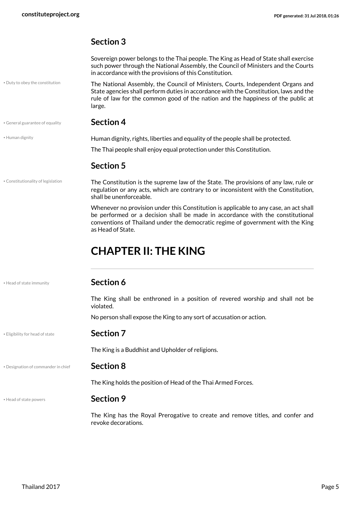**Section 5**

Sovereign power belongs to the Thai people. The King as Head of State shall exercise such power through the National Assembly, the Council of Ministers and the Courts in accordance with the provisions of this Constitution.

The National Assembly, the Council of Ministers, Courts, Independent Organs and State agencies shall perform duties in accordance with the Constitution, laws and the rule of law for the common good of the nation and the happiness of the public at large.

• General guarantee of equality **Section 4**

• Human dignity **Human dignity, rights, liberties and equality of the people shall be protected.** 

• Constitutionality of legislation

• Duty to obey the constitution

The Constitution is the supreme law of the State. The provisions of any law, rule or regulation or any acts, which are contrary to or inconsistent with the Constitution, shall be unenforceable.

The Thai people shall enjoy equal protection under this Constitution.

Whenever no provision under this Constitution is applicable to any case, an act shall be performed or a decision shall be made in accordance with the constitutional conventions of Thailand under the democratic regime of government with the King as Head of State.

# <span id="page-4-0"></span>**CHAPTER II: THE KING**

| • Head of state immunity            | Section 6                                                                                             |
|-------------------------------------|-------------------------------------------------------------------------------------------------------|
|                                     | The King shall be enthroned in a position of revered worship and shall not be<br>violated.            |
|                                     | No person shall expose the King to any sort of accusation or action.                                  |
| • Eligibility for head of state     | <b>Section 7</b>                                                                                      |
|                                     | The King is a Buddhist and Upholder of religions.                                                     |
| • Designation of commander in chief | <b>Section 8</b>                                                                                      |
|                                     | The King holds the position of Head of the Thai Armed Forces.                                         |
| • Head of state powers              | <b>Section 9</b>                                                                                      |
|                                     | The King has the Royal Prerogative to create and remove titles, and confer and<br>revoke decorations. |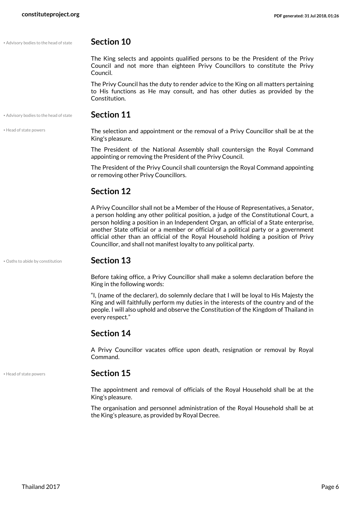• Advisory bodies to the head of state **Section 10**

The King selects and appoints qualified persons to be the President of the Privy Council and not more than eighteen Privy Councillors to constitute the Privy Council.

The Privy Council has the duty to render advice to the King on all matters pertaining to His functions as He may consult, and has other duties as provided by the Constitution.

• Advisory bodies to the head of state **Section 11**

• Head of state powers

The selection and appointment or the removal of a Privy Councillor shall be at the King's pleasure.

The President of the National Assembly shall countersign the Royal Command appointing or removing the President of the Privy Council.

The President of the Privy Council shall countersign the Royal Command appointing or removing other Privy Councillors.

### **Section 12**

A Privy Councillor shall not be a Member of the House of Representatives, a Senator, a person holding any other political position, a judge of the Constitutional Court, a person holding a position in an Independent Organ, an official of a State enterprise, another State official or a member or official of a political party or a government official other than an official of the Royal Household holding a position of Privy Councillor, and shall not manifest loyalty to any political party.

#### • Oaths to abide by constitution **Section 13**

Before taking office, a Privy Councillor shall make a solemn declaration before the King in the following words:

"I, (name of the declarer), do solemnly declare that I will be loyal to His Majesty the King and will faithfully perform my duties in the interests of the country and of the people. I will also uphold and observe the Constitution of the Kingdom of Thailand in every respect."

#### **Section 14**

A Privy Councillor vacates office upon death, resignation or removal by Royal Command.

#### • Head of state powers **Section 15**

The appointment and removal of officials of the Royal Household shall be at the King's pleasure.

The organisation and personnel administration of the Royal Household shall be at the King's pleasure, as provided by Royal Decree.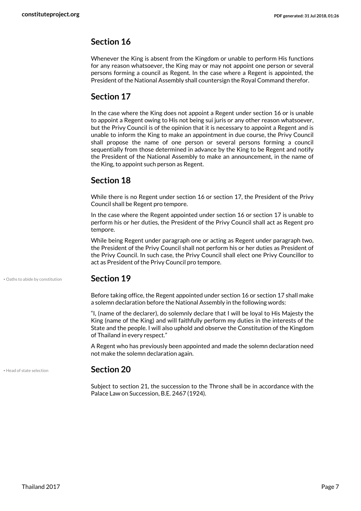Whenever the King is absent from the Kingdom or unable to perform His functions for any reason whatsoever, the King may or may not appoint one person or several persons forming a council as Regent. In the case where a Regent is appointed, the President of the National Assembly shall countersign the Royal Command therefor.

#### **Section 17**

In the case where the King does not appoint a Regent under section 16 or is unable to appoint a Regent owing to His not being sui juris or any other reason whatsoever, but the Privy Council is of the opinion that it is necessary to appoint a Regent and is unable to inform the King to make an appointment in due course, the Privy Council shall propose the name of one person or several persons forming a council sequentially from those determined in advance by the King to be Regent and notify the President of the National Assembly to make an announcement, in the name of the King, to appoint such person as Regent.

#### **Section 18**

While there is no Regent under section 16 or section 17, the President of the Privy Council shall be Regent pro tempore.

In the case where the Regent appointed under section 16 or section 17 is unable to perform his or her duties, the President of the Privy Council shall act as Regent pro tempore.

While being Regent under paragraph one or acting as Regent under paragraph two, the President of the Privy Council shall not perform his or her duties as President of the Privy Council. In such case, the Privy Council shall elect one Privy Councillor to act as President of the Privy Council pro tempore.

#### • Oaths to abide by constitution **Section 19**

Before taking office, the Regent appointed under section 16 or section 17 shall make a solemn declaration before the National Assembly in the following words:

"I, (name of the declarer), do solemnly declare that I will be loyal to His Majesty the King (name of the King) and will faithfully perform my duties in the interests of the State and the people. I will also uphold and observe the Constitution of the Kingdom of Thailand in every respect."

A Regent who has previously been appointed and made the solemn declaration need not make the solemn declaration again.

#### • Head of state selection **Section 20**

Subject to section 21, the succession to the Throne shall be in accordance with the Palace Law on Succession, B.E. 2467 (1924).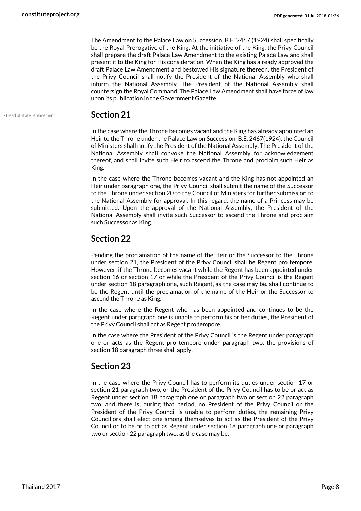The Amendment to the Palace Law on Succession, B.E. 2467 (1924) shall specifically be the Royal Prerogative of the King. At the initiative of the King, the Privy Council shall prepare the draft Palace Law Amendment to the existing Palace Law and shall present it to the King for His consideration. When the King has already approved the draft Palace Law Amendment and bestowed His signature thereon, the President of the Privy Council shall notify the President of the National Assembly who shall inform the National Assembly. The President of the National Assembly shall countersign the Royal Command. The Palace Law Amendment shall have force of law upon its publication in the Government Gazette.

#### • Head of state replacement **Section 21**

In the case where the Throne becomes vacant and the King has already appointed an Heir to the Throne under the Palace Law on Succession, B.E. 2467(1924), the Council of Ministers shall notify the President of the National Assembly. The President of the National Assembly shall convoke the National Assembly for acknowledgement thereof, and shall invite such Heir to ascend the Throne and proclaim such Heir as King.

In the case where the Throne becomes vacant and the King has not appointed an Heir under paragraph one, the Privy Council shall submit the name of the Successor to the Throne under section 20 to the Council of Ministers for further submission to the National Assembly for approval. In this regard, the name of a Princess may be submitted. Upon the approval of the National Assembly, the President of the National Assembly shall invite such Successor to ascend the Throne and proclaim such Successor as King.

#### **Section 22**

Pending the proclamation of the name of the Heir or the Successor to the Throne under section 21, the President of the Privy Council shall be Regent pro tempore. However, if the Throne becomes vacant while the Regent has been appointed under section 16 or section 17 or while the President of the Privy Council is the Regent under section 18 paragraph one, such Regent, as the case may be, shall continue to be the Regent until the proclamation of the name of the Heir or the Successor to ascend the Throne as King.

In the case where the Regent who has been appointed and continues to be the Regent under paragraph one is unable to perform his or her duties, the President of the Privy Council shall act as Regent pro tempore.

In the case where the President of the Privy Council is the Regent under paragraph one or acts as the Regent pro tempore under paragraph two, the provisions of section 18 paragraph three shall apply.

#### **Section 23**

In the case where the Privy Council has to perform its duties under section 17 or section 21 paragraph two, or the President of the Privy Council has to be or act as Regent under section 18 paragraph one or paragraph two or section 22 paragraph two, and there is, during that period, no President of the Privy Council or the President of the Privy Council is unable to perform duties, the remaining Privy Councillors shall elect one among themselves to act as the President of the Privy Council or to be or to act as Regent under section 18 paragraph one or paragraph two or section 22 paragraph two, as the case may be.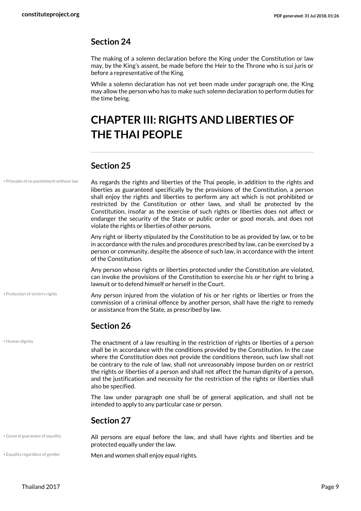The making of a solemn declaration before the King under the Constitution or law may, by the King's assent, be made before the Heir to the Throne who is sui juris or before a representative of the King.

While a solemn declaration has not yet been made under paragraph one, the King may allow the person who has to make such solemn declaration to perform duties for the time being.

# <span id="page-8-0"></span>**CHAPTER III: RIGHTS AND LIBERTIES OF THE THAI PEOPLE**

#### **Section 25**

• Principle of no punishment without law

As regards the rights and liberties of the Thai people, in addition to the rights and liberties as guaranteed specifically by the provisions of the Constitution, a person shall enjoy the rights and liberties to perform any act which is not prohibited or restricted by the Constitution or other laws, and shall be protected by the Constitution, insofar as the exercise of such rights or liberties does not affect or endanger the security of the State or public order or good morals, and does not violate the rights or liberties of other persons.

Any right or liberty stipulated by the Constitution to be as provided by law, or to be in accordance with the rules and procedures prescribed by law, can be exercised by a person or community, despite the absence of such law, in accordance with the intent of the Constitution.

Any person whose rights or liberties protected under the Constitution are violated, can invoke the provisions of the Constitution to exercise his or her right to bring a lawsuit or to defend himself or herself in the Court.

Any person injured from the violation of his or her rights or liberties or from the commission of a criminal offence by another person, shall have the right to remedy or assistance from the State, as prescribed by law.

### **Section 26**

• Human dignity

• Protection of victim's rights

The enactment of a law resulting in the restriction of rights or liberties of a person shall be in accordance with the conditions provided by the Constitution. In the case where the Constitution does not provide the conditions thereon, such law shall not be contrary to the rule of law, shall not unreasonably impose burden on or restrict the rights or liberties of a person and shall not affect the human dignity of a person, and the justification and necessity for the restriction of the rights or liberties shall also be specified.

The law under paragraph one shall be of general application, and shall not be intended to apply to any particular case or person.

### **Section 27**

All persons are equal before the law, and shall have rights and liberties and be protected equally under the law. • General guarantee of equality

. Equality regardless of gender **Men and women shall enjoy equal rights.**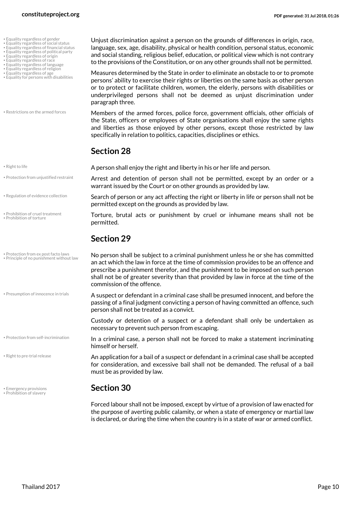- Equality regardless of gender
- Equality regardless of social status Equality regardless of financial status
- Equality regardless of political party
- Equality regardless of origin
- Equality regardless of race
- Equality regardless of language
- Equality regardless of religion Equality regardless of age
- Equality for persons with disabilities

• Restrictions on the armed forces

- Protection from unjustified restraint
- Regulation of evidence collection
- Prohibition of cruel treatment • Prohibition of torture
- Protection from ex post facto laws • Principle of no punishment without law
- Presumption of innocence in trials
- Protection from self-incrimination
- Right to pre-trial release
- Emergency provisions **Section 30** Prohibition of slavery

Unjust discrimination against a person on the grounds of differences in origin, race, language, sex, age, disability, physical or health condition, personal status, economic and social standing, religious belief, education, or political view which is not contrary to the provisions of the Constitution, or on any other grounds shall not be permitted.

Measures determined by the State in order to eliminate an obstacle to or to promote persons' ability to exercise their rights or liberties on the same basis as other person or to protect or facilitate children, women, the elderly, persons with disabilities or underprivileged persons shall not be deemed as unjust discrimination under paragraph three.

Members of the armed forces, police force, government officials, other officials of the State, officers or employees of State organisations shall enjoy the same rights and liberties as those enjoyed by other persons, except those restricted by law specifically in relation to politics, capacities, disciplines or ethics.

#### **Section 28**

**A person shall enjoy the right and liberty in his or her life and person.** A person shall enjoy the right and liberty in his or her life and person.

Arrest and detention of person shall not be permitted, except by an order or a warrant issued by the Court or on other grounds as provided by law.

Search of person or any act affecting the right or liberty in life or person shall not be permitted except on the grounds as provided by law.

Torture, brutal acts or punishment by cruel or inhumane means shall not be permitted.

### **Section 29**

- No person shall be subject to a criminal punishment unless he or she has committed an act which the law in force at the time of commission provides to be an offence and prescribe a punishment therefor, and the punishment to be imposed on such person shall not be of greater severity than that provided by law in force at the time of the commission of the offence.
	- A suspect or defendant in a criminal case shall be presumed innocent, and before the passing of a final judgment convicting a person of having committed an offence, such person shall not be treated as a convict.

Custody or detention of a suspect or a defendant shall only be undertaken as necessary to prevent such person from escaping.

In a criminal case, a person shall not be forced to make a statement incriminating himself or herself.

An application for a bail of a suspect or defendant in a criminal case shall be accepted for consideration, and excessive bail shall not be demanded. The refusal of a bail must be as provided by law.

Forced labour shall not be imposed, except by virtue of a provision of law enacted for the purpose of averting public calamity, or when a state of emergency or martial law is declared, or during the time when the country is in a state of war or armed conflict.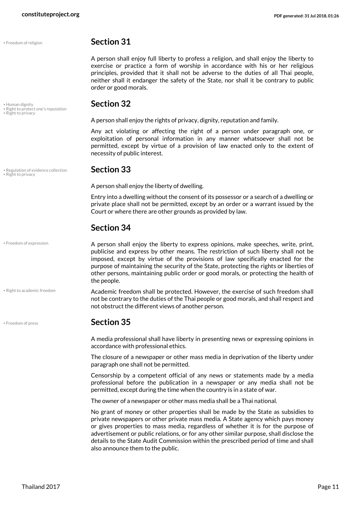• Right to privacy

# • Human dignity **Section 32** • Right to protect one's reputation

order or good morals.

A person shall enjoy the rights of privacy, dignity, reputation and family.

Any act violating or affecting the right of a person under paragraph one, or exploitation of personal information in any manner whatsoever shall not be permitted, except by virtue of a provision of law enacted only to the extent of necessity of public interest.

A person shall enjoy full liberty to profess a religion, and shall enjoy the liberty to exercise or practice a form of worship in accordance with his or her religious principles, provided that it shall not be adverse to the duties of all Thai people, neither shall it endanger the safety of the State, nor shall it be contrary to public

A person shall enjoy the liberty of dwelling.

Entry into a dwelling without the consent of its possessor or a search of a dwelling or private place shall not be permitted, except by an order or a warrant issued by the Court or where there are other grounds as provided by law.

#### **Section 34**

A person shall enjoy the liberty to express opinions, make speeches, write, print, publicise and express by other means. The restriction of such liberty shall not be imposed, except by virtue of the provisions of law specifically enacted for the purpose of maintaining the security of the State, protecting the rights or liberties of other persons, maintaining public order or good morals, or protecting the health of the people.

Academic freedom shall be protected. However, the exercise of such freedom shall not be contrary to the duties of the Thai people or good morals, and shall respect and not obstruct the different views of another person.

#### • Freedom of press **Section 35**

A media professional shall have liberty in presenting news or expressing opinions in accordance with professional ethics.

The closure of a newspaper or other mass media in deprivation of the liberty under paragraph one shall not be permitted.

Censorship by a competent official of any news or statements made by a media professional before the publication in a newspaper or any media shall not be permitted, except during the time when the country is in a state of war.

The owner of a newspaper or other mass media shall be a Thai national.

No grant of money or other properties shall be made by the State as subsidies to private newspapers or other private mass media. A State agency which pays money or gives properties to mass media, regardless of whether it is for the purpose of advertisement or public relations, or for any other similar purpose, shall disclose the details to the State Audit Commission within the prescribed period of time and shall also announce them to the public.

• Regulation of evidence collection **Section 33** • Right to privacy

• Freedom of expression

• Right to academic freedom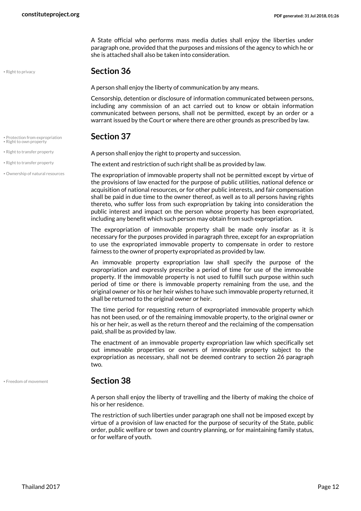A State official who performs mass media duties shall enjoy the liberties under paragraph one, provided that the purposes and missions of the agency to which he or she is attached shall also be taken into consideration.

#### • Right to privacy **Section 36**

A person shall enjoy the liberty of communication by any means.

Censorship, detention or disclosure of information communicated between persons, including any commission of an act carried out to know or obtain information communicated between persons, shall not be permitted, except by an order or a warrant issued by the Court or where there are other grounds as prescribed by law.

• Right to transfer property **A person shall enjoy the right to property and succession.** 

. Right to transfer property **The extent and restriction of such right shall be as provided by law.** 

The expropriation of immovable property shall not be permitted except by virtue of the provisions of law enacted for the purpose of public utilities, national defence or acquisition of national resources, or for other public interests, and fair compensation shall be paid in due time to the owner thereof, as well as to all persons having rights thereto, who suffer loss from such expropriation by taking into consideration the public interest and impact on the person whose property has been expropriated, including any benefit which such person may obtain from such expropriation.

The expropriation of immovable property shall be made only insofar as it is necessary for the purposes provided in paragraph three, except for an expropriation to use the expropriated immovable property to compensate in order to restore fairness to the owner of property expropriated as provided by law.

An immovable property expropriation law shall specify the purpose of the expropriation and expressly prescribe a period of time for use of the immovable property. If the immovable property is not used to fulfill such purpose within such period of time or there is immovable property remaining from the use, and the original owner or his or her heir wishes to have such immovable property returned, it shall be returned to the original owner or heir.

The time period for requesting return of expropriated immovable property which has not been used, or of the remaining immovable property, to the original owner or his or her heir, as well as the return thereof and the reclaiming of the compensation paid, shall be as provided by law.

The enactment of an immovable property expropriation law which specifically set out immovable properties or owners of immovable property subject to the expropriation as necessary, shall not be deemed contrary to section 26 paragraph two.

#### **• Freedom of movement Section 38**

A person shall enjoy the liberty of travelling and the liberty of making the choice of his or her residence.

The restriction of such liberties under paragraph one shall not be imposed except by virtue of a provision of law enacted for the purpose of security of the State, public order, public welfare or town and country planning, or for maintaining family status, or for welfare of youth.

• Protection from expropriation **Section 37** • Right to own property

- 
- 
- Ownership of natural resources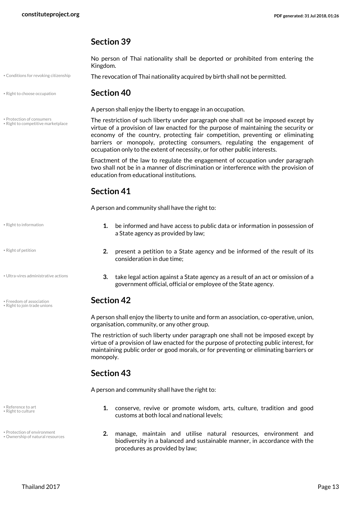No person of Thai nationality shall be deported or prohibited from entering the Kingdom.

• Conditions for revoking citizenship **The revocation of Thai nationality acquired by birth shall not be permitted.** 

• Right to choose occupation **Section 40**

• Protection of consumers • Right to competitive marketplace

The restriction of such liberty under paragraph one shall not be imposed except by virtue of a provision of law enacted for the purpose of maintaining the security or economy of the country, protecting fair competition, preventing or eliminating barriers or monopoly, protecting consumers, regulating the engagement of occupation only to the extent of necessity, or for other public interests.

Enactment of the law to regulate the engagement of occupation under paragraph two shall not be in a manner of discrimination or interference with the provision of education from educational institutions.

### **Section 41**

A person and community shall have the right to:

A person shall enjoy the liberty to engage in an occupation.

- **1.** be informed and have access to public data or information in possession of a State agency as provided by law;
- **2.** present a petition to a State agency and be informed of the result of its consideration in due time;
- **3.** take legal action against a State agency as a result of an act or omission of a government official, official or employee of the State agency.

A person shall enjoy the liberty to unite and form an association, co-operative, union, organisation, community, or any other group.

The restriction of such liberty under paragraph one shall not be imposed except by virtue of a provision of law enacted for the purpose of protecting public interest, for maintaining public order or good morals, or for preventing or eliminating barriers or monopoly.

### **Section 43**

A person and community shall have the right to:

- **1.** conserve, revive or promote wisdom, arts, culture, tradition and good customs at both local and national levels;
- **2.** manage, maintain and utilise natural resources, environment and biodiversity in a balanced and sustainable manner, in accordance with the procedures as provided by law;

• Right to information

• Right of petition

• Ultra-vires administrative actions

• Freedom of association **Section 42** • Right to join trade unions

• Reference to art • Right to culture

• Protection of environment • Ownership of natural resources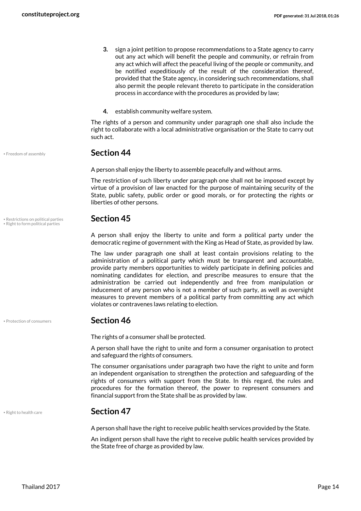- **3.** sign a joint petition to propose recommendations to a State agency to carry out any act which will benefit the people and community, or refrain from any act which will affect the peaceful living of the people or community, and be notified expeditiously of the result of the consideration thereof, provided that the State agency, in considering such recommendations, shall also permit the people relevant thereto to participate in the consideration process in accordance with the procedures as provided by law;
- **4.** establish community welfare system.

The rights of a person and community under paragraph one shall also include the right to collaborate with a local administrative organisation or the State to carry out such act.

#### • Freedom of assembly **Section 44**

A person shall enjoy the liberty to assemble peacefully and without arms.

The restriction of such liberty under paragraph one shall not be imposed except by virtue of a provision of law enacted for the purpose of maintaining security of the State, public safety, public order or good morals, or for protecting the rights or liberties of other persons.

# • Restrictions on political parties **Section 45** • Right to form political parties

A person shall enjoy the liberty to unite and form a political party under the democratic regime of government with the King as Head of State, as provided by law.

The law under paragraph one shall at least contain provisions relating to the administration of a political party which must be transparent and accountable, provide party members opportunities to widely participate in defining policies and nominating candidates for election, and prescribe measures to ensure that the administration be carried out independently and free from manipulation or inducement of any person who is not a member of such party, as well as oversight measures to prevent members of a political party from committing any act which violates or contravenes laws relating to election.

#### • Protection of consumers **Section 46**

The rights of a consumer shall be protected.

A person shall have the right to unite and form a consumer organisation to protect and safeguard the rights of consumers.

The consumer organisations under paragraph two have the right to unite and form an independent organisation to strengthen the protection and safeguarding of the rights of consumers with support from the State. In this regard, the rules and procedures for the formation thereof, the power to represent consumers and financial support from the State shall be as provided by law.

#### • Right to health care **Section 47**

A person shall have the right to receive public health services provided by the State.

An indigent person shall have the right to receive public health services provided by the State free of charge as provided by law.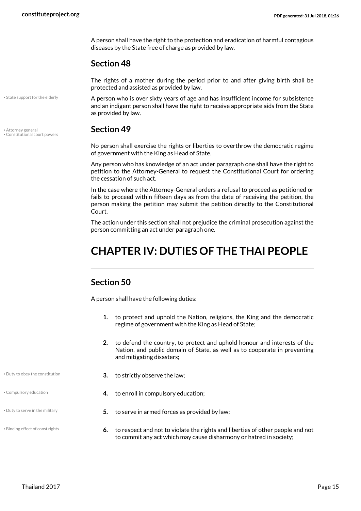• State support for the elderly

A person shall have the right to the protection and eradication of harmful contagious diseases by the State free of charge as provided by law.

#### **Section 48**

The rights of a mother during the period prior to and after giving birth shall be protected and assisted as provided by law.

A person who is over sixty years of age and has insufficient income for subsistence and an indigent person shall have the right to receive appropriate aids from the State as provided by law.

# • Attorney general **Section 49** • Constitutional court powers

No person shall exercise the rights or liberties to overthrow the democratic regime of government with the King as Head of State.

Any person who has knowledge of an act under paragraph one shall have the right to petition to the Attorney-General to request the Constitutional Court for ordering the cessation of such act.

In the case where the Attorney-General orders a refusal to proceed as petitioned or fails to proceed within fifteen days as from the date of receiving the petition, the person making the petition may submit the petition directly to the Constitutional Court.

The action under this section shall not prejudice the criminal prosecution against the person committing an act under paragraph one.

# **CHAPTER IV: DUTIES OF THE THAI PEOPLE**

### **Section 50**

A person shall have the following duties:

- <span id="page-14-0"></span>**1.** to protect and uphold the Nation, religions, the King and the democratic regime of government with the King as Head of State;
- **2.** to defend the country, to protect and uphold honour and interests of the Nation, and public domain of State, as well as to cooperate in preventing and mitigating disasters;
- Duty to obey the constitution **3.** to strictly observe the law;
	-
- Compulsory education **4. to enroll in compulsory education;**
- 
- Binding effect of const rights
- 
- Duty to serve in the military **5.** to serve in armed forces as provided by law;
	- **6.** to respect and not to violate the rights and liberties of other people and not to commit any act which may cause disharmony or hatred in society;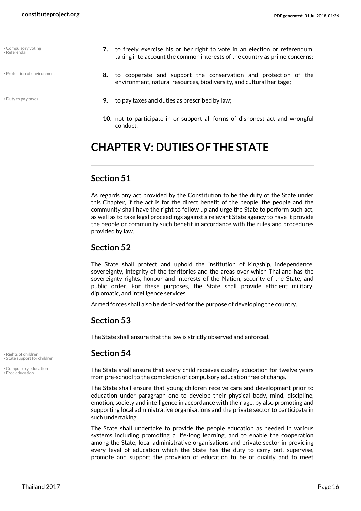• Compulsory voting • Referenda

- Protection of environment
- 
- **7.** to freely exercise his or her right to vote in an election or referendum, taking into account the common interests of the country as prime concerns;
- <span id="page-15-0"></span>**8.** to cooperate and support the conservation and protection of the environment, natural resources, biodiversity, and cultural heritage;
- Duty to pay taxes **9.** to pay taxes and duties as prescribed by law;
	- **10.** not to participate in or support all forms of dishonest act and wrongful conduct.

# **CHAPTER V: DUTIES OF THE STATE**

### **Section 51**

As regards any act provided by the Constitution to be the duty of the State under this Chapter, if the act is for the direct benefit of the people, the people and the community shall have the right to follow up and urge the State to perform such act, as well as to take legal proceedings against a relevant State agency to have it provide the people or community such benefit in accordance with the rules and procedures provided by law.

### **Section 52**

The State shall protect and uphold the institution of kingship, independence, sovereignty, integrity of the territories and the areas over which Thailand has the sovereignty rights, honour and interests of the Nation, security of the State, and public order. For these purposes, the State shall provide efficient military, diplomatic, and intelligence services.

Armed forces shall also be deployed for the purpose of developing the country.

#### **Section 53**

The State shall ensure that the law is strictly observed and enforced.

The State shall ensure that every child receives quality education for twelve years from pre-school to the completion of compulsory education free of charge.

The State shall ensure that young children receive care and development prior to education under paragraph one to develop their physical body, mind, discipline, emotion, society and intelligence in accordance with their age, by also promoting and supporting local administrative organisations and the private sector to participate in such undertaking.

The State shall undertake to provide the people education as needed in various systems including promoting a life-long learning, and to enable the cooperation among the State, local administrative organisations and private sector in providing every level of education which the State has the duty to carry out, supervise, promote and support the provision of education to be of quality and to meet

• Rights of children **Section 54** • State support for children

• Compulsory education • Free education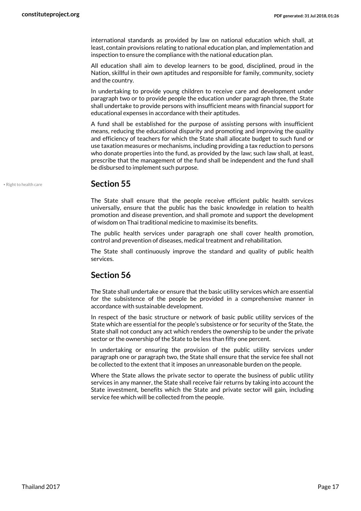international standards as provided by law on national education which shall, at least, contain provisions relating to national education plan, and implementation and inspection to ensure the compliance with the national education plan.

All education shall aim to develop learners to be good, disciplined, proud in the Nation, skillful in their own aptitudes and responsible for family, community, society and the country.

In undertaking to provide young children to receive care and development under paragraph two or to provide people the education under paragraph three, the State shall undertake to provide persons with insufficient means with financial support for educational expenses in accordance with their aptitudes.

A fund shall be established for the purpose of assisting persons with insufficient means, reducing the educational disparity and promoting and improving the quality and efficiency of teachers for which the State shall allocate budget to such fund or use taxation measures or mechanisms, including providing a tax reduction to persons who donate properties into the fund, as provided by the law; such law shall, at least, prescribe that the management of the fund shall be independent and the fund shall be disbursed to implement such purpose.

#### • Right to health care **Section 55**

The State shall ensure that the people receive efficient public health services universally, ensure that the public has the basic knowledge in relation to health promotion and disease prevention, and shall promote and support the development of wisdom on Thai traditional medicine to maximise its benefits.

The public health services under paragraph one shall cover health promotion, control and prevention of diseases, medical treatment and rehabilitation.

The State shall continuously improve the standard and quality of public health services.

#### **Section 56**

The State shall undertake or ensure that the basic utility services which are essential for the subsistence of the people be provided in a comprehensive manner in accordance with sustainable development.

In respect of the basic structure or network of basic public utility services of the State which are essential for the people's subsistence or for security of the State, the State shall not conduct any act which renders the ownership to be under the private sector or the ownership of the State to be less than fifty one percent.

In undertaking or ensuring the provision of the public utility services under paragraph one or paragraph two, the State shall ensure that the service fee shall not be collected to the extent that it imposes an unreasonable burden on the people.

Where the State allows the private sector to operate the business of public utility services in any manner, the State shall receive fair returns by taking into account the State investment, benefits which the State and private sector will gain, including service fee which will be collected from the people.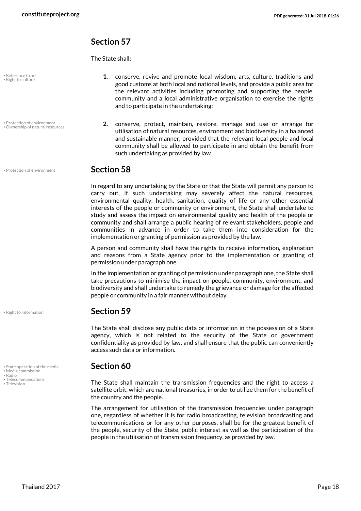#### The State shall:

• Reference to art • Right to culture

• Protection of environment • Ownership of natural resources

- State operation of the media **Section 60** Media commission
- 
- Radio
- Telecommunications<br>• Television
- **1.** conserve, revive and promote local wisdom, arts, culture, traditions and good customs at both local and national levels, and provide a public area for the relevant activities including promoting and supporting the people, community and a local administrative organisation to exercise the rights and to participate in the undertaking;
- **2.** conserve, protect, maintain, restore, manage and use or arrange for utilisation of natural resources, environment and biodiversity in a balanced and sustainable manner, provided that the relevant local people and local community shall be allowed to participate in and obtain the benefit from such undertaking as provided by law.

#### **• Protection of environment Section 58**

In regard to any undertaking by the State or that the State will permit any person to carry out, if such undertaking may severely affect the natural resources, environmental quality, health, sanitation, quality of life or any other essential interests of the people or community or environment, the State shall undertake to study and assess the impact on environmental quality and health of the people or community and shall arrange a public hearing of relevant stakeholders, people and communities in advance in order to take them into consideration for the implementation or granting of permission as provided by the law.

A person and community shall have the rights to receive information, explanation and reasons from a State agency prior to the implementation or granting of permission under paragraph one.

In the implementation or granting of permission under paragraph one, the State shall take precautions to minimise the impact on people, community, environment, and biodiversity and shall undertake to remedy the grievance or damage for the affected people or community in a fair manner without delay.

### • Right to information **Section 59**

The State shall disclose any public data or information in the possession of a State agency, which is not related to the security of the State or government confidentiality as provided by law, and shall ensure that the public can conveniently access such data or information.

The State shall maintain the transmission frequencies and the right to access a satellite orbit, which are national treasuries, in order to utilize them for the benefit of the country and the people.

The arrangement for utilisation of the transmission frequencies under paragraph one, regardless of whether it is for radio broadcasting, television broadcasting and telecommunications or for any other purposes, shall be for the greatest benefit of the people, security of the State, public interest as well as the participation of the people in the utilisation of transmission frequency, as provided by law.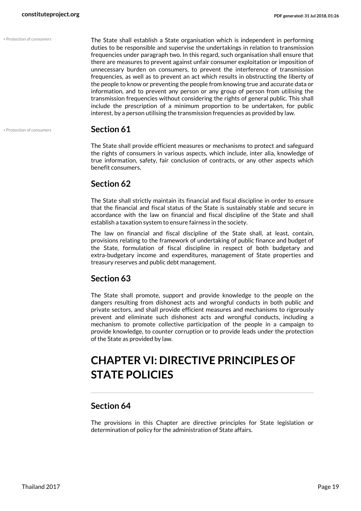• Protection of consumers

The State shall establish a State organisation which is independent in performing duties to be responsible and supervise the undertakings in relation to transmission frequencies under paragraph two. In this regard, such organisation shall ensure that there are measures to prevent against unfair consumer exploitation or imposition of unnecessary burden on consumers, to prevent the interference of transmission frequencies, as well as to prevent an act which results in obstructing the liberty of the people to know or preventing the people from knowing true and accurate data or information, and to prevent any person or any group of person from utilising the transmission frequencies without considering the rights of general public. This shall include the prescription of a minimum proportion to be undertaken, for public interest, by a person utilising the transmission frequencies as provided by law.

• Protection of consumers **Section 61**

The State shall provide efficient measures or mechanisms to protect and safeguard the rights of consumers in various aspects, which include, inter alia, knowledge of true information, safety, fair conclusion of contracts, or any other aspects which benefit consumers.

#### **Section 62**

The State shall strictly maintain its financial and fiscal discipline in order to ensure that the financial and fiscal status of the State is sustainably stable and secure in accordance with the law on financial and fiscal discipline of the State and shall establish a taxation system to ensure fairness in the society.

The law on financial and fiscal discipline of the State shall, at least, contain, provisions relating to the framework of undertaking of public finance and budget of the State, formulation of fiscal discipline in respect of both budgetary and extra-budgetary income and expenditures, management of State properties and treasury reserves and public debt management.

#### **Section 63**

The State shall promote, support and provide knowledge to the people on the dangers resulting from dishonest acts and wrongful conducts in both public and private sectors, and shall provide efficient measures and mechanisms to rigorously prevent and eliminate such dishonest acts and wrongful conducts, including a mechanism to promote collective participation of the people in a campaign to provide knowledge, to counter corruption or to provide leads under the protection of the State as provided by law.

# <span id="page-18-0"></span>**CHAPTER VI: DIRECTIVE PRINCIPLES OF STATE POLICIES**

#### **Section 64**

The provisions in this Chapter are directive principles for State legislation or determination of policy for the administration of State affairs.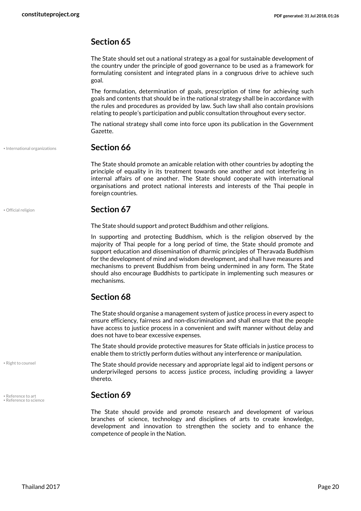The State should set out a national strategy as a goal for sustainable development of the country under the principle of good governance to be used as a framework for formulating consistent and integrated plans in a congruous drive to achieve such goal.

The formulation, determination of goals, prescription of time for achieving such goals and contents that should be in the national strategy shall be in accordance with the rules and procedures as provided by law. Such law shall also contain provisions relating to people's participation and public consultation throughout every sector.

The national strategy shall come into force upon its publication in the Government Gazette.

• International organizations **Section 66**

The State should promote an amicable relation with other countries by adopting the principle of equality in its treatment towards one another and not interfering in internal affairs of one another. The State should cooperate with international organisations and protect national interests and interests of the Thai people in foreign countries.

#### • Official religion **Section 67**

The State should support and protect Buddhism and other religions.

In supporting and protecting Buddhism, which is the religion observed by the majority of Thai people for a long period of time, the State should promote and support education and dissemination of dharmic principles of Theravada Buddhism for the development of mind and wisdom development, and shall have measures and mechanisms to prevent Buddhism from being undermined in any form. The State should also encourage Buddhists to participate in implementing such measures or mechanisms.

### **Section 68**

The State should organise a management system of justice process in every aspect to ensure efficiency, fairness and non-discrimination and shall ensure that the people have access to justice process in a convenient and swift manner without delay and does not have to bear excessive expenses.

The State should provide protective measures for State officials in justice process to enable them to strictly perform duties without any interference or manipulation.

The State should provide necessary and appropriate legal aid to indigent persons or underprivileged persons to access justice process, including providing a lawyer thereto.

# • Reference to art **Section 69** • Reference to science

The State should provide and promote research and development of various branches of science, technology and disciplines of arts to create knowledge, development and innovation to strengthen the society and to enhance the competence of people in the Nation.

• Right to counsel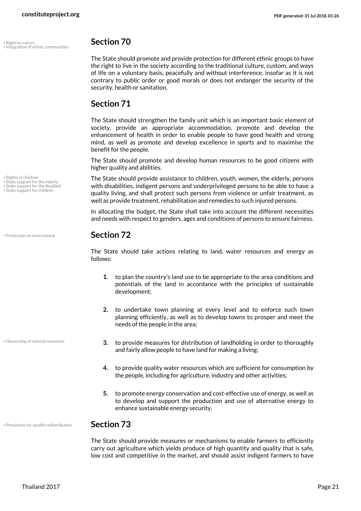The State should promote and provide protection for different ethnic groups to have the right to live in the society according to the traditional culture, custom, and ways of life on a voluntary basis, peacefully and without interference, insofar as it is not contrary to public order or good morals or does not endanger the security of the security, health or sanitation.

### **Section 71**

The State should strengthen the family unit which is an important basic element of society, provide an appropriate accommodation, promote and develop the enhancement of health in order to enable people to have good health and strong mind, as well as promote and develop excellence in sports and to maximise the benefit for the people.

The State should promote and develop human resources to be good citizens with higher quality and abilities.

The State should provide assistance to children, youth, women, the elderly, persons with disabilities, indigent persons and underprivileged persons to be able to have a quality living, and shall protect such persons from violence or unfair treatment, as well as provide treatment, rehabilitation and remedies to such injured persons.

In allocating the budget, the State shall take into account the different necessities and needs with respect to genders, ages and conditions of persons to ensure fairness.

#### **• Protection of environment Section 72**

The State should take actions relating to land, water resources and energy as follows:

- **1.** to plan the country's land use to be appropriate to the area conditions and potentials of the land in accordance with the principles of sustainable development;
- **2.** to undertake town planning at every level and to enforce such town planning efficiently, as well as to develop towns to prosper and meet the needs of the people in the area;
- **3.** to provide measures for distribution of landholding in order to thoroughly and fairly allow people to have land for making a living;
- **4.** to provide quality water resources which are sufficient for consumption by the people, including for agriculture, industry and other activities;
- **5.** to promote energy conservation and cost-effective use of energy, as well as to develop and support the production and use of alternative energy to enhance sustainable energy security.

#### • Provisions for wealth redistribution **Section 73**

The State should provide measures or mechanisms to enable farmers to efficiently carry out agriculture which yields produce of high quantity and quality that is safe, low cost and competitive in the market, and should assist indigent farmers to have

• Rights of children

• State support for the elderly • State support for the disabled

• State support for children

• Ownership of natural resources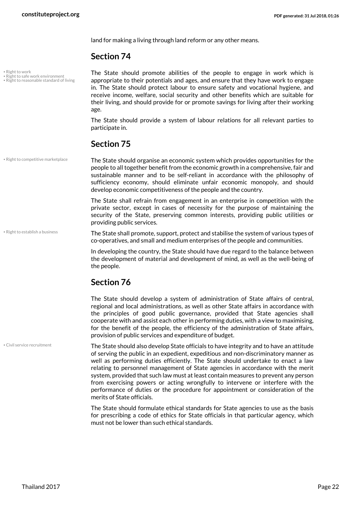land for making a living through land reform or any other means.

#### **Section 74**

• Right to work

• Right to safe work environment • Right to reasonable standard of living

The State should promote abilities of the people to engage in work which is appropriate to their potentials and ages, and ensure that they have work to engage in. The State should protect labour to ensure safety and vocational hygiene, and receive income, welfare, social security and other benefits which are suitable for their living, and should provide for or promote savings for living after their working age.

The State should provide a system of labour relations for all relevant parties to participate in.

### **Section 75**

• Right to competitive marketplace

The State should organise an economic system which provides opportunities for the people to all together benefit from the economic growth in a comprehensive, fair and sustainable manner and to be self-reliant in accordance with the philosophy of sufficiency economy, should eliminate unfair economic monopoly, and should develop economic competitiveness of the people and the country.

The State shall refrain from engagement in an enterprise in competition with the private sector, except in cases of necessity for the purpose of maintaining the security of the State, preserving common interests, providing public utilities or providing public services.

The State shall promote, support, protect and stabilise the system of various types of co-operatives, and small and medium enterprises of the people and communities.

In developing the country, the State should have due regard to the balance between the development of material and development of mind, as well as the well-being of the people.

### **Section 76**

The State should develop a system of administration of State affairs of central, regional and local administrations, as well as other State affairs in accordance with the principles of good public governance, provided that State agencies shall cooperate with and assist each other in performing duties, with a view to maximising, for the benefit of the people, the efficiency of the administration of State affairs, provision of public services and expenditure of budget.

The State should also develop State officials to have integrity and to have an attitude of serving the public in an expedient, expeditious and non-discriminatory manner as well as performing duties efficiently. The State should undertake to enact a law relating to personnel management of State agencies in accordance with the merit system, provided that such law must at least contain measures to prevent any person from exercising powers or acting wrongfully to intervene or interfere with the performance of duties or the procedure for appointment or consideration of the merits of State officials.

The State should formulate ethical standards for State agencies to use as the basis for prescribing a code of ethics for State officials in that particular agency, which must not be lower than such ethical standards.

• Right to establish a business

• Civil service recruitment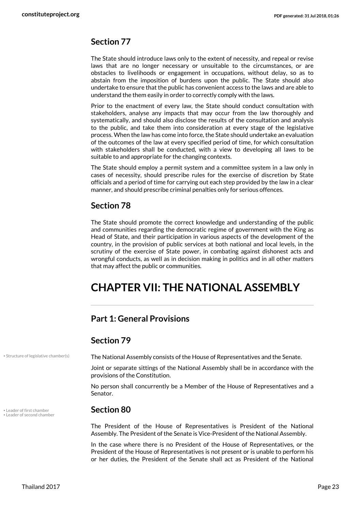The State should introduce laws only to the extent of necessity, and repeal or revise laws that are no longer necessary or unsuitable to the circumstances, or are obstacles to livelihoods or engagement in occupations, without delay, so as to abstain from the imposition of burdens upon the public. The State should also undertake to ensure that the public has convenient access to the laws and are able to understand the them easily in order to correctly comply with the laws.

Prior to the enactment of every law, the State should conduct consultation with stakeholders, analyse any impacts that may occur from the law thoroughly and systematically, and should also disclose the results of the consultation and analysis to the public, and take them into consideration at every stage of the legislative process. When the law has come into force, the State should undertake an evaluation of the outcomes of the law at every specified period of time, for which consultation with stakeholders shall be conducted, with a view to developing all laws to be suitable to and appropriate for the changing contexts.

The State should employ a permit system and a committee system in a law only in cases of necessity, should prescribe rules for the exercise of discretion by State officials and a period of time for carrying out each step provided by the law in a clear manner, and should prescribe criminal penalties only for serious offences.

#### **Section 78**

The State should promote the correct knowledge and understanding of the public and communities regarding the democratic regime of government with the King as Head of State, and their participation in various aspects of the development of the country, in the provision of public services at both national and local levels, in the scrutiny of the exercise of State power, in combating against dishonest acts and wrongful conducts, as well as in decision making in politics and in all other matters that may affect the public or communities.

# <span id="page-22-0"></span>**CHAPTER VII: THE NATIONAL ASSEMBLY**

### <span id="page-22-1"></span>**Part 1: General Provisions**

#### **Section 79**

• Structure of legislative chamber(s) The National Assembly consists of the House of Representatives and the Senate.

Joint or separate sittings of the National Assembly shall be in accordance with the provisions of the Constitution.

No person shall concurrently be a Member of the House of Representatives and a Senator.

# • Leader of first chamber **Section 80** • Leader of second chamber

The President of the House of Representatives is President of the National Assembly. The President of the Senate is Vice-President of the National Assembly.

In the case where there is no President of the House of Representatives, or the President of the House of Representatives is not present or is unable to perform his or her duties, the President of the Senate shall act as President of the National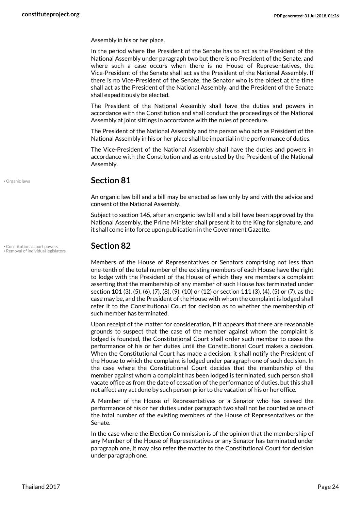Assembly in his or her place.

In the period where the President of the Senate has to act as the President of the National Assembly under paragraph two but there is no President of the Senate, and where such a case occurs when there is no House of Representatives, the Vice-President of the Senate shall act as the President of the National Assembly. If there is no Vice-President of the Senate, the Senator who is the oldest at the time shall act as the President of the National Assembly, and the President of the Senate shall expeditiously be elected.

The President of the National Assembly shall have the duties and powers in accordance with the Constitution and shall conduct the proceedings of the National Assembly at joint sittings in accordance with the rules of procedure.

The President of the National Assembly and the person who acts as President of the National Assembly in his or her place shall be impartial in the performance of duties.

The Vice-President of the National Assembly shall have the duties and powers in accordance with the Constitution and as entrusted by the President of the National Assembly.

#### • Organic laws **Section 81**

An organic law bill and a bill may be enacted as law only by and with the advice and consent of the National Assembly.

Subject to section 145, after an organic law bill and a bill have been approved by the National Assembly, the Prime Minister shall present it to the King for signature, and it shall come into force upon publication in the Government Gazette.

# • Constitutional court powers **Section 82** • Removal of individual legislators

Members of the House of Representatives or Senators comprising not less than one-tenth of the total number of the existing members of each House have the right to lodge with the President of the House of which they are members a complaint asserting that the membership of any member of such House has terminated under section 101 (3), (5), (6), (7), (8), (9), (10) or (12) or section 111 (3), (4), (5) or (7), as the case may be, and the President of the House with whom the complaint is lodged shall refer it to the Constitutional Court for decision as to whether the membership of such member has terminated.

Upon receipt of the matter for consideration, if it appears that there are reasonable grounds to suspect that the case of the member against whom the complaint is lodged is founded, the Constitutional Court shall order such member to cease the performance of his or her duties until the Constitutional Court makes a decision. When the Constitutional Court has made a decision, it shall notify the President of the House to which the complaint is lodged under paragraph one of such decision. In the case where the Constitutional Court decides that the membership of the member against whom a complaint has been lodged is terminated, such person shall vacate office as from the date of cessation of the performance of duties, but this shall not affect any act done by such person prior to the vacation of his or her office.

A Member of the House of Representatives or a Senator who has ceased the performance of his or her duties under paragraph two shall not be counted as one of the total number of the existing members of the House of Representatives or the Senate.

In the case where the Election Commission is of the opinion that the membership of any Member of the House of Representatives or any Senator has terminated under paragraph one, it may also refer the matter to the Constitutional Court for decision under paragraph one.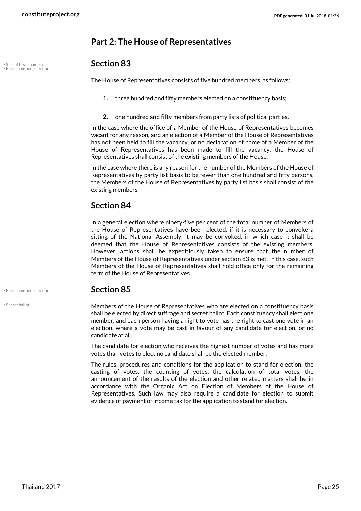#### <span id="page-24-0"></span>**Part 2: The House of Representatives**

# • Size of first chamber **Section 83** • First chamber selection

The House of Representatives consists of five hundred members, as follows:

- **1.** three hundred and fifty members elected on a constituency basis;
- **2.** one hundred and fifty members from party lists of political parties.

In the case where the office of a Member of the House of Representatives becomes vacant for any reason, and an election of a Member of the House of Representatives has not been held to fill the vacancy, or no declaration of name of a Member of the House of Representatives has been made to fill the vacancy, the House of Representatives shall consist of the existing members of the House.

In the case where there is any reason for the number of the Members of the House of Representatives by party list basis to be fewer than one hundred and fifty persons, the Members of the House of Representatives by party list basis shall consist of the existing members.

### **Section 84**

In a general election where ninety-five per cent of the total number of Members of the House of Representatives have been elected, if it is necessary to convoke a sitting of the National Assembly, it may be convoked, in which case it shall be deemed that the House of Representatives consists of the existing members. However, actions shall be expeditiously taken to ensure that the number of Members of the House of Representatives under section 83 is met. In this case, such Members of the House of Representatives shall hold office only for the remaining term of the House of Representatives.

• First chamber selection **Section 85**

• Secret ballot

Members of the House of Representatives who are elected on a constituency basis shall be elected by direct suffrage and secret ballot. Each constituency shall elect one member, and each person having a right to vote has the right to cast one vote in an election, where a vote may be cast in favour of any candidate for election, or no candidate at all.

The candidate for election who receives the highest number of votes and has more votes than votes to elect no candidate shall be the elected member.

The rules, procedures and conditions for the application to stand for election, the casting of votes, the counting of votes, the calculation of total votes, the announcement of the results of the election and other related matters shall be in accordance with the Organic Act on Election of Members of the House of Representatives. Such law may also require a candidate for election to submit evidence of payment of income tax for the application to stand for election.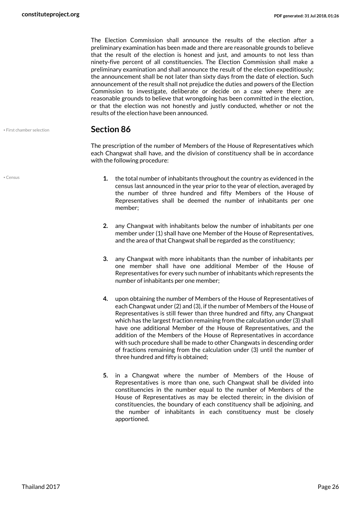The Election Commission shall announce the results of the election after a preliminary examination has been made and there are reasonable grounds to believe that the result of the election is honest and just, and amounts to not less than ninety-five percent of all constituencies. The Election Commission shall make a preliminary examination and shall announce the result of the election expeditiously; the announcement shall be not later than sixty days from the date of election. Such announcement of the result shall not prejudice the duties and powers of the Election Commission to investigate, deliberate or decide on a case where there are reasonable grounds to believe that wrongdoing has been committed in the election, or that the election was not honestly and justly conducted, whether or not the results of the election have been announced.

#### • First chamber selection **Section 86**

The prescription of the number of Members of the House of Representatives which each Changwat shall have, and the division of constituency shall be in accordance with the following procedure:

- **1.** the total number of inhabitants throughout the country as evidenced in the census last announced in the year prior to the year of election, averaged by the number of three hundred and fifty Members of the House of Representatives shall be deemed the number of inhabitants per one member;
- **2.** any Changwat with inhabitants below the number of inhabitants per one member under (1) shall have one Member of the House of Representatives, and the area of that Changwat shall be regarded as the constituency;
- **3.** any Changwat with more inhabitants than the number of inhabitants per one member shall have one additional Member of the House of Representatives for every such number of inhabitants which represents the number of inhabitants per one member;
- **4.** upon obtaining the number of Members of the House of Representatives of each Changwat under (2) and (3), if the number of Members of the House of Representatives is still fewer than three hundred and fifty, any Changwat which has the largest fraction remaining from the calculation under (3) shall have one additional Member of the House of Representatives, and the addition of the Members of the House of Representatives in accordance with such procedure shall be made to other Changwats in descending order of fractions remaining from the calculation under (3) until the number of three hundred and fifty is obtained;
- **5.** in a Changwat where the number of Members of the House of Representatives is more than one, such Changwat shall be divided into constituencies in the number equal to the number of Members of the House of Representatives as may be elected therein; in the division of constituencies, the boundary of each constituency shall be adjoining, and the number of inhabitants in each constituency must be closely apportioned.

• Census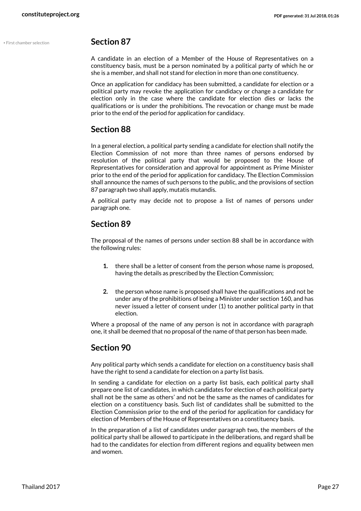#### • First chamber selection **Section 87**

A candidate in an election of a Member of the House of Representatives on a constituency basis, must be a person nominated by a political party of which he or she is a member, and shall not stand for election in more than one constituency.

Once an application for candidacy has been submitted, a candidate for election or a political party may revoke the application for candidacy or change a candidate for election only in the case where the candidate for election dies or lacks the qualifications or is under the prohibitions. The revocation or change must be made prior to the end of the period for application for candidacy.

#### **Section 88**

In a general election, a political party sending a candidate for election shall notify the Election Commission of not more than three names of persons endorsed by resolution of the political party that would be proposed to the House of Representatives for consideration and approval for appointment as Prime Minister prior to the end of the period for application for candidacy. The Election Commission shall announce the names of such persons to the public, and the provisions of section 87 paragraph two shall apply, mutatis mutandis.

A political party may decide not to propose a list of names of persons under paragraph one.

#### **Section 89**

The proposal of the names of persons under section 88 shall be in accordance with the following rules:

- **1.** there shall be a letter of consent from the person whose name is proposed, having the details as prescribed by the Election Commission;
- **2.** the person whose name is proposed shall have the qualifications and not be under any of the prohibitions of being a Minister under section 160, and has never issued a letter of consent under (1) to another political party in that election.

Where a proposal of the name of any person is not in accordance with paragraph one, it shall be deemed that no proposal of the name of that person has been made.

### **Section 90**

Any political party which sends a candidate for election on a constituency basis shall have the right to send a candidate for election on a party list basis.

In sending a candidate for election on a party list basis, each political party shall prepare one list of candidates, in which candidates for election of each political party shall not be the same as others' and not be the same as the names of candidates for election on a constituency basis. Such list of candidates shall be submitted to the Election Commission prior to the end of the period for application for candidacy for election of Members of the House of Representatives on a constituency basis.

In the preparation of a list of candidates under paragraph two, the members of the political party shall be allowed to participate in the deliberations, and regard shall be had to the candidates for election from different regions and equality between men and women.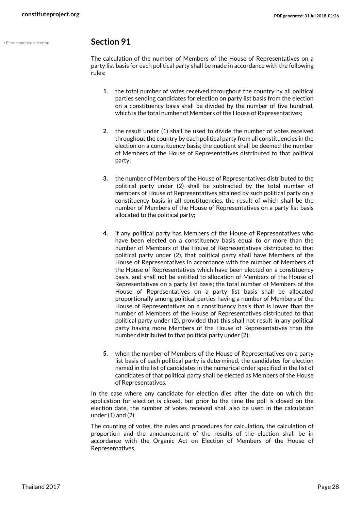#### • First chamber selection **Section 91**

The calculation of the number of Members of the House of Representatives on a party list basis for each political party shall be made in accordance with the following rules:

- **1.** the total number of votes received throughout the country by all political parties sending candidates for election on party list basis from the election on a constituency basis shall be divided by the number of five hundred, which is the total number of Members of the House of Representatives;
- **2.** the result under (1) shall be used to divide the number of votes received throughout the country by each political party from all constituencies in the election on a constituency basis; the quotient shall be deemed the number of Members of the House of Representatives distributed to that political party;
- **3.** the number of Members of the House of Representatives distributed to the political party under (2) shall be subtracted by the total number of members of House of Representatives attained by such political party on a constituency basis in all constituencies, the result of which shall be the number of Members of the House of Representatives on a party list basis allocated to the political party;
- **4.** if any political party has Members of the House of Representatives who have been elected on a constituency basis equal to or more than the number of Members of the House of Representatives distributed to that political party under (2), that political party shall have Members of the House of Representatives in accordance with the number of Members of the House of Representatives which have been elected on a constituency basis, and shall not be entitled to allocation of Members of the House of Representatives on a party list basis; the total number of Members of the House of Representatives on a party list basis shall be allocated proportionally among political parties having a number of Members of the House of Representatives on a constituency basis that is lower than the number of Members of the House of Representatives distributed to that political party under (2), provided that this shall not result in any political party having more Members of the House of Representatives than the number distributed to that political party under (2);
- **5.** when the number of Members of the House of Representatives on a party list basis of each political party is determined, the candidates for election named in the list of candidates in the numerical order specified in the list of candidates of that political party shall be elected as Members of the House of Representatives.

In the case where any candidate for election dies after the date on which the application for election is closed, but prior to the time the poll is closed on the election date, the number of votes received shall also be used in the calculation under (1) and (2).

The counting of votes, the rules and procedures for calculation, the calculation of proportion and the announcement of the results of the election shall be in accordance with the Organic Act on Election of Members of the House of Representatives.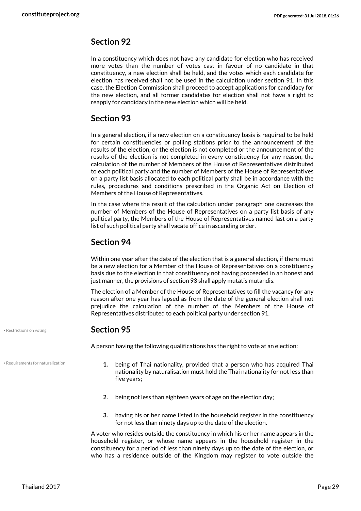In a constituency which does not have any candidate for election who has received more votes than the number of votes cast in favour of no candidate in that constituency, a new election shall be held, and the votes which each candidate for election has received shall not be used in the calculation under section 91. In this case, the Election Commission shall proceed to accept applications for candidacy for the new election, and all former candidates for election shall not have a right to reapply for candidacy in the new election which will be held.

#### **Section 93**

In a general election, if a new election on a constituency basis is required to be held for certain constituencies or polling stations prior to the announcement of the results of the election, or the election is not completed or the announcement of the results of the election is not completed in every constituency for any reason, the calculation of the number of Members of the House of Representatives distributed to each political party and the number of Members of the House of Representatives on a party list basis allocated to each political party shall be in accordance with the rules, procedures and conditions prescribed in the Organic Act on Election of Members of the House of Representatives.

In the case where the result of the calculation under paragraph one decreases the number of Members of the House of Representatives on a party list basis of any political party, the Members of the House of Representatives named last on a party list of such political party shall vacate office in ascending order.

#### **Section 94**

Within one year after the date of the election that is a general election, if there must be a new election for a Member of the House of Representatives on a constituency basis due to the election in that constituency not having proceeded in an honest and just manner, the provisions of section 93 shall apply mutatis mutandis.

The election of a Member of the House of Representatives to fill the vacancy for any reason after one year has lapsed as from the date of the general election shall not prejudice the calculation of the number of the Members of the House of Representatives distributed to each political party under section 91.

#### • Restrictions on voting **Section 95**

A person having the following qualifications has the right to vote at an election:

• Requirements for naturalization

- **1.** being of Thai nationality, provided that a person who has acquired Thai nationality by naturalisation must hold the Thai nationality for not less than five years;
- **2.** being not less than eighteen years of age on the election day;
- **3.** having his or her name listed in the household register in the constituency for not less than ninety days up to the date of the election.

A voter who resides outside the constituency in which his or her name appears in the household register, or whose name appears in the household register in the constituency for a period of less than ninety days up to the date of the election, or who has a residence outside of the Kingdom may register to vote outside the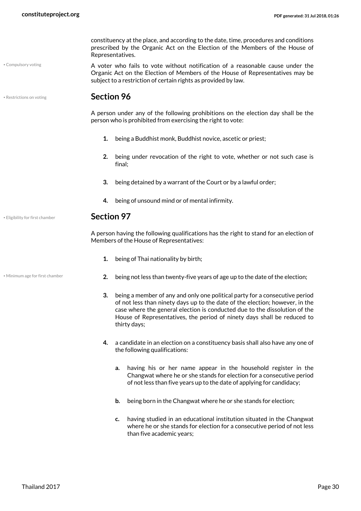• Compulsory voting

constituency at the place, and according to the date, time, procedures and conditions prescribed by the Organic Act on the Election of the Members of the House of Representatives.

A voter who fails to vote without notification of a reasonable cause under the Organic Act on the Election of Members of the House of Representatives may be subject to a restriction of certain rights as provided by law.

• Restrictions on voting **Section 96**

A person under any of the following prohibitions on the election day shall be the person who is prohibited from exercising the right to vote:

- **1.** being a Buddhist monk, Buddhist novice, ascetic or priest;
- **2.** being under revocation of the right to vote, whether or not such case is final;
- **3.** being detained by a warrant of the Court or by a lawful order;
- **4.** being of unsound mind or of mental infirmity.

#### • Eligibility for first chamber **Section 97**

A person having the following qualifications has the right to stand for an election of Members of the House of Representatives:

- **1.** being of Thai nationality by birth;
- 
- . Minimum age for first chamber **2.** being not less than twenty-five years of age up to the date of the election;
	- **3.** being a member of any and only one political party for a consecutive period of not less than ninety days up to the date of the election; however, in the case where the general election is conducted due to the dissolution of the House of Representatives, the period of ninety days shall be reduced to thirty days;
	- **4.** a candidate in an election on a constituency basis shall also have any one of the following qualifications:
		- **a.** having his or her name appear in the household register in the Changwat where he or she stands for election for a consecutive period of not less than five years up to the date of applying for candidacy;
		- **b.** being born in the Changwat where he or she stands for election;
		- **c.** having studied in an educational institution situated in the Changwat where he or she stands for election for a consecutive period of not less than five academic years;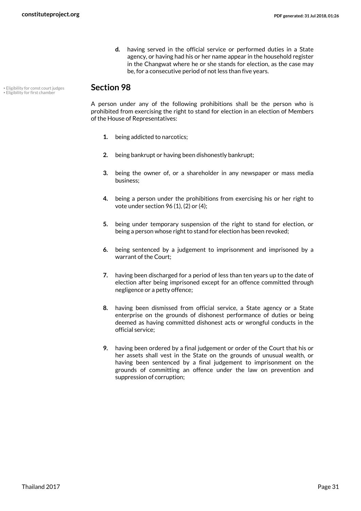**d.** having served in the official service or performed duties in a State agency, or having had his or her name appear in the household register in the Changwat where he or she stands for election, as the case may be, for a consecutive period of not less than five years.

A person under any of the following prohibitions shall be the person who is prohibited from exercising the right to stand for election in an election of Members of the House of Representatives:

- **1.** being addicted to narcotics;
- **2.** being bankrupt or having been dishonestly bankrupt;
- **3.** being the owner of, or a shareholder in any newspaper or mass media business;
- **4.** being a person under the prohibitions from exercising his or her right to vote under section 96 (1), (2) or (4);
- **5.** being under temporary suspension of the right to stand for election, or being a person whose right to stand for election has been revoked;
- **6.** being sentenced by a judgement to imprisonment and imprisoned by a warrant of the Court;
- **7.** having been discharged for a period of less than ten years up to the date of election after being imprisoned except for an offence committed through negligence or a petty offence;
- **8.** having been dismissed from official service, a State agency or a State enterprise on the grounds of dishonest performance of duties or being deemed as having committed dishonest acts or wrongful conducts in the official service;
- **9.** having been ordered by a final judgement or order of the Court that his or her assets shall vest in the State on the grounds of unusual wealth, or having been sentenced by a final judgement to imprisonment on the grounds of committing an offence under the law on prevention and suppression of corruption;

• Eligibility for const court judges **Section 98** • Eligibility for first chamber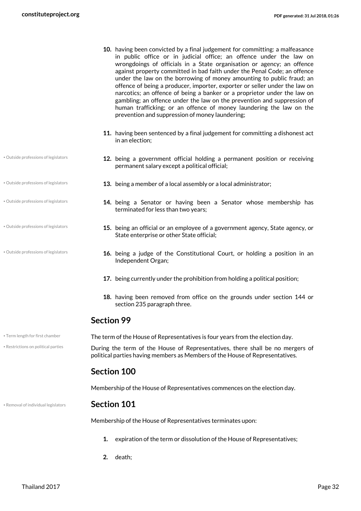- **10.** having been convicted by a final judgement for committing: a malfeasance in public office or in judicial office; an offence under the law on wrongdoings of officials in a State organisation or agency; an offence against property committed in bad faith under the Penal Code; an offence under the law on the borrowing of money amounting to public fraud; an offence of being a producer, importer, exporter or seller under the law on narcotics; an offence of being a banker or a proprietor under the law on gambling; an offence under the law on the prevention and suppression of human trafficking; or an offence of money laundering the law on the prevention and suppression of money laundering;
- **11.** having been sentenced by a final judgement for committing a dishonest act in an election;
- **12.** being a government official holding a permanent position or receiving permanent salary except a political official;
- **13.** being a member of a local assembly or a local administrator; Outside professions of legislators
	- **14.** being a Senator or having been a Senator whose membership has terminated for less than two years;
	- **15.** being an official or an employee of a government agency, State agency, or State enterprise or other State official;
	- **16.** being a judge of the Constitutional Court, or holding a position in an Independent Organ;
	- **17.** being currently under the prohibition from holding a political position;
	- **18.** having been removed from office on the grounds under section 144 or section 235 paragraph three.

• Restrictions on political parties

• Term length for first chamber The term of the House of Representatives is four years from the election day.

During the term of the House of Representatives, there shall be no mergers of political parties having members as Members of the House of Representatives.

## **Section 100**

Membership of the House of Representatives commences on the election day.

### • Removal of individual legislators **Section 101**

Membership of the House of Representatives terminates upon:

- **1.** expiration of the term or dissolution of the House of Representatives;
- **2.** death;

• Outside professions of legislators

- Outside professions of legislators
- Outside professions of legislators
- Outside professions of legislators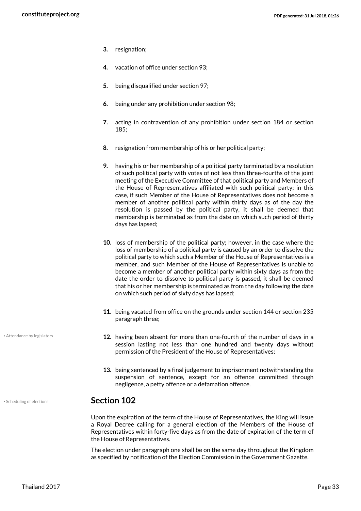- **3.** resignation;
- **4.** vacation of office under section 93;
- **5.** being disqualified under section 97;
- **6.** being under any prohibition under section 98;
- **7.** acting in contravention of any prohibition under section 184 or section 185;
- **8.** resignation from membership of his or her political party;
- **9.** having his or her membership of a political party terminated by a resolution of such political party with votes of not less than three-fourths of the joint meeting of the Executive Committee of that political party and Members of the House of Representatives affiliated with such political party; in this case, if such Member of the House of Representatives does not become a member of another political party within thirty days as of the day the resolution is passed by the political party, it shall be deemed that membership is terminated as from the date on which such period of thirty days has lapsed;
- **10.** loss of membership of the political party; however, in the case where the loss of membership of a political party is caused by an order to dissolve the political party to which such a Member of the House of Representatives is a member, and such Member of the House of Representatives is unable to become a member of another political party within sixty days as from the date the order to dissolve to political party is passed, it shall be deemed that his or her membership is terminated as from the day following the date on which such period of sixty days has lapsed;
- **11.** being vacated from office on the grounds under section 144 or section 235 paragraph three;
- **12.** having been absent for more than one-fourth of the number of days in a session lasting not less than one hundred and twenty days without permission of the President of the House of Representatives;
- **13.** being sentenced by a final judgement to imprisonment notwithstanding the suspension of sentence, except for an offence committed through negligence, a petty offence or a defamation offence.

#### • Scheduling of elections **Section 102**

Upon the expiration of the term of the House of Representatives, the King will issue a Royal Decree calling for a general election of the Members of the House of Representatives within forty-five days as from the date of expiration of the term of the House of Representatives.

The election under paragraph one shall be on the same day throughout the Kingdom as specified by notification of the Election Commission in the Government Gazette.

• Attendance by legislators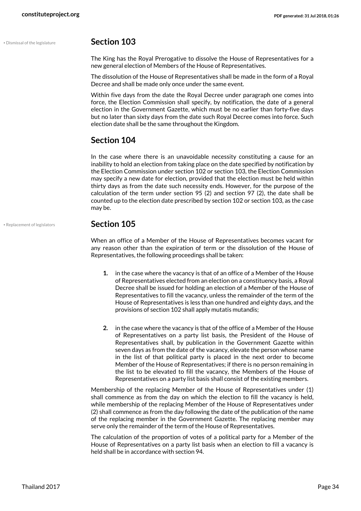### • Dismissal of the legislature **Section 103**

The King has the Royal Prerogative to dissolve the House of Representatives for a new general election of Members of the House of Representatives.

The dissolution of the House of Representatives shall be made in the form of a Royal Decree and shall be made only once under the same event.

Within five days from the date the Royal Decree under paragraph one comes into force, the Election Commission shall specify, by notification, the date of a general election in the Government Gazette, which must be no earlier than forty-five days but no later than sixty days from the date such Royal Decree comes into force. Such election date shall be the same throughout the Kingdom.

### **Section 104**

In the case where there is an unavoidable necessity constituting a cause for an inability to hold an election from taking place on the date specified by notification by the Election Commission under section 102 or section 103, the Election Commission may specify a new date for election, provided that the election must be held within thirty days as from the date such necessity ends. However, for the purpose of the calculation of the term under section 95 (2) and section 97 (2), the date shall be counted up to the election date prescribed by section 102 or section 103, as the case may be.

#### • Replacement of legislators **Section 105**

When an office of a Member of the House of Representatives becomes vacant for any reason other than the expiration of term or the dissolution of the House of Representatives, the following proceedings shall be taken:

- **1.** in the case where the vacancy is that of an office of a Member of the House of Representatives elected from an election on a constituency basis, a Royal Decree shall be issued for holding an election of a Member of the House of Representatives to fill the vacancy, unless the remainder of the term of the House of Representatives is less than one hundred and eighty days, and the provisions of section 102 shall apply mutatis mutandis;
- **2.** in the case where the vacancy is that of the office of a Member of the House of Representatives on a party list basis, the President of the House of Representatives shall, by publication in the Government Gazette within seven days as from the date of the vacancy, elevate the person whose name in the list of that political party is placed in the next order to become Member of the House of Representatives; if there is no person remaining in the list to be elevated to fill the vacancy, the Members of the House of Representatives on a party list basis shall consist of the existing members.

Membership of the replacing Member of the House of Representatives under (1) shall commence as from the day on which the election to fill the vacancy is held, while membership of the replacing Member of the House of Representatives under (2) shall commence as from the day following the date of the publication of the name of the replacing member in the Government Gazette. The replacing member may serve only the remainder of the term of the House of Representatives.

The calculation of the proportion of votes of a political party for a Member of the House of Representatives on a party list basis when an election to fill a vacancy is held shall be in accordance with section 94.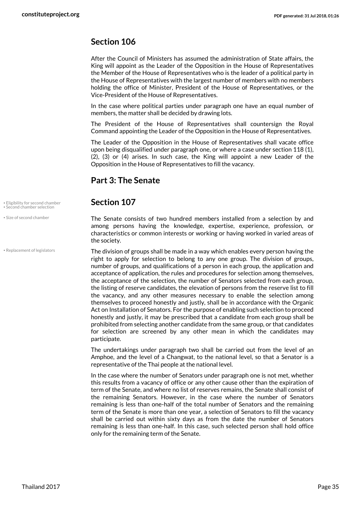After the Council of Ministers has assumed the administration of State affairs, the King will appoint as the Leader of the Opposition in the House of Representatives the Member of the House of Representatives who is the leader of a political party in the House of Representatives with the largest number of members with no members holding the office of Minister, President of the House of Representatives, or the Vice-President of the House of Representatives.

In the case where political parties under paragraph one have an equal number of members, the matter shall be decided by drawing lots.

The President of the House of Representatives shall countersign the Royal Command appointing the Leader of the Opposition in the House of Representatives.

The Leader of the Opposition in the House of Representatives shall vacate office upon being disqualified under paragraph one, or where a case under section 118 (1), (2), (3) or (4) arises. In such case, the King will appoint a new Leader of the Opposition in the House of Representatives to fill the vacancy.

### <span id="page-34-0"></span>**Part 3: The Senate**

The Senate consists of two hundred members installed from a selection by and among persons having the knowledge, expertise, experience, profession, or characteristics or common interests or working or having worked in varied areas of the society.

The division of groups shall be made in a way which enables every person having the right to apply for selection to belong to any one group. The division of groups, number of groups, and qualifications of a person in each group, the application and acceptance of application, the rules and procedures for selection among themselves, the acceptance of the selection, the number of Senators selected from each group, the listing of reserve candidates, the elevation of persons from the reserve list to fill the vacancy, and any other measures necessary to enable the selection among themselves to proceed honestly and justly, shall be in accordance with the Organic Act on Installation of Senators. For the purpose of enabling such selection to proceed honestly and justly, it may be prescribed that a candidate from each group shall be prohibited from selecting another candidate from the same group, or that candidates for selection are screened by any other mean in which the candidates may participate.

The undertakings under paragraph two shall be carried out from the level of an Amphoe, and the level of a Changwat, to the national level, so that a Senator is a representative of the Thai people at the national level.

In the case where the number of Senators under paragraph one is not met, whether this results from a vacancy of office or any other cause other than the expiration of term of the Senate, and where no list of reserves remains, the Senate shall consist of the remaining Senators. However, in the case where the number of Senators remaining is less than one-half of the total number of Senators and the remaining term of the Senate is more than one year, a selection of Senators to fill the vacancy shall be carried out within sixty days as from the date the number of Senators remaining is less than one-half. In this case, such selected person shall hold office only for the remaining term of the Senate.

• Eligibility for second chamber **Section 107** • Second chamber selection

• Size of second chamber

• Replacement of legislators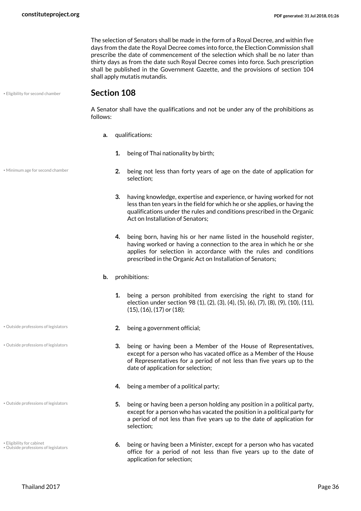The selection of Senators shall be made in the form of a Royal Decree, and within five days from the date the Royal Decree comes into force, the Election Commission shall prescribe the date of commencement of the selection which shall be no later than thirty days as from the date such Royal Decree comes into force. Such prescription shall be published in the Government Gazette, and the provisions of section 104 shall apply mutatis mutandis.

#### • Eligibility for second chamber **Section 108**

A Senator shall have the qualifications and not be under any of the prohibitions as follows:

- **a.** qualifications:
	- **1.** being of Thai nationality by birth;
- Minimum age for second chamber
- **2.** being not less than forty years of age on the date of application for selection;
- **3.** having knowledge, expertise and experience, or having worked for not less than ten years in the field for which he or she applies, or having the qualifications under the rules and conditions prescribed in the Organic Act on Installation of Senators;
- **4.** being born, having his or her name listed in the household register, having worked or having a connection to the area in which he or she applies for selection in accordance with the rules and conditions prescribed in the Organic Act on Installation of Senators;
- **b.** prohibitions:
	- **1.** being a person prohibited from exercising the right to stand for election under section 98 (1), (2), (3), (4), (5), (6), (7), (8), (9), (10), (11), (15), (16), (17) or (18);
- Outside professions of legislators **2. being a government official;** 
	- **3.** being or having been a Member of the House of Representatives, except for a person who has vacated office as a Member of the House of Representatives for a period of not less than five years up to the date of application for selection;
	- **4.** being a member of a political party;
	- **5.** being or having been a person holding any position in a political party, except for a person who has vacated the position in a political party for a period of not less than five years up to the date of application for selection;
	- **6.** being or having been a Minister, except for a person who has vacated office for a period of not less than five years up to the date of application for selection;

• Outside professions of legislators

• Outside professions of legislators

• Eligibility for cabinet • Outside professions of legislators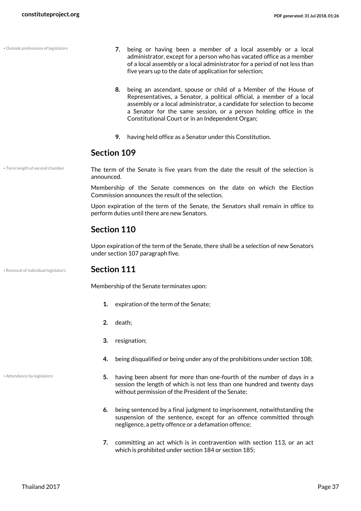**7.** being or having been a member of a local assembly or a local administrator, except for a person who has vacated office as a member of a local assembly or a local administrator for a period of not less than five years up to the date of application for selection; • Outside professions of legislators **8.** being an ascendant, spouse or child of a Member of the House of Representatives, a Senator, a political official, a member of a local assembly or a local administrator, a candidate for selection to become a Senator for the same session, or a person holding office in the Constitutional Court or in an Independent Organ; **9.** having held office as a Senator under this Constitution. **Section 109** The term of the Senate is five years from the date the result of the selection is announced. • Term length of second chamber Membership of the Senate commences on the date on which the Election Commission announces the result of the selection. Upon expiration of the term of the Senate, the Senators shall remain in office to perform duties until there are new Senators. **Section 110** Upon expiration of the term of the Senate, there shall be a selection of new Senators under section 107 paragraph five. • Removal of individual legislators **Section 111** Membership of the Senate terminates upon: **1.** expiration of the term of the Senate; **2.** death;

- **3.** resignation;
- **4.** being disqualified or being under any of the prohibitions under section 108;
- Attendance by legislators
- **5.** having been absent for more than one-fourth of the number of days in a session the length of which is not less than one hundred and twenty days without permission of the President of the Senate;
	- **6.** being sentenced by a final judgment to imprisonment, notwithstanding the suspension of the sentence, except for an offence committed through negligence, a petty offence or a defamation offence;
	- **7.** committing an act which is in contravention with section 113, or an act which is prohibited under section 184 or section 185;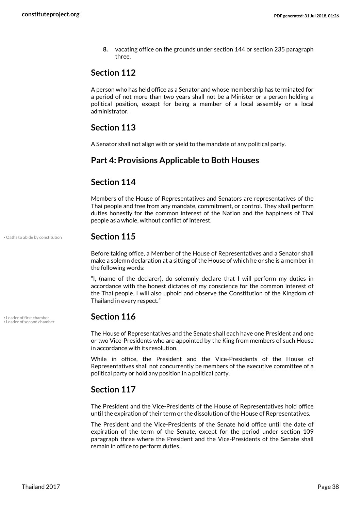**8.** vacating office on the grounds under section 144 or section 235 paragraph three.

## **Section 112**

A person who has held office as a Senator and whose membership has terminated for a period of not more than two years shall not be a Minister or a person holding a political position, except for being a member of a local assembly or a local administrator.

## **Section 113**

A Senator shall not align with or yield to the mandate of any political party.

## **Part 4: Provisions Applicable to Both Houses**

## **Section 114**

Members of the House of Representatives and Senators are representatives of the Thai people and free from any mandate, commitment, or control. They shall perform duties honestly for the common interest of the Nation and the happiness of Thai people as a whole, without conflict of interest.

#### • Oaths to abide by constitution **Section 115**

Before taking office, a Member of the House of Representatives and a Senator shall make a solemn declaration at a sitting of the House of which he or she is a member in the following words:

"I, (name of the declarer), do solemnly declare that I will perform my duties in accordance with the honest dictates of my conscience for the common interest of the Thai people. I will also uphold and observe the Constitution of the Kingdom of Thailand in every respect."

The House of Representatives and the Senate shall each have one President and one or two Vice-Presidents who are appointed by the King from members of such House in accordance with its resolution.

While in office, the President and the Vice-Presidents of the House of Representatives shall not concurrently be members of the executive committee of a political party or hold any position in a political party.

## **Section 117**

The President and the Vice-Presidents of the House of Representatives hold office until the expiration of their term or the dissolution of the House of Representatives.

The President and the Vice-Presidents of the Senate hold office until the date of expiration of the term of the Senate, except for the period under section 109 paragraph three where the President and the Vice-Presidents of the Senate shall remain in office to perform duties.

• Leader of first chamber **Section 116** • Leader of second chamber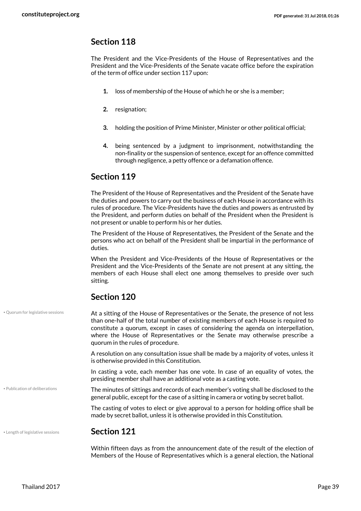The President and the Vice-Presidents of the House of Representatives and the President and the Vice-Presidents of the Senate vacate office before the expiration of the term of office under section 117 upon:

- **1.** loss of membership of the House of which he or she is a member;
- **2.** resignation;
- **3.** holding the position of Prime Minister, Minister or other political official;
- **4.** being sentenced by a judgment to imprisonment, notwithstanding the non-finality or the suspension of sentence, except for an offence committed through negligence, a petty offence or a defamation offence.

### **Section 119**

The President of the House of Representatives and the President of the Senate have the duties and powers to carry out the business of each House in accordance with its rules of procedure. The Vice-Presidents have the duties and powers as entrusted by the President, and perform duties on behalf of the President when the President is not present or unable to perform his or her duties.

The President of the House of Representatives, the President of the Senate and the persons who act on behalf of the President shall be impartial in the performance of duties.

When the President and Vice-Presidents of the House of Representatives or the President and the Vice-Presidents of the Senate are not present at any sitting, the members of each House shall elect one among themselves to preside over such sitting.

## **Section 120**

| • Quorum for legislative sessions | At a sitting of the House of Representatives or the Senate, the presence of not less<br>than one-half of the total number of existing members of each House is required to<br>constitute a quorum, except in cases of considering the agenda on interpellation,<br>where the House of Representatives or the Senate may otherwise prescribe a<br>quorum in the rules of procedure. |  |  |
|-----------------------------------|------------------------------------------------------------------------------------------------------------------------------------------------------------------------------------------------------------------------------------------------------------------------------------------------------------------------------------------------------------------------------------|--|--|
|                                   | A resolution on any consultation issue shall be made by a majority of votes, unless it<br>is otherwise provided in this Constitution.                                                                                                                                                                                                                                              |  |  |
|                                   | In casting a vote, each member has one vote. In case of an equality of votes, the<br>presiding member shall have an additional vote as a casting vote.                                                                                                                                                                                                                             |  |  |
| • Publication of deliberations    | The minutes of sittings and records of each member's voting shall be disclosed to the<br>general public, except for the case of a sitting in camera or voting by secret ballot.                                                                                                                                                                                                    |  |  |
|                                   | The casting of votes to elect or give approval to a person for holding office shall be<br>made by secret ballot, unless it is otherwise provided in this Constitution.                                                                                                                                                                                                             |  |  |
| • Length of legislative sessions  | <b>Section 121</b>                                                                                                                                                                                                                                                                                                                                                                 |  |  |
|                                   | Within fifteen days as from the announcement date of the result of the election of<br>Members of the House of Representatives which is a general election, the National                                                                                                                                                                                                            |  |  |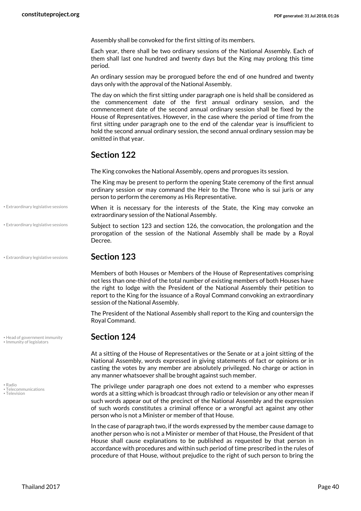Assembly shall be convoked for the first sitting of its members.

Each year, there shall be two ordinary sessions of the National Assembly. Each of them shall last one hundred and twenty days but the King may prolong this time period.

An ordinary session may be prorogued before the end of one hundred and twenty days only with the approval of the National Assembly.

The day on which the first sitting under paragraph one is held shall be considered as the commencement date of the first annual ordinary session, and the commencement date of the second annual ordinary session shall be fixed by the House of Representatives. However, in the case where the period of time from the first sitting under paragraph one to the end of the calendar year is insufficient to hold the second annual ordinary session, the second annual ordinary session may be omitted in that year.

## **Section 122**

The King convokes the National Assembly, opens and prorogues its session.

The King may be present to perform the opening State ceremony of the first annual ordinary session or may command the Heir to the Throne who is sui juris or any person to perform the ceremony as His Representative.

When it is necessary for the interests of the State, the King may convoke an extraordinary session of the National Assembly.

Subject to section 123 and section 126, the convocation, the prolongation and the prorogation of the session of the National Assembly shall be made by a Royal Decree.

#### • Extraordinary legislative sessions **Section 123**

Members of both Houses or Members of the House of Representatives comprising not less than one-third of the total number of existing members of both Houses have the right to lodge with the President of the National Assembly their petition to report to the King for the issuance of a Royal Command convoking an extraordinary session of the National Assembly.

The President of the National Assembly shall report to the King and countersign the Royal Command.

# • Head of government immunity **Section 124** • Immunity of legislators

At a sitting of the House of Representatives or the Senate or at a joint sitting of the National Assembly, words expressed in giving statements of fact or opinions or in casting the votes by any member are absolutely privileged. No charge or action in any manner whatsoever shall be brought against such member.

The privilege under paragraph one does not extend to a member who expresses words at a sitting which is broadcast through radio or television or any other mean if such words appear out of the precinct of the National Assembly and the expression of such words constitutes a criminal offence or a wrongful act against any other person who is not a Minister or member of that House.

In the case of paragraph two, if the words expressed by the member cause damage to another person who is not a Minister or member of that House, the President of that House shall cause explanations to be published as requested by that person in accordance with procedures and within such period of time prescribed in the rules of procedure of that House, without prejudice to the right of such person to bring the

• Extraordinary legislative sessions

• Extraordinary legislative sessions

• Radio • Telecommunications • Television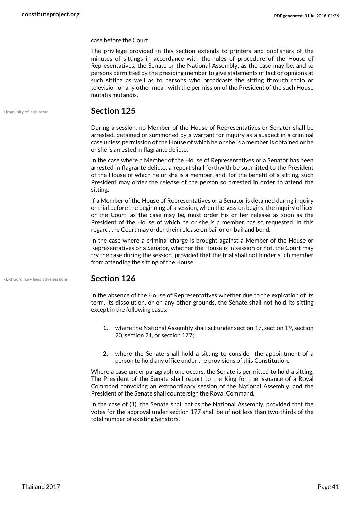case before the Court.

The privilege provided in this section extends to printers and publishers of the minutes of sittings in accordance with the rules of procedure of the House of Representatives, the Senate or the National Assembly, as the case may be, and to persons permitted by the presiding member to give statements of fact or opinions at such sitting as well as to persons who broadcasts the sitting through radio or television or any other mean with the permission of the President of the such House mutatis mutandis.

### • Immunity of legislators **Section 125**

During a session, no Member of the House of Representatives or Senator shall be arrested, detained or summoned by a warrant for inquiry as a suspect in a criminal case unless permission of the House of which he or she is a member is obtained or he or she is arrested in flagrante delicto.

In the case where a Member of the House of Representatives or a Senator has been arrested in flagrante delicto, a report shall forthwith be submitted to the President of the House of which he or she is a member, and, for the benefit of a sitting, such President may order the release of the person so arrested in order to attend the sitting.

If a Member of the House of Representatives or a Senator is detained during inquiry or trial before the beginning of a session, when the session begins, the inquiry officer or the Court, as the case may be, must order his or her release as soon as the President of the House of which he or she is a member has so requested. In this regard, the Court may order their release on bail or on bail and bond.

In the case where a criminal charge is brought against a Member of the House or Representatives or a Senator, whether the House is in session or not, the Court may try the case during the session, provided that the trial shall not hinder such member from attending the sitting of the House.

#### • Extraordinary legislative sessions **Section 126**

In the absence of the House of Representatives whether due to the expiration of its term, its dissolution, or on any other grounds, the Senate shall not hold its sitting except in the following cases:

- **1.** where the National Assembly shall act under section 17, section 19, section 20, section 21, or section 177;
- **2.** where the Senate shall hold a sitting to consider the appointment of a person to hold any office under the provisions of this Constitution.

Where a case under paragraph one occurs, the Senate is permitted to hold a sitting. The President of the Senate shall report to the King for the issuance of a Royal Command convoking an extraordinary session of the National Assembly, and the President of the Senate shall countersign the Royal Command.

In the case of (1), the Senate shall act as the National Assembly, provided that the votes for the approval under section 177 shall be of not less than two-thirds of the total number of existing Senators.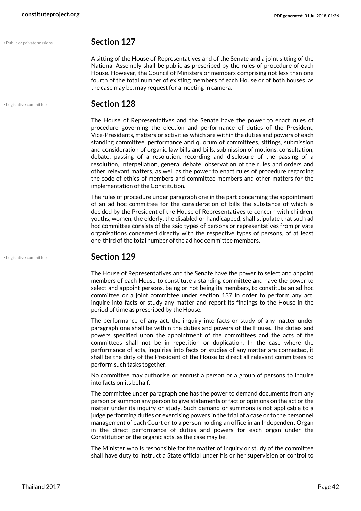## • Public or private sessions **Section 127**

A sitting of the House of Representatives and of the Senate and a joint sitting of the National Assembly shall be public as prescribed by the rules of procedure of each House. However, the Council of Ministers or members comprising not less than one fourth of the total number of existing members of each House or of both houses, as the case may be, may request for a meeting in camera.

### • Legislative committees **Section 128**

The House of Representatives and the Senate have the power to enact rules of procedure governing the election and performance of duties of the President, Vice-Presidents, matters or activities which are within the duties and powers of each standing committee, performance and quorum of committees, sittings, submission and consideration of organic law bills and bills, submission of motions, consultation, debate, passing of a resolution, recording and disclosure of the passing of a resolution, interpellation, general debate, observation of the rules and orders and other relevant matters, as well as the power to enact rules of procedure regarding the code of ethics of members and committee members and other matters for the implementation of the Constitution.

The rules of procedure under paragraph one in the part concerning the appointment of an ad hoc committee for the consideration of bills the substance of which is decided by the President of the House of Representatives to concern with children, youths, women, the elderly, the disabled or handicapped, shall stipulate that such ad hoc committee consists of the said types of persons or representatives from private organisations concerned directly with the respective types of persons, of at least one-third of the total number of the ad hoc committee members.

### • Legislative committees **Section 129**

The House of Representatives and the Senate have the power to select and appoint members of each House to constitute a standing committee and have the power to select and appoint persons, being or not being its members, to constitute an ad hoc committee or a joint committee under section 137 in order to perform any act, inquire into facts or study any matter and report its findings to the House in the period of time as prescribed by the House.

The performance of any act, the inquiry into facts or study of any matter under paragraph one shall be within the duties and powers of the House. The duties and powers specified upon the appointment of the committees and the acts of the committees shall not be in repetition or duplication. In the case where the performance of acts, inquiries into facts or studies of any matter are connected, it shall be the duty of the President of the House to direct all relevant committees to perform such tasks together.

No committee may authorise or entrust a person or a group of persons to inquire into facts on its behalf.

The committee under paragraph one has the power to demand documents from any person or summon any person to give statements of fact or opinions on the act or the matter under its inquiry or study. Such demand or summons is not applicable to a judge performing duties or exercising powers in the trial of a case or to the personnel management of each Court or to a person holding an office in an Independent Organ in the direct performance of duties and powers for each organ under the Constitution or the organic acts, as the case may be.

The Minister who is responsible for the matter of inquiry or study of the committee shall have duty to instruct a State official under his or her supervision or control to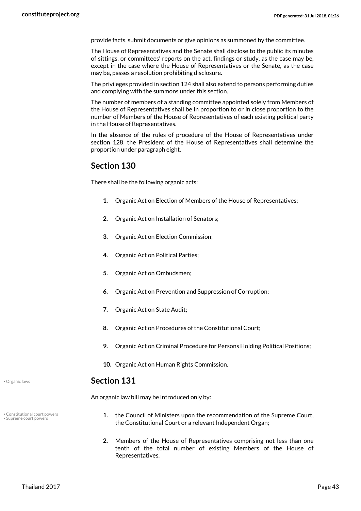provide facts, submit documents or give opinions as summoned by the committee.

The House of Representatives and the Senate shall disclose to the public its minutes of sittings, or committees' reports on the act, findings or study, as the case may be, except in the case where the House of Representatives or the Senate, as the case may be, passes a resolution prohibiting disclosure.

The privileges provided in section 124 shall also extend to persons performing duties and complying with the summons under this section.

The number of members of a standing committee appointed solely from Members of the House of Representatives shall be in proportion to or in close proportion to the number of Members of the House of Representatives of each existing political party in the House of Representatives.

In the absence of the rules of procedure of the House of Representatives under section 128, the President of the House of Representatives shall determine the proportion under paragraph eight.

### **Section 130**

There shall be the following organic acts:

- **1.** Organic Act on Election of Members of the House of Representatives;
- **2.** Organic Act on Installation of Senators;
- **3.** Organic Act on Election Commission;
- **4.** Organic Act on Political Parties;
- **5.** Organic Act on Ombudsmen;
- **6.** Organic Act on Prevention and Suppression of Corruption;
- **7.** Organic Act on State Audit;
- **8.** Organic Act on Procedures of the Constitutional Court;
- **9.** Organic Act on Criminal Procedure for Persons Holding Political Positions;
- **10.** Organic Act on Human Rights Commission.

#### • Organic laws **Section 131**

An organic law bill may be introduced only by:

- **1.** the Council of Ministers upon the recommendation of the Supreme Court, the Constitutional Court or a relevant Independent Organ;
- **2.** Members of the House of Representatives comprising not less than one tenth of the total number of existing Members of the House of Representatives.

• Constitutional court powers · Supreme court powers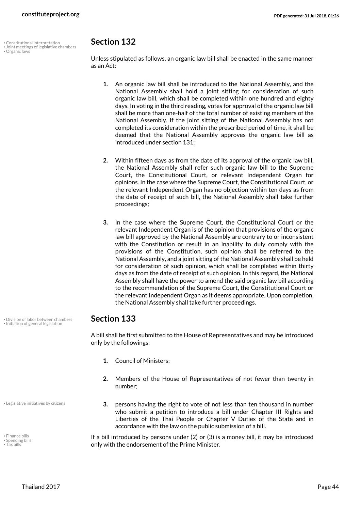- 
- 

# • Constitutional interpretation **Section 132** • Joint meetings of legislative chambers • Organic laws

Unless stipulated as follows, an organic law bill shall be enacted in the same manner as an Act:

- **1.** An organic law bill shall be introduced to the National Assembly, and the National Assembly shall hold a joint sitting for consideration of such organic law bill, which shall be completed within one hundred and eighty days. In voting in the third reading, votes for approval of the organic law bill shall be more than one-half of the total number of existing members of the National Assembly. If the joint sitting of the National Assembly has not completed its consideration within the prescribed period of time, it shall be deemed that the National Assembly approves the organic law bill as introduced under section 131;
- **2.** Within fifteen days as from the date of its approval of the organic law bill, the National Assembly shall refer such organic law bill to the Supreme Court, the Constitutional Court, or relevant Independent Organ for opinions. In the case where the Supreme Court, the Constitutional Court, or the relevant Independent Organ has no objection within ten days as from the date of receipt of such bill, the National Assembly shall take further proceedings;
- **3.** In the case where the Supreme Court, the Constitutional Court or the relevant Independent Organ is of the opinion that provisions of the organic law bill approved by the National Assembly are contrary to or inconsistent with the Constitution or result in an inability to duly comply with the provisions of the Constitution, such opinion shall be referred to the National Assembly, and a joint sitting of the National Assembly shall be held for consideration of such opinion, which shall be completed within thirty days as from the date of receipt of such opinion. In this regard, the National Assembly shall have the power to amend the said organic law bill according to the recommendation of the Supreme Court, the Constitutional Court or the relevant Independent Organ as it deems appropriate. Upon completion, the National Assembly shall take further proceedings.

A bill shall be first submitted to the House of Representatives and may be introduced only by the followings:

- **1.** Council of Ministers;
- **2.** Members of the House of Representatives of not fewer than twenty in number;
- **3.** persons having the right to vote of not less than ten thousand in number who submit a petition to introduce a bill under Chapter III Rights and Liberties of the Thai People or Chapter V Duties of the State and in accordance with the law on the public submission of a bill.

If a bill introduced by persons under (2) or (3) is a money bill, it may be introduced only with the endorsement of the Prime Minister.

• Division of labor between chambers **Section 133** • Initiation of general legislation

• Legislative initiatives by citizens

• Finance bills • Spending bills

• Tax bills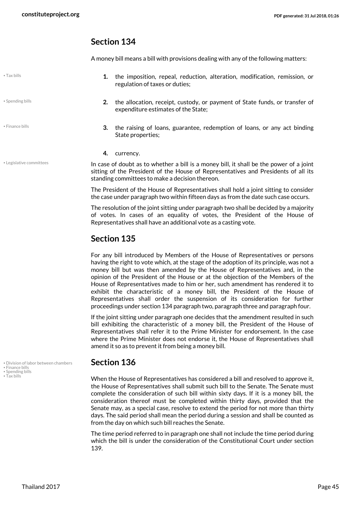A money bill means a bill with provisions dealing with any of the following matters:

• Tax bills

• Spending bills

• Finance bills

• Legislative committees

**2.** the allocation, receipt, custody, or payment of State funds, or transfer of expenditure estimates of the State;

**1.** the imposition, repeal, reduction, alteration, modification, remission, or

- **3.** the raising of loans, guarantee, redemption of loans, or any act binding State properties;
- **4.** currency.

regulation of taxes or duties;

In case of doubt as to whether a bill is a money bill, it shall be the power of a joint sitting of the President of the House of Representatives and Presidents of all its standing committees to make a decision thereon.

The President of the House of Representatives shall hold a joint sitting to consider the case under paragraph two within fifteen days as from the date such case occurs.

The resolution of the joint sitting under paragraph two shall be decided by a majority of votes. In cases of an equality of votes, the President of the House of Representatives shall have an additional vote as a casting vote.

## **Section 135**

For any bill introduced by Members of the House of Representatives or persons having the right to vote which, at the stage of the adoption of its principle, was not a money bill but was then amended by the House of Representatives and, in the opinion of the President of the House or at the objection of the Members of the House of Representatives made to him or her, such amendment has rendered it to exhibit the characteristic of a money bill, the President of the House of Representatives shall order the suspension of its consideration for further proceedings under section 134 paragraph two, paragraph three and paragraph four.

If the joint sitting under paragraph one decides that the amendment resulted in such bill exhibiting the characteristic of a money bill, the President of the House of Representatives shall refer it to the Prime Minister for endorsement. In the case where the Prime Minister does not endorse it, the House of Representatives shall amend it so as to prevent it from being a money bill.

- Finance bills<br>• Spending bills<br>• Tax bills
- 

### • Division of labor between chambers **Section 136**

When the House of Representatives has considered a bill and resolved to approve it, the House of Representatives shall submit such bill to the Senate. The Senate must complete the consideration of such bill within sixty days. If it is a money bill, the consideration thereof must be completed within thirty days, provided that the Senate may, as a special case, resolve to extend the period for not more than thirty days. The said period shall mean the period during a session and shall be counted as from the day on which such bill reaches the Senate.

The time period referred to in paragraph one shall not include the time period during which the bill is under the consideration of the Constitutional Court under section 139.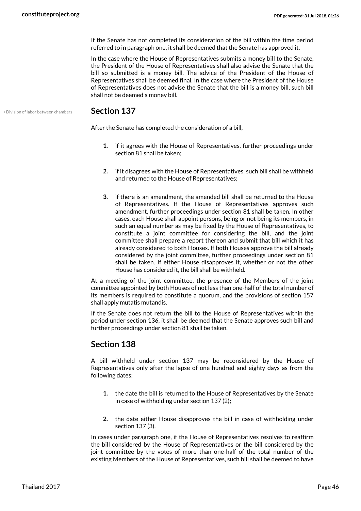If the Senate has not completed its consideration of the bill within the time period referred to in paragraph one, it shall be deemed that the Senate has approved it.

In the case where the House of Representatives submits a money bill to the Senate, the President of the House of Representatives shall also advise the Senate that the bill so submitted is a money bill. The advice of the President of the House of Representatives shall be deemed final. In the case where the President of the House of Representatives does not advise the Senate that the bill is a money bill, such bill shall not be deemed a money bill.

• Division of labor between chambers **Section 137**

After the Senate has completed the consideration of a bill,

- **1.** if it agrees with the House of Representatives, further proceedings under section 81 shall be taken;
- **2.** if it disagrees with the House of Representatives, such bill shall be withheld and returned to the House of Representatives;
- **3.** if there is an amendment, the amended bill shall be returned to the House of Representatives. If the House of Representatives approves such amendment, further proceedings under section 81 shall be taken. In other cases, each House shall appoint persons, being or not being its members, in such an equal number as may be fixed by the House of Representatives, to constitute a joint committee for considering the bill, and the joint committee shall prepare a report thereon and submit that bill which it has already considered to both Houses. If both Houses approve the bill already considered by the joint committee, further proceedings under section 81 shall be taken. If either House disapproves it, whether or not the other House has considered it, the bill shall be withheld.

At a meeting of the joint committee, the presence of the Members of the joint committee appointed by both Houses of not less than one-half of the total number of its members is required to constitute a quorum, and the provisions of section 157 shall apply mutatis mutandis.

If the Senate does not return the bill to the House of Representatives within the period under section 136, it shall be deemed that the Senate approves such bill and further proceedings under section 81 shall be taken.

## **Section 138**

A bill withheld under section 137 may be reconsidered by the House of Representatives only after the lapse of one hundred and eighty days as from the following dates:

- **1.** the date the bill is returned to the House of Representatives by the Senate in case of withholding under section 137 (2);
- **2.** the date either House disapproves the bill in case of withholding under section 137 (3).

In cases under paragraph one, if the House of Representatives resolves to reaffirm the bill considered by the House of Representatives or the bill considered by the joint committee by the votes of more than one-half of the total number of the existing Members of the House of Representatives, such bill shall be deemed to have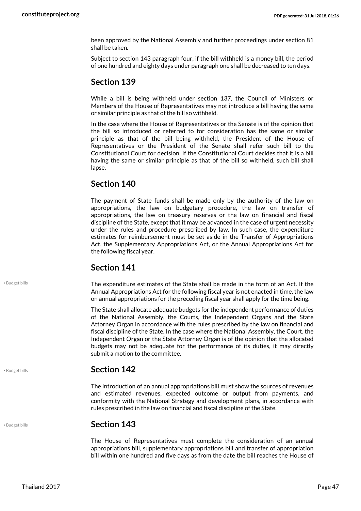been approved by the National Assembly and further proceedings under section 81 shall be taken.

Subject to section 143 paragraph four, if the bill withheld is a money bill, the period of one hundred and eighty days under paragraph one shall be decreased to ten days.

#### **Section 139**

While a bill is being withheld under section 137, the Council of Ministers or Members of the House of Representatives may not introduce a bill having the same or similar principle as that of the bill so withheld.

In the case where the House of Representatives or the Senate is of the opinion that the bill so introduced or referred to for consideration has the same or similar principle as that of the bill being withheld, the President of the House of Representatives or the President of the Senate shall refer such bill to the Constitutional Court for decision. If the Constitutional Court decides that it is a bill having the same or similar principle as that of the bill so withheld, such bill shall lapse.

### **Section 140**

The payment of State funds shall be made only by the authority of the law on appropriations, the law on budgetary procedure, the law on transfer of appropriations, the law on treasury reserves or the law on financial and fiscal discipline of the State, except that it may be advanced in the case of urgent necessity under the rules and procedure prescribed by law. In such case, the expenditure estimates for reimbursement must be set aside in the Transfer of Appropriations Act, the Supplementary Appropriations Act, or the Annual Appropriations Act for the following fiscal year.

### **Section 141**

The expenditure estimates of the State shall be made in the form of an Act. If the Annual Appropriations Act for the following fiscal year is not enacted in time, the law on annual appropriations for the preceding fiscal year shall apply for the time being.

The State shall allocate adequate budgets for the independent performance of duties of the National Assembly, the Courts, the Independent Organs and the State Attorney Organ in accordance with the rules prescribed by the law on financial and fiscal discipline of the State. In the case where the National Assembly, the Court, the Independent Organ or the State Attorney Organ is of the opinion that the allocated budgets may not be adequate for the performance of its duties, it may directly submit a motion to the committee.

#### • Budget bills **Section 142**

The introduction of an annual appropriations bill must show the sources of revenues and estimated revenues, expected outcome or output from payments, and conformity with the National Strategy and development plans, in accordance with rules prescribed in the law on financial and fiscal discipline of the State.

### • Budget bills **Section 143**

The House of Representatives must complete the consideration of an annual appropriations bill, supplementary appropriations bill and transfer of appropriation bill within one hundred and five days as from the date the bill reaches the House of

• Budget bills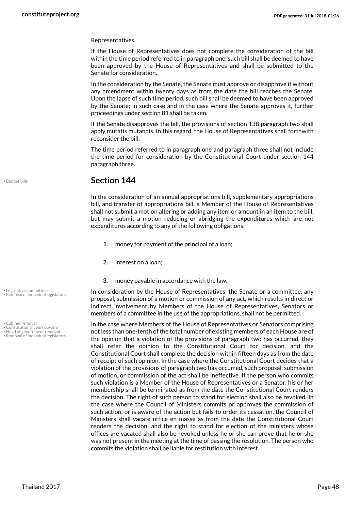Representatives.

If the House of Representatives does not complete the consideration of the bill within the time period referred to in paragraph one, such bill shall be deemed to have been approved by the House of Representatives and shall be submitted to the Senate for consideration.

In the consideration by the Senate, the Senate must approve or disapprove it without any amendment within twenty days as from the date the bill reaches the Senate. Upon the lapse of such time period, such bill shall be deemed to have been approved by the Senate; in such case and in the case where the Senate approves it, further proceedings under section 81 shall be taken.

If the Senate disapproves the bill, the provisions of section 138 paragraph two shall apply mutatis mutandis. In this regard, the House of Representatives shall forthwith reconsider the bill.

The time period referred to in paragraph one and paragraph three shall not include the time period for consideration by the Constitutional Court under section 144 paragraph three.

## • Budget bills **Section 144**

In the consideration of an annual appropriations bill, supplementary appropriations bill, and transfer of appropriations bill, a Member of the House of Representatives shall not submit a motion altering or adding any item or amount in an item to the bill, but may submit a motion reducing or abridging the expenditures which are not expenditures according to any of the following obligations:

- **1.** money for payment of the principal of a loan;
- **2.** interest on a loan;
- **3.** money payable in accordance with the law.

In consideration by the House of Representatives, the Senate or a committee, any proposal, submission of a motion or commission of any act, which results in direct or indirect involvement by Members of the House of Representatives, Senators or members of a committee in the use of the appropriations, shall not be permitted.

In the case where Members of the House of Representatives or Senators comprising not less than one-tenth of the total number of existing members of each House are of the opinion that a violation of the provisions of paragraph two has occurred, they shall refer the opinion to the Constitutional Court for decision, and the Constitutional Court shall complete the decision within fifteen days as from the date of receipt of such opinion. In the case where the Constitutional Court decides that a violation of the provisions of paragraph two has occurred, such proposal, submission of motion, or commission of the act shall be ineffective. If the person who commits such violation is a Member of the House of Representatives or a Senator, his or her membership shall be terminated as from the date the Constitutional Court renders the decision. The right of such person to stand for election shall also be revoked. In the case where the Council of Ministers commits or approves the commission of such action, or is aware of the action but fails to order its cessation, the Council of Ministers shall vacate office en masse as from the date the Constitutional Court renders the decision, and the right to stand for election of the ministers whose offices are vacated shall also be revoked unless he or she can prove that he or she was not present in the meeting at the time of passing the resolution. The person who commits the violation shall be liable for restitution with interest.

• Legislative committees • Removal of individual legislators

• Head of government removal • Removal of individual legislators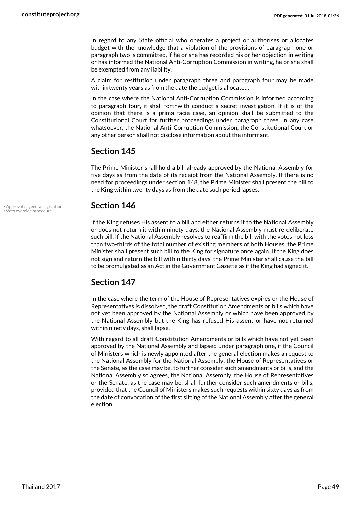In regard to any State official who operates a project or authorises or allocates budget with the knowledge that a violation of the provisions of paragraph one or paragraph two is committed, if he or she has recorded his or her objection in writing or has informed the National Anti-Corruption Commission in writing, he or she shall be exempted from any liability.

A claim for restitution under paragraph three and paragraph four may be made within twenty years as from the date the budget is allocated.

In the case where the National Anti-Corruption Commission is informed according to paragraph four, it shall forthwith conduct a secret investigation. If it is of the opinion that there is a prima facie case, an opinion shall be submitted to the Constitutional Court for further proceedings under paragraph three. In any case whatsoever, the National Anti-Corruption Commission, the Constitutional Court or any other person shall not disclose information about the informant.

## **Section 145**

The Prime Minister shall hold a bill already approved by the National Assembly for five days as from the date of its receipt from the National Assembly. If there is no need for proceedings under section 148, the Prime Minister shall present the bill to the King within twenty days as from the date such period lapses.

If the King refuses His assent to a bill and either returns it to the National Assembly or does not return it within ninety days, the National Assembly must re-deliberate such bill. If the National Assembly resolves to reaffirm the bill with the votes not less than two-thirds of the total number of existing members of both Houses, the Prime Minister shall present such bill to the King for signature once again. If the King does not sign and return the bill within thirty days, the Prime Minister shall cause the bill to be promulgated as an Act in the Government Gazette as if the King had signed it.

## **Section 147**

In the case where the term of the House of Representatives expires or the House of Representatives is dissolved, the draft Constitution Amendments or bills which have not yet been approved by the National Assembly or which have been approved by the National Assembly but the King has refused His assent or have not returned within ninety days, shall lapse.

With regard to all draft Constitution Amendments or bills which have not yet been approved by the National Assembly and lapsed under paragraph one, if the Council of Ministers which is newly appointed after the general election makes a request to the National Assembly for the National Assembly, the House of Representatives or the Senate, as the case may be, to further consider such amendments or bills, and the National Assembly so agrees, the National Assembly, the House of Representatives or the Senate, as the case may be, shall further consider such amendments or bills, provided that the Council of Ministers makes such requests within sixty days as from the date of convocation of the first sitting of the National Assembly after the general election.

• Approval of general legislation **Section 146** • Veto override procedure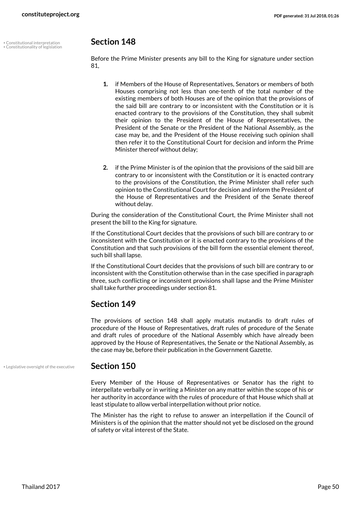• Constitutional interpretation **Section 148** • Constitutionality of legislation

Before the Prime Minister presents any bill to the King for signature under section 81,

- **1.** if Members of the House of Representatives, Senators or members of both Houses comprising not less than one-tenth of the total number of the existing members of both Houses are of the opinion that the provisions of the said bill are contrary to or inconsistent with the Constitution or it is enacted contrary to the provisions of the Constitution, they shall submit their opinion to the President of the House of Representatives, the President of the Senate or the President of the National Assembly, as the case may be, and the President of the House receiving such opinion shall then refer it to the Constitutional Court for decision and inform the Prime Minister thereof without delay;
- **2.** if the Prime Minister is of the opinion that the provisions of the said bill are contrary to or inconsistent with the Constitution or it is enacted contrary to the provisions of the Constitution, the Prime Minister shall refer such opinion to the Constitutional Court for decision and inform the President of the House of Representatives and the President of the Senate thereof without delay.

During the consideration of the Constitutional Court, the Prime Minister shall not present the bill to the King for signature.

If the Constitutional Court decides that the provisions of such bill are contrary to or inconsistent with the Constitution or it is enacted contrary to the provisions of the Constitution and that such provisions of the bill form the essential element thereof, such bill shall lapse.

If the Constitutional Court decides that the provisions of such bill are contrary to or inconsistent with the Constitution otherwise than in the case specified in paragraph three, such conflicting or inconsistent provisions shall lapse and the Prime Minister shall take further proceedings under section 81.

### **Section 149**

The provisions of section 148 shall apply mutatis mutandis to draft rules of procedure of the House of Representatives, draft rules of procedure of the Senate and draft rules of procedure of the National Assembly which have already been approved by the House of Representatives, the Senate or the National Assembly, as the case may be, before their publication in the Government Gazette.

• Legislative oversight of the executive **Section 150**

Every Member of the House of Representatives or Senator has the right to interpellate verbally or in writing a Minister on any matter within the scope of his or her authority in accordance with the rules of procedure of that House which shall at least stipulate to allow verbal interpellation without prior notice.

The Minister has the right to refuse to answer an interpellation if the Council of Ministers is of the opinion that the matter should not yet be disclosed on the ground of safety or vital interest of the State.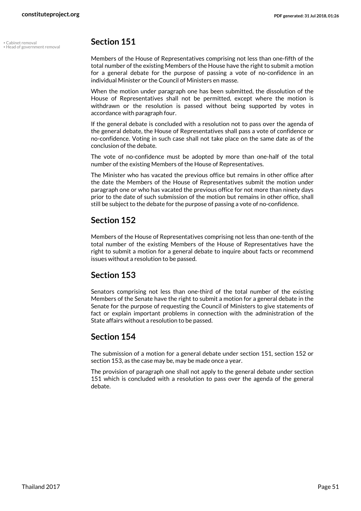• Cabinet removal **Section 151** • Head of government removal

Members of the House of Representatives comprising not less than one-fifth of the total number of the existing Members of the House have the right to submit a motion for a general debate for the purpose of passing a vote of no-confidence in an individual Minister or the Council of Ministers en masse.

When the motion under paragraph one has been submitted, the dissolution of the House of Representatives shall not be permitted, except where the motion is withdrawn or the resolution is passed without being supported by votes in accordance with paragraph four.

If the general debate is concluded with a resolution not to pass over the agenda of the general debate, the House of Representatives shall pass a vote of confidence or no-confidence. Voting in such case shall not take place on the same date as of the conclusion of the debate.

The vote of no-confidence must be adopted by more than one-half of the total number of the existing Members of the House of Representatives.

The Minister who has vacated the previous office but remains in other office after the date the Members of the House of Representatives submit the motion under paragraph one or who has vacated the previous office for not more than ninety days prior to the date of such submission of the motion but remains in other office, shall still be subject to the debate for the purpose of passing a vote of no-confidence.

## **Section 152**

Members of the House of Representatives comprising not less than one-tenth of the total number of the existing Members of the House of Representatives have the right to submit a motion for a general debate to inquire about facts or recommend issues without a resolution to be passed.

## **Section 153**

Senators comprising not less than one-third of the total number of the existing Members of the Senate have the right to submit a motion for a general debate in the Senate for the purpose of requesting the Council of Ministers to give statements of fact or explain important problems in connection with the administration of the State affairs without a resolution to be passed.

## **Section 154**

The submission of a motion for a general debate under section 151, section 152 or section 153, as the case may be, may be made once a year.

The provision of paragraph one shall not apply to the general debate under section 151 which is concluded with a resolution to pass over the agenda of the general debate.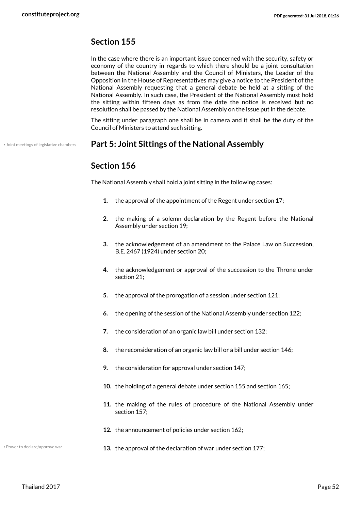In the case where there is an important issue concerned with the security, safety or economy of the country in regards to which there should be a joint consultation between the National Assembly and the Council of Ministers, the Leader of the Opposition in the House of Representatives may give a notice to the President of the National Assembly requesting that a general debate be held at a sitting of the National Assembly. In such case, the President of the National Assembly must hold the sitting within fifteen days as from the date the notice is received but no resolution shall be passed by the National Assembly on the issue put in the debate.

The sitting under paragraph one shall be in camera and it shall be the duty of the Council of Ministers to attend such sitting.

### • Joint meetings of legislative chambers **Part 5: Joint Sittings of the National Assembly**

## **Section 156**

The National Assembly shall hold a joint sitting in the following cases:

- **1.** the approval of the appointment of the Regent under section 17;
- **2.** the making of a solemn declaration by the Regent before the National Assembly under section 19;
- **3.** the acknowledgement of an amendment to the Palace Law on Succession, B.E. 2467 (1924) under section 20;
- **4.** the acknowledgement or approval of the succession to the Throne under section 21;
- **5.** the approval of the prorogation of a session under section 121;
- **6.** the opening of the session of the National Assembly under section 122;
- **7.** the consideration of an organic law bill under section 132;
- **8.** the reconsideration of an organic law bill or a bill under section 146;
- **9.** the consideration for approval under section 147;
- **10.** the holding of a general debate under section 155 and section 165;
- **11.** the making of the rules of procedure of the National Assembly under section 157;
- **12.** the announcement of policies under section 162;
- 
- \* Power to declare/approve war **13.** the approval of the declaration of war under section 177;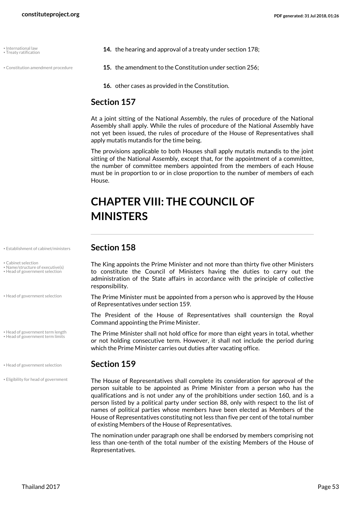- Treaty ratification
- 
- **International law 14.** the hearing and approval of a treaty under section 178;
- Constitution amendment procedure **15.** the amendment to the Constitution under section 256;
	- **16.** other cases as provided in the Constitution.

At a joint sitting of the National Assembly, the rules of procedure of the National Assembly shall apply. While the rules of procedure of the National Assembly have not yet been issued, the rules of procedure of the House of Representatives shall apply mutatis mutandis for the time being.

The provisions applicable to both Houses shall apply mutatis mutandis to the joint sitting of the National Assembly, except that, for the appointment of a committee, the number of committee members appointed from the members of each House must be in proportion to or in close proportion to the number of members of each House.

# **CHAPTER VIII: THE COUNCIL OF MINISTERS**

#### • Establishment of cabinet/ministers **Section 158**

• Cabinet selection

• Name/structure of executive(s)

• Head of government selection

• Head of government selection

• Head of government term length • Head of government term limits

• Eligibility for head of government

The King appoints the Prime Minister and not more than thirty five other Ministers to constitute the Council of Ministers having the duties to carry out the administration of the State affairs in accordance with the principle of collective responsibility.

The Prime Minister must be appointed from a person who is approved by the House of Representatives under section 159.

The President of the House of Representatives shall countersign the Royal Command appointing the Prime Minister.

The Prime Minister shall not hold office for more than eight years in total, whether or not holding consecutive term. However, it shall not include the period during which the Prime Minister carries out duties after vacating office.

#### • Head of government selection **Section 159**

The House of Representatives shall complete its consideration for approval of the person suitable to be appointed as Prime Minister from a person who has the qualifications and is not under any of the prohibitions under section 160, and is a person listed by a political party under section 88, only with respect to the list of names of political parties whose members have been elected as Members of the House of Representatives constituting not less than five per cent of the total number of existing Members of the House of Representatives.

The nomination under paragraph one shall be endorsed by members comprising not less than one-tenth of the total number of the existing Members of the House of Representatives.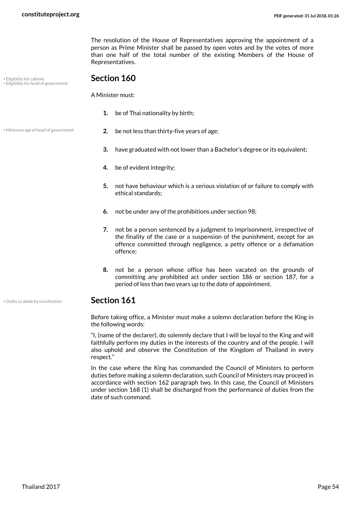The resolution of the House of Representatives approving the appointment of a person as Prime Minister shall be passed by open votes and by the votes of more than one half of the total number of the existing Members of the House of Representatives.

• Eligibility for cabinet **Section 160** • Eligibility for head of government

A Minister must:

- **1.** be of Thai nationality by birth;
- 
- Minimum age of head of government **2.** be not less than thirty-five years of age:
	- **3.** have graduated with not lower than a Bachelor's degree or its equivalent;
	- **4.** be of evident integrity;
	- **5.** not have behaviour which is a serious violation of or failure to comply with ethical standards;
	- **6.** not be under any of the prohibitions under section 98;
	- **7.** not be a person sentenced by a judgment to imprisonment, irrespective of the finality of the case or a suspension of the punishment, except for an offence committed through negligence, a petty offence or a defamation offence;
	- **8.** not be a person whose office has been vacated on the grounds of committing any prohibited act under section 186 or section 187, for a period of less than two years up to the date of appointment.

#### • Oaths to abide by constitution **Section 161**

Before taking office, a Minister must make a solemn declaration before the King in the following words:

"I, (name of the declarer), do solemnly declare that I will be loyal to the King and will faithfully perform my duties in the interests of the country and of the people. I will also uphold and observe the Constitution of the Kingdom of Thailand in every respect."

In the case where the King has commanded the Council of Ministers to perform duties before making a solemn declaration, such Council of Ministers may proceed in accordance with section 162 paragraph two. In this case, the Council of Ministers under section 168 (1) shall be discharged from the performance of duties from the date of such command.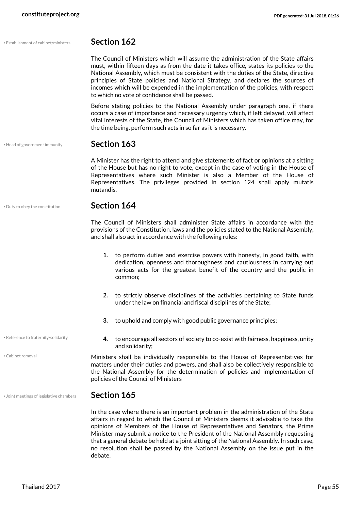| Establishment of cabinet/ministers |  |  |
|------------------------------------|--|--|

The Council of Ministers which will assume the administration of the State affairs must, within fifteen days as from the date it takes office, states its policies to the National Assembly, which must be consistent with the duties of the State, directive principles of State policies and National Strategy, and declares the sources of incomes which will be expended in the implementation of the policies, with respect to which no vote of confidence shall be passed.

Before stating policies to the National Assembly under paragraph one, if there occurs a case of importance and necessary urgency which, if left delayed, will affect vital interests of the State, the Council of Ministers which has taken office may, for the time being, perform such acts in so far as it is necessary.

• Head of government immunity **Section 163**

A Minister has the right to attend and give statements of fact or opinions at a sitting of the House but has no right to vote, except in the case of voting in the House of Representatives where such Minister is also a Member of the House of Representatives. The privileges provided in section 124 shall apply mutatis mutandis.

#### • Duty to obey the constitution **Section 164**

The Council of Ministers shall administer State affairs in accordance with the provisions of the Constitution, laws and the policies stated to the National Assembly, and shall also act in accordance with the following rules:

- **1.** to perform duties and exercise powers with honesty, in good faith, with dedication, openness and thoroughness and cautiousness in carrying out various acts for the greatest benefit of the country and the public in common;
- **2.** to strictly observe disciplines of the activities pertaining to State funds under the law on financial and fiscal disciplines of the State;
- **3.** to uphold and comply with good public governance principles;

• Reference to fraternity/solidarity

• Cabinet removal

**4.** to encourage all sectors of society to co-exist with fairness, happiness, unity and solidarity;

Ministers shall be individually responsible to the House of Representatives for matters under their duties and powers, and shall also be collectively responsible to the National Assembly for the determination of policies and implementation of policies of the Council of Ministers

#### • Joint meetings of legislative chambers **Section 165**

In the case where there is an important problem in the administration of the State affairs in regard to which the Council of Ministers deems it advisable to take the opinions of Members of the House of Representatives and Senators, the Prime Minister may submit a notice to the President of the National Assembly requesting that a general debate be held at a joint sitting of the National Assembly. In such case, no resolution shall be passed by the National Assembly on the issue put in the debate.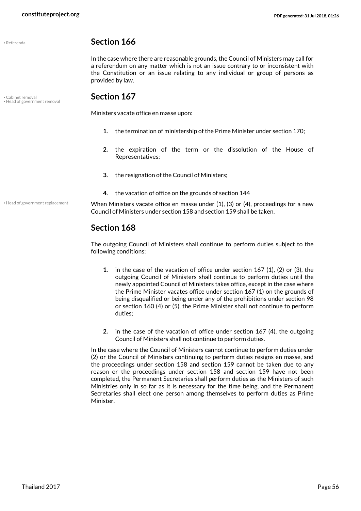## • Referenda **Section 166**

In the case where there are reasonable grounds, the Council of Ministers may call for a referendum on any matter which is not an issue contrary to or inconsistent with the Constitution or an issue relating to any individual or group of persons as provided by law.

# • Cabinet removal **Section 167** • Head of government removal

Ministers vacate office en masse upon:

- **1.** the termination of ministership of the Prime Minister under section 170;
- **2.** the expiration of the term or the dissolution of the House of Representatives;
- **3.** the resignation of the Council of Ministers;
- **4.** the vacation of office on the grounds of section 144

When Ministers vacate office en masse under (1), (3) or (4), proceedings for a new Council of Ministers under section 158 and section 159 shall be taken.

## **Section 168**

The outgoing Council of Ministers shall continue to perform duties subject to the following conditions:

- **1.** in the case of the vacation of office under section 167 (1), (2) or (3), the outgoing Council of Ministers shall continue to perform duties until the newly appointed Council of Ministers takes office, except in the case where the Prime Minister vacates office under section 167 (1) on the grounds of being disqualified or being under any of the prohibitions under section 98 or section 160 (4) or (5), the Prime Minister shall not continue to perform duties;
- **2.** in the case of the vacation of office under section 167 (4), the outgoing Council of Ministers shall not continue to perform duties.

In the case where the Council of Ministers cannot continue to perform duties under (2) or the Council of Ministers continuing to perform duties resigns en masse, and the proceedings under section 158 and section 159 cannot be taken due to any reason or the proceedings under section 158 and section 159 have not been completed, the Permanent Secretaries shall perform duties as the Ministers of such Ministries only in so far as it is necessary for the time being, and the Permanent Secretaries shall elect one person among themselves to perform duties as Prime Minister.

• Head of government replacement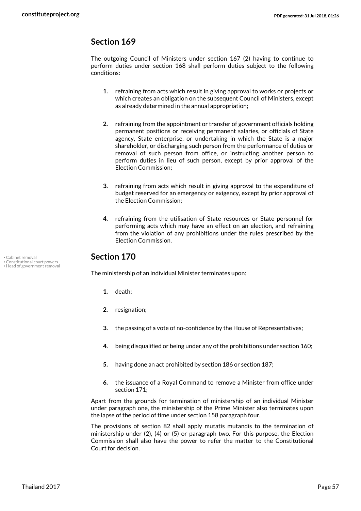The outgoing Council of Ministers under section 167 (2) having to continue to perform duties under section 168 shall perform duties subject to the following conditions:

- **1.** refraining from acts which result in giving approval to works or projects or which creates an obligation on the subsequent Council of Ministers, except as already determined in the annual appropriation;
- **2.** refraining from the appointment or transfer of government officials holding permanent positions or receiving permanent salaries, or officials of State agency, State enterprise, or undertaking in which the State is a major shareholder, or discharging such person from the performance of duties or removal of such person from office, or instructing another person to perform duties in lieu of such person, except by prior approval of the Election Commission;
- **3.** refraining from acts which result in giving approval to the expenditure of budget reserved for an emergency or exigency, except by prior approval of the Election Commission;
- **4.** refraining from the utilisation of State resources or State personnel for performing acts which may have an effect on an election, and refraining from the violation of any prohibitions under the rules prescribed by the Election Commission.

The ministership of an individual Minister terminates upon:

- **1.** death;
- **2.** resignation;
- **3.** the passing of a vote of no-confidence by the House of Representatives;
- **4.** being disqualified or being under any of the prohibitions under section 160;
- **5.** having done an act prohibited by section 186 or section 187;
- **6.** the issuance of a Royal Command to remove a Minister from office under section 171;

Apart from the grounds for termination of ministership of an individual Minister under paragraph one, the ministership of the Prime Minister also terminates upon the lapse of the period of time under section 158 paragraph four.

The provisions of section 82 shall apply mutatis mutandis to the termination of ministership under (2), (4) or (5) or paragraph two. For this purpose, the Election Commission shall also have the power to refer the matter to the Constitutional Court for decision.

- Cabinet removal **Section 170** Constitutional court powers
- Head of government removal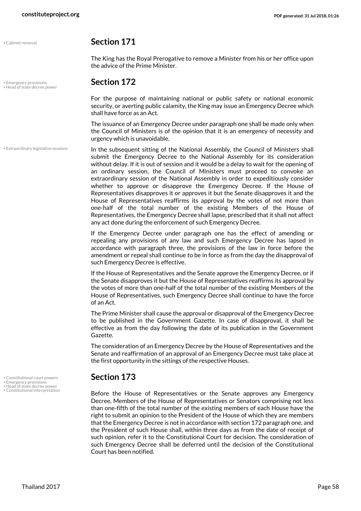• Extraordinary legislative sessions

## • Cabinet removal **Section 171**

The King has the Royal Prerogative to remove a Minister from his or her office upon the advice of the Prime Minister.

# • Emergency provisions **Section 172** • Head of state decree power

For the purpose of maintaining national or public safety or national economic security, or averting public calamity, the King may issue an Emergency Decree which shall have force as an Act.

The issuance of an Emergency Decree under paragraph one shall be made only when the Council of Ministers is of the opinion that it is an emergency of necessity and urgency which is unavoidable.

In the subsequent sitting of the National Assembly, the Council of Ministers shall submit the Emergency Decree to the National Assembly for its consideration without delay. If it is out of session and it would be a delay to wait for the opening of an ordinary session, the Council of Ministers must proceed to convoke an extraordinary session of the National Assembly in order to expeditiously consider whether to approve or disapprove the Emergency Decree. If the House of Representatives disapproves it or approves it but the Senate disapproves it and the House of Representatives reaffirms its approval by the votes of not more than one-half of the total number of the existing Members of the House of Representatives, the Emergency Decree shall lapse, prescribed that it shall not affect any act done during the enforcement of such Emergency Decree.

If the Emergency Decree under paragraph one has the effect of amending or repealing any provisions of any law and such Emergency Decree has lapsed in accordance with paragraph three, the provisions of the law in force before the amendment or repeal shall continue to be in force as from the day the disapproval of such Emergency Decree is effective.

If the House of Representatives and the Senate approve the Emergency Decree, or if the Senate disapproves it but the House of Representatives reaffirms its approval by the votes of more than one-half of the total number of the existing Members of the House of Representatives, such Emergency Decree shall continue to have the force of an Act.

The Prime Minister shall cause the approval or disapproval of the Emergency Decree to be published in the Government Gazette. In case of disapproval, it shall be effective as from the day following the date of its publication in the Government Gazette.

The consideration of an Emergency Decree by the House of Representatives and the Senate and reaffirmation of an approval of an Emergency Decree must take place at the first opportunity in the sittings of the respective Houses.

## **Constitutional court powers Section 173**

• Emergency provisions<br>• Head of state decree power<br>• Constitutional interpretation

Before the House of Representatives or the Senate approves any Emergency Decree, Members of the House of Representatives or Senators comprising not less than one-fifth of the total number of the existing members of each House have the right to submit an opinion to the President of the House of which they are members that the Emergency Decree is not in accordance with section 172 paragraph one, and the President of such House shall, within three days as from the date of receipt of such opinion, refer it to the Constitutional Court for decision. The consideration of such Emergency Decree shall be deferred until the decision of the Constitutional Court has been notified.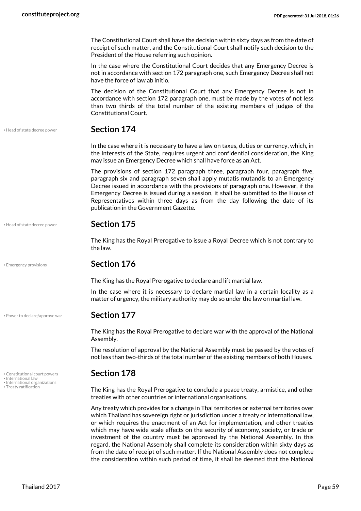The Constitutional Court shall have the decision within sixty days as from the date of receipt of such matter, and the Constitutional Court shall notify such decision to the President of the House referring such opinion.

In the case where the Constitutional Court decides that any Emergency Decree is not in accordance with section 172 paragraph one, such Emergency Decree shall not have the force of law ab initio.

The decision of the Constitutional Court that any Emergency Decree is not in accordance with section 172 paragraph one, must be made by the votes of not less than two thirds of the total number of the existing members of judges of the Constitutional Court.

#### • Head of state decree power **Section 174**

In the case where it is necessary to have a law on taxes, duties or currency, which, in the interests of the State, requires urgent and confidential consideration, the King may issue an Emergency Decree which shall have force as an Act.

The provisions of section 172 paragraph three, paragraph four, paragraph five, paragraph six and paragraph seven shall apply mutatis mutandis to an Emergency Decree issued in accordance with the provisions of paragraph one. However, if the Emergency Decree is issued during a session, it shall be submitted to the House of Representatives within three days as from the day following the date of its publication in the Government Gazette.

### • Head of state decree power **Section 175**

The King has the Royal Prerogative to issue a Royal Decree which is not contrary to the law.

### • Emergency provisions **Section 176**

The King has the Royal Prerogative to declare and lift martial law.

In the case where it is necessary to declare martial law in a certain locality as a matter of urgency, the military authority may do so under the law on martial law.

### • Power to declare/approve war **Section 177**

The King has the Royal Prerogative to declare war with the approval of the National Assembly.

The resolution of approval by the National Assembly must be passed by the votes of not less than two-thirds of the total number of the existing members of both Houses.

# • Constitutional court powers **Section 178** • International law

The King has the Royal Prerogative to conclude a peace treaty, armistice, and other treaties with other countries or international organisations.

Any treaty which provides for a change in Thai territories or external territories over which Thailand has sovereign right or jurisdiction under a treaty or international law, or which requires the enactment of an Act for implementation, and other treaties which may have wide scale effects on the security of economy, society, or trade or investment of the country must be approved by the National Assembly. In this regard, the National Assembly shall complete its consideration within sixty days as from the date of receipt of such matter. If the National Assembly does not complete the consideration within such period of time, it shall be deemed that the National

- 
- International organizations<br>• Treaty ratification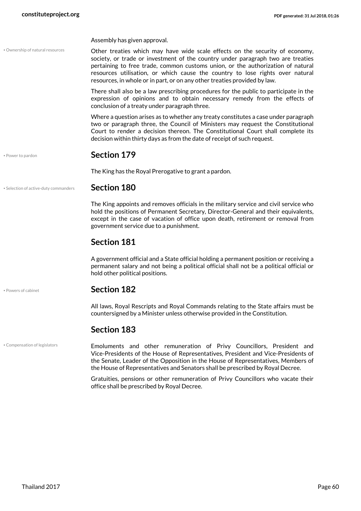Assembly has given approval.

• Ownership of natural resources

Other treaties which may have wide scale effects on the security of economy, society, or trade or investment of the country under paragraph two are treaties pertaining to free trade, common customs union, or the authorization of natural resources utilisation, or which cause the country to lose rights over natural resources, in whole or in part, or on any other treaties provided by law.

There shall also be a law prescribing procedures for the public to participate in the expression of opinions and to obtain necessary remedy from the effects of conclusion of a treaty under paragraph three.

Where a question arises as to whether any treaty constitutes a case under paragraph two or paragraph three, the Council of Ministers may request the Constitutional Court to render a decision thereon. The Constitutional Court shall complete its decision within thirty days as from the date of receipt of such request.

#### • Power to pardon **Section 179**

The King has the Royal Prerogative to grant a pardon.

• Selection of active-duty commanders **Section 180**

The King appoints and removes officials in the military service and civil service who hold the positions of Permanent Secretary, Director-General and their equivalents, except in the case of vacation of office upon death, retirement or removal from government service due to a punishment.

### **Section 181**

A government official and a State official holding a permanent position or receiving a permanent salary and not being a political official shall not be a political official or hold other political positions.

#### • Powers of cabinet **Section 182**

All laws, Royal Rescripts and Royal Commands relating to the State affairs must be countersigned by a Minister unless otherwise provided in the Constitution.

### **Section 183**

• Compensation of legislators

Emoluments and other remuneration of Privy Councillors, President and Vice-Presidents of the House of Representatives, President and Vice-Presidents of the Senate, Leader of the Opposition in the House of Representatives, Members of the House of Representatives and Senators shall be prescribed by Royal Decree.

Gratuities, pensions or other remuneration of Privy Councillors who vacate their office shall be prescribed by Royal Decree.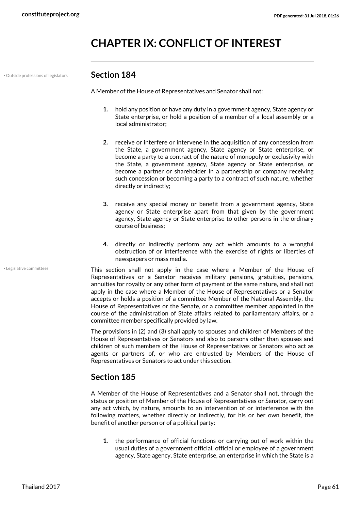# **CHAPTER IX: CONFLICT OF INTEREST**

• Outside professions of legislators **Section 184**

A Member of the House of Representatives and Senator shall not:

- **1.** hold any position or have any duty in a government agency, State agency or State enterprise, or hold a position of a member of a local assembly or a local administrator;
- **2.** receive or interfere or intervene in the acquisition of any concession from the State, a government agency, State agency or State enterprise, or become a party to a contract of the nature of monopoly or exclusivity with the State, a government agency, State agency or State enterprise, or become a partner or shareholder in a partnership or company receiving such concession or becoming a party to a contract of such nature, whether directly or indirectly;
- **3.** receive any special money or benefit from a government agency, State agency or State enterprise apart from that given by the government agency, State agency or State enterprise to other persons in the ordinary course of business;
- **4.** directly or indirectly perform any act which amounts to a wrongful obstruction of or interference with the exercise of rights or liberties of newspapers or mass media.

This section shall not apply in the case where a Member of the House of Representatives or a Senator receives military pensions, gratuities, pensions, annuities for royalty or any other form of payment of the same nature, and shall not apply in the case where a Member of the House of Representatives or a Senator accepts or holds a position of a committee Member of the National Assembly, the House of Representatives or the Senate, or a committee member appointed in the course of the administration of State affairs related to parliamentary affairs, or a committee member specifically provided by law.

The provisions in (2) and (3) shall apply to spouses and children of Members of the House of Representatives or Senators and also to persons other than spouses and children of such members of the House of Representatives or Senators who act as agents or partners of, or who are entrusted by Members of the House of Representatives or Senators to act under this section.

## **Section 185**

A Member of the House of Representatives and a Senator shall not, through the status or position of Member of the House of Representatives or Senator, carry out any act which, by nature, amounts to an intervention of or interference with the following matters, whether directly or indirectly, for his or her own benefit, the benefit of another person or of a political party:

**1.** the performance of official functions or carrying out of work within the usual duties of a government official, official or employee of a government agency, State agency, State enterprise, an enterprise in which the State is a

• Legislative committees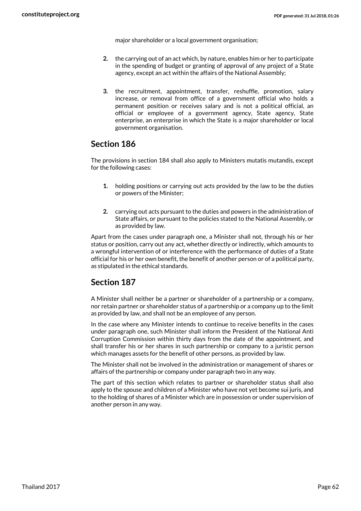major shareholder or a local government organisation;

- **2.** the carrying out of an act which, by nature, enables him or her to participate in the spending of budget or granting of approval of any project of a State agency, except an act within the affairs of the National Assembly;
- **3.** the recruitment, appointment, transfer, reshuffle, promotion, salary increase, or removal from office of a government official who holds a permanent position or receives salary and is not a political official, an official or employee of a government agency, State agency, State enterprise, an enterprise in which the State is a major shareholder or local government organisation.

## **Section 186**

The provisions in section 184 shall also apply to Ministers mutatis mutandis, except for the following cases:

- **1.** holding positions or carrying out acts provided by the law to be the duties or powers of the Minister;
- **2.** carrying out acts pursuant to the duties and powers in the administration of State affairs, or pursuant to the policies stated to the National Assembly, or as provided by law.

Apart from the cases under paragraph one, a Minister shall not, through his or her status or position, carry out any act, whether directly or indirectly, which amounts to a wrongful intervention of or interference with the performance of duties of a State official for his or her own benefit, the benefit of another person or of a political party, as stipulated in the ethical standards.

## **Section 187**

A Minister shall neither be a partner or shareholder of a partnership or a company, nor retain partner or shareholder status of a partnership or a company up to the limit as provided by law, and shall not be an employee of any person.

In the case where any Minister intends to continue to receive benefits in the cases under paragraph one, such Minister shall inform the President of the National Anti Corruption Commission within thirty days from the date of the appointment, and shall transfer his or her shares in such partnership or company to a juristic person which manages assets for the benefit of other persons, as provided by law.

The Minister shall not be involved in the administration or management of shares or affairs of the partnership or company under paragraph two in any way.

The part of this section which relates to partner or shareholder status shall also apply to the spouse and children of a Minister who have not yet become sui juris, and to the holding of shares of a Minister which are in possession or under supervision of another person in any way.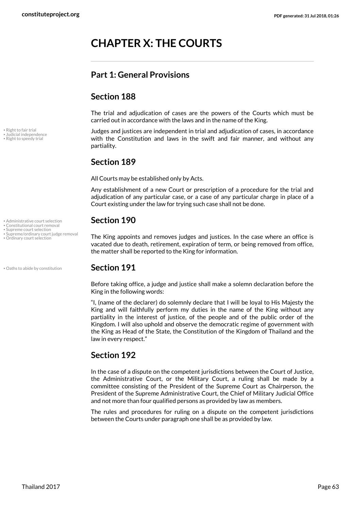# **CHAPTER X: THE COURTS**

## **Part 1: General Provisions**

## **Section 188**

The trial and adjudication of cases are the powers of the Courts which must be carried out in accordance with the laws and in the name of the King.

Judges and justices are independent in trial and adjudication of cases, in accordance with the Constitution and laws in the swift and fair manner, and without any partiality.

## **Section 189**

All Courts may be established only by Acts.

Any establishment of a new Court or prescription of a procedure for the trial and adjudication of any particular case, or a case of any particular charge in place of a Court existing under the law for trying such case shall not be done.

# • Administrative court selection **Section 190** • Constitutional court removal

The King appoints and removes judges and justices. In the case where an office is vacated due to death, retirement, expiration of term, or being removed from office, the matter shall be reported to the King for information.

Before taking office, a judge and justice shall make a solemn declaration before the King in the following words:

"I, (name of the declarer) do solemnly declare that I will be loyal to His Majesty the King and will faithfully perform my duties in the name of the King without any partiality in the interest of justice, of the people and of the public order of the Kingdom. I will also uphold and observe the democratic regime of government with the King as Head of the State, the Constitution of the Kingdom of Thailand and the law in every respect."

## **Section 192**

In the case of a dispute on the competent jurisdictions between the Court of Justice, the Administrative Court, or the Military Court, a ruling shall be made by a committee consisting of the President of the Supreme Court as Chairperson, the President of the Supreme Administrative Court, the Chief of Military Judicial Office and not more than four qualified persons as provided by law as members.

The rules and procedures for ruling on a dispute on the competent jurisdictions between the Courts under paragraph one shall be as provided by law.

• Right to fair trial • Judicial independence • Right to speedy trial

- 
- 
- 
- Supreme court selection
- Supreme/ordinary court judge removal

• Oaths to abide by constitution **Section 191**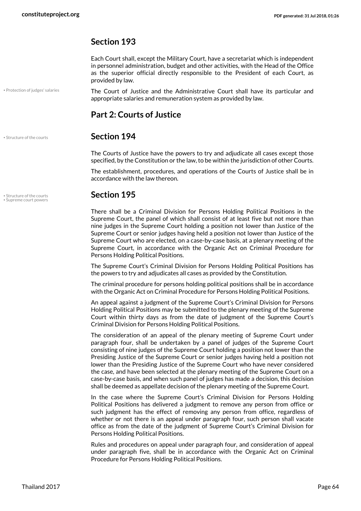Each Court shall, except the Military Court, have a secretariat which is independent in personnel administration, budget and other activities, with the Head of the Office as the superior official directly responsible to the President of each Court, as provided by law.

• Protection of judges' salaries

The Court of Justice and the Administrative Court shall have its particular and appropriate salaries and remuneration system as provided by law.

### **Part 2: Courts of Justice**

#### • Structure of the courts **Section 194**

The Courts of Justice have the powers to try and adjudicate all cases except those specified, by the Constitution or the law, to be within the jurisdiction of other Courts.

The establishment, procedures, and operations of the Courts of Justice shall be in accordance with the law thereon.

# • Structure of the courts **Section 195** • Supreme court powers

There shall be a Criminal Division for Persons Holding Political Positions in the Supreme Court, the panel of which shall consist of at least five but not more than nine judges in the Supreme Court holding a position not lower than Justice of the Supreme Court or senior judges having held a position not lower than Justice of the Supreme Court who are elected, on a case-by-case basis, at a plenary meeting of the Supreme Court, in accordance with the Organic Act on Criminal Procedure for Persons Holding Political Positions.

The Supreme Court's Criminal Division for Persons Holding Political Positions has the powers to try and adjudicates all cases as provided by the Constitution.

The criminal procedure for persons holding political positions shall be in accordance with the Organic Act on Criminal Procedure for Persons Holding Political Positions.

An appeal against a judgment of the Supreme Court's Criminal Division for Persons Holding Political Positions may be submitted to the plenary meeting of the Supreme Court within thirty days as from the date of judgment of the Supreme Court's Criminal Division for Persons Holding Political Positions.

The consideration of an appeal of the plenary meeting of Supreme Court under paragraph four, shall be undertaken by a panel of judges of the Supreme Court consisting of nine judges of the Supreme Court holding a position not lower than the Presiding Justice of the Supreme Court or senior judges having held a position not lower than the Presiding Justice of the Supreme Court who have never considered the case, and have been selected at the plenary meeting of the Supreme Court on a case-by-case basis, and when such panel of judges has made a decision, this decision shall be deemed as appellate decision of the plenary meeting of the Supreme Court.

In the case where the Supreme Court's Criminal Division for Persons Holding Political Positions has delivered a judgment to remove any person from office or such judgment has the effect of removing any person from office, regardless of whether or not there is an appeal under paragraph four, such person shall vacate office as from the date of the judgment of Supreme Court's Criminal Division for Persons Holding Political Positions.

Rules and procedures on appeal under paragraph four, and consideration of appeal under paragraph five, shall be in accordance with the Organic Act on Criminal Procedure for Persons Holding Political Positions.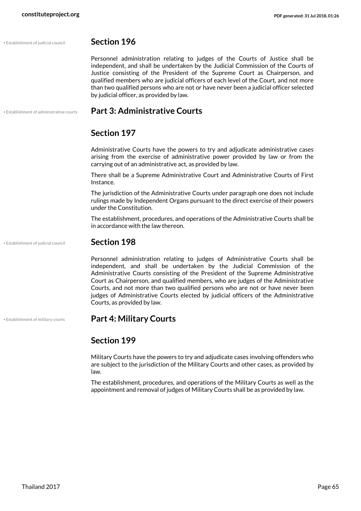• Establishment of judicial council **Section 196**

Personnel administration relating to judges of the Courts of Justice shall be independent, and shall be undertaken by the Judicial Commission of the Courts of Justice consisting of the President of the Supreme Court as Chairperson, and qualified members who are judicial officers of each level of the Court, and not more than two qualified persons who are not or have never been a judicial officer selected by judicial officer, as provided by law.

## • Establishment of administrative courts **Part 3: Administrative Courts**

## **Section 197**

Administrative Courts have the powers to try and adjudicate administrative cases arising from the exercise of administrative power provided by law or from the carrying out of an administrative act, as provided by law.

There shall be a Supreme Administrative Court and Administrative Courts of First Instance.

The jurisdiction of the Administrative Courts under paragraph one does not include rulings made by Independent Organs pursuant to the direct exercise of their powers under the Constitution.

The establishment, procedures, and operations of the Administrative Courts shall be in accordance with the law thereon.

#### • Establishment of judicial council **Section 198**

Personnel administration relating to judges of Administrative Courts shall be independent, and shall be undertaken by the Judicial Commission of the Administrative Courts consisting of the President of the Supreme Administrative Court as Chairperson, and qualified members, who are judges of the Administrative Courts, and not more than two qualified persons who are not or have never been judges of Administrative Courts elected by judicial officers of the Administrative Courts, as provided by law.

#### • Establishment of military courts **Part 4: Military Courts**

### **Section 199**

Military Courts have the powers to try and adjudicate cases involving offenders who are subject to the jurisdiction of the Military Courts and other cases, as provided by law.

The establishment, procedures, and operations of the Military Courts as well as the appointment and removal of judges of Military Courts shall be as provided by law.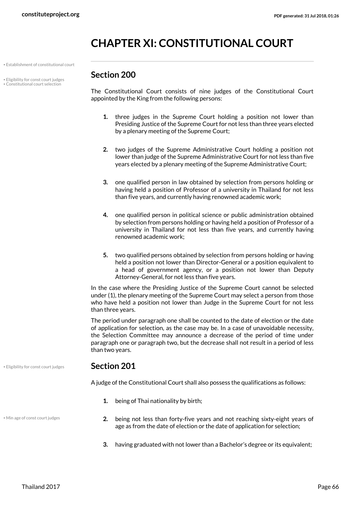# **CHAPTER XI: CONSTITUTIONAL COURT**

• Establishment of constitutional court

• Constitutional court selection

# **Section 200** • Eligibility for const court judges

The Constitutional Court consists of nine judges of the Constitutional Court appointed by the King from the following persons:

- **1.** three judges in the Supreme Court holding a position not lower than Presiding Justice of the Supreme Court for not less than three years elected by a plenary meeting of the Supreme Court;
- **2.** two judges of the Supreme Administrative Court holding a position not lower than judge of the Supreme Administrative Court for not less than five years elected by a plenary meeting of the Supreme Administrative Court;
- **3.** one qualified person in law obtained by selection from persons holding or having held a position of Professor of a university in Thailand for not less than five years, and currently having renowned academic work;
- **4.** one qualified person in political science or public administration obtained by selection from persons holding or having held a position of Professor of a university in Thailand for not less than five years, and currently having renowned academic work;
- **5.** two qualified persons obtained by selection from persons holding or having held a position not lower than Director-General or a position equivalent to a head of government agency, or a position not lower than Deputy Attorney-General, for not less than five years.

In the case where the Presiding Justice of the Supreme Court cannot be selected under (1), the plenary meeting of the Supreme Court may select a person from those who have held a position not lower than Judge in the Supreme Court for not less than three years.

The period under paragraph one shall be counted to the date of election or the date of application for selection, as the case may be. In a case of unavoidable necessity, the Selection Committee may announce a decrease of the period of time under paragraph one or paragraph two, but the decrease shall not result in a period of less than two years.

• Eligibility for const court judges **Section 201**

A judge of the Constitutional Court shall also possess the qualifications as follows:

**1.** being of Thai nationality by birth;

• Min age of const court judges

- **2.** being not less than forty-five years and not reaching sixty-eight years of age as from the date of election or the date of application for selection;
- **3.** having graduated with not lower than a Bachelor's degree or its equivalent;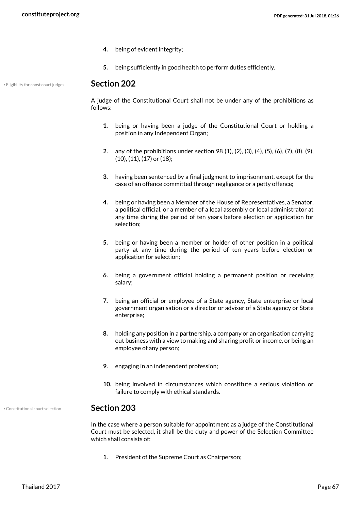- **4.** being of evident integrity;
- **5.** being sufficiently in good health to perform duties efficiently.

• Eligibility for const court judges **Section 202**

A judge of the Constitutional Court shall not be under any of the prohibitions as follows:

- **1.** being or having been a judge of the Constitutional Court or holding a position in any Independent Organ;
- **2.** any of the prohibitions under section 98 (1), (2), (3), (4), (5), (6), (7), (8), (9), (10), (11), (17) or (18);
- **3.** having been sentenced by a final judgment to imprisonment, except for the case of an offence committed through negligence or a petty offence;
- **4.** being or having been a Member of the House of Representatives, a Senator, a political official, or a member of a local assembly or local administrator at any time during the period of ten years before election or application for selection;
- **5.** being or having been a member or holder of other position in a political party at any time during the period of ten years before election or application for selection;
- **6.** being a government official holding a permanent position or receiving salary;
- **7.** being an official or employee of a State agency, State enterprise or local government organisation or a director or adviser of a State agency or State enterprise;
- **8.** holding any position in a partnership, a company or an organisation carrying out business with a view to making and sharing profit or income, or being an employee of any person;
- **9.** engaging in an independent profession;
- **10.** being involved in circumstances which constitute a serious violation or failure to comply with ethical standards.

#### • Constitutional court selection **Section 203**

In the case where a person suitable for appointment as a judge of the Constitutional Court must be selected, it shall be the duty and power of the Selection Committee which shall consists of:

**1.** President of the Supreme Court as Chairperson;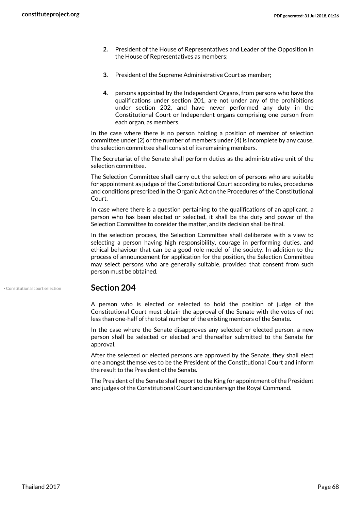- **2.** President of the House of Representatives and Leader of the Opposition in the House of Representatives as members;
- **3.** President of the Supreme Administrative Court as member;
- **4.** persons appointed by the Independent Organs, from persons who have the qualifications under section 201, are not under any of the prohibitions under section 202, and have never performed any duty in the Constitutional Court or Independent organs comprising one person from each organ, as members.

In the case where there is no person holding a position of member of selection committee under (2) or the number of members under (4) is incomplete by any cause, the selection committee shall consist of its remaining members.

The Secretariat of the Senate shall perform duties as the administrative unit of the selection committee.

The Selection Committee shall carry out the selection of persons who are suitable for appointment as judges of the Constitutional Court according to rules, procedures and conditions prescribed in the Organic Act on the Procedures of the Constitutional Court.

In case where there is a question pertaining to the qualifications of an applicant, a person who has been elected or selected, it shall be the duty and power of the Selection Committee to consider the matter, and its decision shall be final.

In the selection process, the Selection Committee shall deliberate with a view to selecting a person having high responsibility, courage in performing duties, and ethical behaviour that can be a good role model of the society. In addition to the process of announcement for application for the position, the Selection Committee may select persons who are generally suitable, provided that consent from such person must be obtained.

#### • Constitutional court selection **Section 204**

A person who is elected or selected to hold the position of judge of the Constitutional Court must obtain the approval of the Senate with the votes of not less than one-half of the total number of the existing members of the Senate.

In the case where the Senate disapproves any selected or elected person, a new person shall be selected or elected and thereafter submitted to the Senate for approval.

After the selected or elected persons are approved by the Senate, they shall elect one amongst themselves to be the President of the Constitutional Court and inform the result to the President of the Senate.

The President of the Senate shall report to the King for appointment of the President and judges of the Constitutional Court and countersign the Royal Command.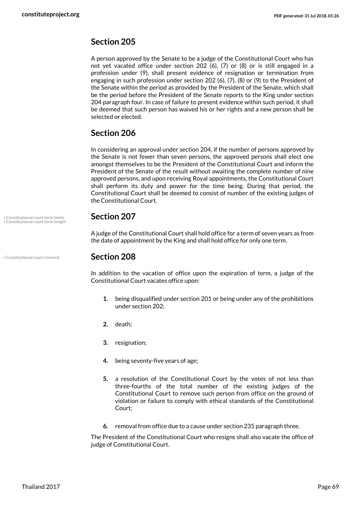A person approved by the Senate to be a judge of the Constitutional Court who has not yet vacated office under section 202 (6), (7) or (8) or is still engaged in a profession under (9), shall present evidence of resignation or termination from engaging in such profession under section 202 (6), (7), (8) or (9) to the President of the Senate within the period as provided by the President of the Senate, which shall be the period before the President of the Senate reports to the King under section 204 paragraph four. In case of failure to present evidence within such period, it shall be deemed that such person has waived his or her rights and a new person shall be selected or elected.

## **Section 206**

In considering an approval under section 204, if the number of persons approved by the Senate is not fewer than seven persons, the approved persons shall elect one amongst themselves to be the President of the Constitutional Court and inform the President of the Senate of the result without awaiting the complete number of nine approved persons, and upon receiving Royal appointments, the Constitutional Court shall perform its duty and power for the time being. During that period, the Constitutional Court shall be deemed to consist of number of the existing judges of the Constitutional Court.

• Constitutional court term limits **Section 207** • Constitutional court term length

A judge of the Constitutional Court shall hold office for a term of seven years as from the date of appointment by the King and shall hold office for only one term.

#### • Constitutional court removal **Section 208**

In addition to the vacation of office upon the expiration of term, a judge of the Constitutional Court vacates office upon:

- **1.** being disqualified under section 201 or being under any of the prohibitions under section 202;
- **2.** death;
- **3.** resignation;
- **4.** being seventy-five years of age;
- **5.** a resolution of the Constitutional Court by the votes of not less than three-fourths of the total number of the existing judges of the Constitutional Court to remove such person from office on the ground of violation or failure to comply with ethical standards of the Constitutional Court;
- **6.** removal from office due to a cause under section 235 paragraph three.

The President of the Constitutional Court who resigns shall also vacate the office of judge of Constitutional Court.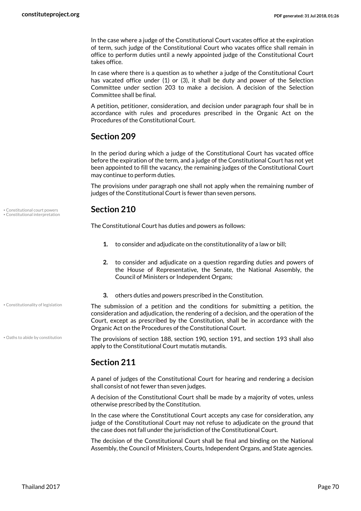In the case where a judge of the Constitutional Court vacates office at the expiration of term, such judge of the Constitutional Court who vacates office shall remain in office to perform duties until a newly appointed judge of the Constitutional Court takes office.

In case where there is a question as to whether a judge of the Constitutional Court has vacated office under (1) or (3), it shall be duty and power of the Selection Committee under section 203 to make a decision. A decision of the Selection Committee shall be final.

A petition, petitioner, consideration, and decision under paragraph four shall be in accordance with rules and procedures prescribed in the Organic Act on the Procedures of the Constitutional Court.

### **Section 209**

In the period during which a judge of the Constitutional Court has vacated office before the expiration of the term, and a judge of the Constitutional Court has not yet been appointed to fill the vacancy, the remaining judges of the Constitutional Court may continue to perform duties.

The provisions under paragraph one shall not apply when the remaining number of judges of the Constitutional Court is fewer than seven persons.

# • Constitutional court powers **Section 210** • Constitutional interpretation

The Constitutional Court has duties and powers as follows:

- **1.** to consider and adjudicate on the constitutionality of a law or bill;
- **2.** to consider and adjudicate on a question regarding duties and powers of the House of Representative, the Senate, the National Assembly, the Council of Ministers or Independent Organs;
- **3.** others duties and powers prescribed in the Constitution.

The submission of a petition and the conditions for submitting a petition, the consideration and adjudication, the rendering of a decision, and the operation of the Court, except as prescribed by the Constitution, shall be in accordance with the Organic Act on the Procedures of the Constitutional Court.

The provisions of section 188, section 190, section 191, and section 193 shall also apply to the Constitutional Court mutatis mutandis.

### **Section 211**

A panel of judges of the Constitutional Court for hearing and rendering a decision shall consist of not fewer than seven judges.

A decision of the Constitutional Court shall be made by a majority of votes, unless otherwise prescribed by the Constitution.

In the case where the Constitutional Court accepts any case for consideration, any judge of the Constitutional Court may not refuse to adjudicate on the ground that the case does not fall under the jurisdiction of the Constitutional Court.

The decision of the Constitutional Court shall be final and binding on the National Assembly, the Council of Ministers, Courts, Independent Organs, and State agencies.

• Constitutionality of legislation

• Oaths to abide by constitution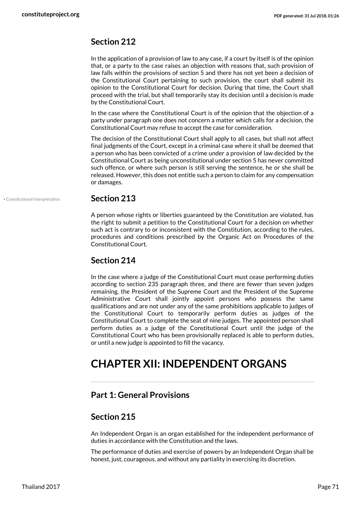In the application of a provision of law to any case, if a court by itself is of the opinion that, or a party to the case raises an objection with reasons that, such provision of law falls within the provisions of section 5 and there has not yet been a decision of the Constitutional Court pertaining to such provision, the court shall submit its opinion to the Constitutional Court for decision. During that time, the Court shall proceed with the trial, but shall temporarily stay its decision until a decision is made by the Constitutional Court.

In the case where the Constitutional Court is of the opinion that the objection of a party under paragraph one does not concern a matter which calls for a decision, the Constitutional Court may refuse to accept the case for consideration.

The decision of the Constitutional Court shall apply to all cases, but shall not affect final judgments of the Court, except in a criminal case where it shall be deemed that a person who has been convicted of a crime under a provision of law decided by the Constitutional Court as being unconstitutional under section 5 has never committed such offence, or where such person is still serving the sentence, he or she shall be released. However, this does not entitle such a person to claim for any compensation or damages.

#### • Constitutional interpretation **Section 213**

A person whose rights or liberties guaranteed by the Constitution are violated, has the right to submit a petition to the Constitutional Court for a decision on whether such act is contrary to or inconsistent with the Constitution, according to the rules, procedures and conditions prescribed by the Organic Act on Procedures of the Constitutional Court.

## **Section 214**

In the case where a judge of the Constitutional Court must cease performing duties according to section 235 paragraph three, and there are fewer than seven judges remaining, the President of the Supreme Court and the President of the Supreme Administrative Court shall jointly appoint persons who possess the same qualifications and are not under any of the same prohibitions applicable to judges of the Constitutional Court to temporarily perform duties as judges of the Constitutional Court to complete the seat of nine judges. The appointed person shall perform duties as a judge of the Constitutional Court until the judge of the Constitutional Court who has been provisionally replaced is able to perform duties, or until a new judge is appointed to fill the vacancy.

# **CHAPTER XII: INDEPENDENT ORGANS**

## **Part 1: General Provisions**

### **Section 215**

An Independent Organ is an organ established for the independent performance of duties in accordance with the Constitution and the laws.

The performance of duties and exercise of powers by an Independent Organ shall be honest, just, courageous, and without any partiality in exercising its discretion.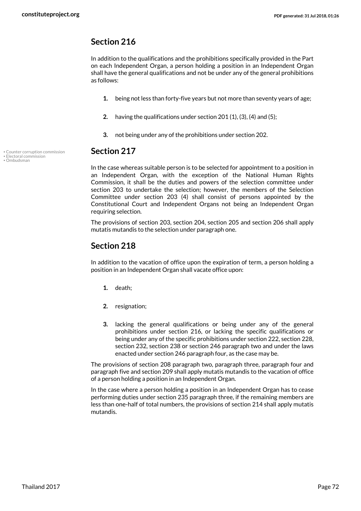In addition to the qualifications and the prohibitions specifically provided in the Part on each Independent Organ, a person holding a position in an Independent Organ shall have the general qualifications and not be under any of the general prohibitions as follows:

- **1.** being not less than forty-five years but not more than seventy years of age;
- **2.** having the qualifications under section 201 (1), (3), (4) and (5);
- **3.** not being under any of the prohibitions under section 202.

# • Counter corruption commission **Section 217** • Electoral commission

In the case whereas suitable person is to be selected for appointment to a position in an Independent Organ, with the exception of the National Human Rights Commission, it shall be the duties and powers of the selection committee under section 203 to undertake the selection; however, the members of the Selection Committee under section 203 (4) shall consist of persons appointed by the Constitutional Court and Independent Organs not being an Independent Organ requiring selection.

The provisions of section 203, section 204, section 205 and section 206 shall apply mutatis mutandis to the selection under paragraph one.

## **Section 218**

In addition to the vacation of office upon the expiration of term, a person holding a position in an Independent Organ shall vacate office upon:

- **1.** death;
- **2.** resignation;
- **3.** lacking the general qualifications or being under any of the general prohibitions under section 216, or lacking the specific qualifications or being under any of the specific prohibitions under section 222, section 228, section 232, section 238 or section 246 paragraph two and under the laws enacted under section 246 paragraph four, as the case may be.

The provisions of section 208 paragraph two, paragraph three, paragraph four and paragraph five and section 209 shall apply mutatis mutandis to the vacation of office of a person holding a position in an Independent Organ.

In the case where a person holding a position in an Independent Organ has to cease performing duties under section 235 paragraph three, if the remaining members are less than one-half of total numbers, the provisions of section 214 shall apply mutatis mutandis.

• Ombudsman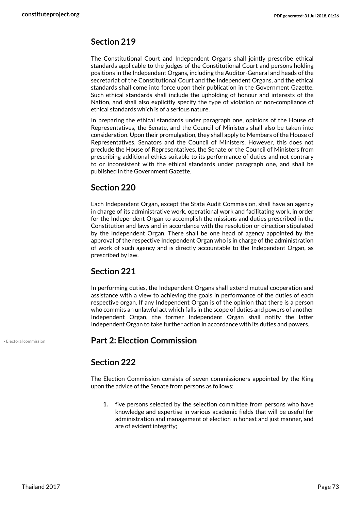### **Section 219**

The Constitutional Court and Independent Organs shall jointly prescribe ethical standards applicable to the judges of the Constitutional Court and persons holding positions in the Independent Organs, including the Auditor-General and heads of the secretariat of the Constitutional Court and the Independent Organs, and the ethical standards shall come into force upon their publication in the Government Gazette. Such ethical standards shall include the upholding of honour and interests of the Nation, and shall also explicitly specify the type of violation or non-compliance of ethical standards which is of a serious nature.

In preparing the ethical standards under paragraph one, opinions of the House of Representatives, the Senate, and the Council of Ministers shall also be taken into consideration. Upon their promulgation, they shall apply to Members of the House of Representatives, Senators and the Council of Ministers. However, this does not preclude the House of Representatives, the Senate or the Council of Ministers from prescribing additional ethics suitable to its performance of duties and not contrary to or inconsistent with the ethical standards under paragraph one, and shall be published in the Government Gazette.

### **Section 220**

Each Independent Organ, except the State Audit Commission, shall have an agency in charge of its administrative work, operational work and facilitating work, in order for the Independent Organ to accomplish the missions and duties prescribed in the Constitution and laws and in accordance with the resolution or direction stipulated by the Independent Organ. There shall be one head of agency appointed by the approval of the respective Independent Organ who is in charge of the administration of work of such agency and is directly accountable to the Independent Organ, as prescribed by law.

### **Section 221**

In performing duties, the Independent Organs shall extend mutual cooperation and assistance with a view to achieving the goals in performance of the duties of each respective organ. If any Independent Organ is of the opinion that there is a person who commits an unlawful act which falls in the scope of duties and powers of another Independent Organ, the former Independent Organ shall notify the latter Independent Organ to take further action in accordance with its duties and powers.

<span id="page-72-0"></span>

### • Electoral commission **Part 2: Election Commission**

### **Section 222**

The Election Commission consists of seven commissioners appointed by the King upon the advice of the Senate from persons as follows:

**1.** five persons selected by the selection committee from persons who have knowledge and expertise in various academic fields that will be useful for administration and management of election in honest and just manner, and are of evident integrity;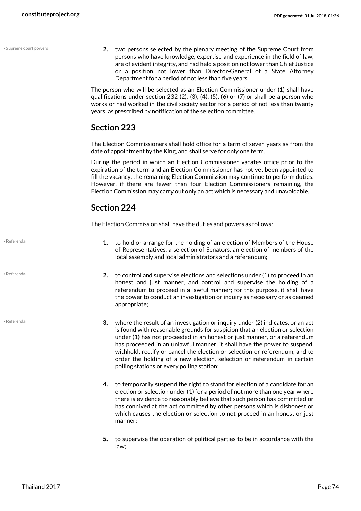<span id="page-73-1"></span>• Supreme court powers

• Referenda

• Referenda

<span id="page-73-0"></span>• Referenda

**2.** two persons selected by the plenary meeting of the Supreme Court from persons who have knowledge, expertise and experience in the field of law, are of evident integrity, and had held a position not lower than Chief Justice or a position not lower than Director-General of a State Attorney Department for a period of not less than five years.

The person who will be selected as an Election Commissioner under (1) shall have qualifications under section 232 (2), (3), (4), (5), (6) or (7) or shall be a person who works or had worked in the civil society sector for a period of not less than twenty years, as prescribed by notification of the selection committee.

## **Section 223**

The Election Commissioners shall hold office for a term of seven years as from the date of appointment by the King, and shall serve for only one term.

During the period in which an Election Commissioner vacates office prior to the expiration of the term and an Election Commissioner has not yet been appointed to fill the vacancy, the remaining Election Commission may continue to perform duties. However, if there are fewer than four Election Commissioners remaining, the Election Commission may carry out only an act which is necessary and unavoidable.

## **Section 224**

The Election Commission shall have the duties and powers as follows:

- **1.** to hold or arrange for the holding of an election of Members of the House of Representatives, a selection of Senators, an election of members of the local assembly and local administrators and a referendum;
- **2.** to control and supervise elections and selections under (1) to proceed in an honest and just manner, and control and supervise the holding of a referendum to proceed in a lawful manner; for this purpose, it shall have the power to conduct an investigation or inquiry as necessary or as deemed appropriate;
- **3.** where the result of an investigation or inquiry under (2) indicates, or an act is found with reasonable grounds for suspicion that an election or selection under (1) has not proceeded in an honest or just manner, or a referendum has proceeded in an unlawful manner, it shall have the power to suspend, withhold, rectify or cancel the election or selection or referendum, and to order the holding of a new election, selection or referendum in certain polling stations or every polling station;
- **4.** to temporarily suspend the right to stand for election of a candidate for an election or selection under (1) for a period of not more than one year where there is evidence to reasonably believe that such person has committed or has connived at the act committed by other persons which is dishonest or which causes the election or selection to not proceed in an honest or just manner;
- **5.** to supervise the operation of political parties to be in accordance with the law;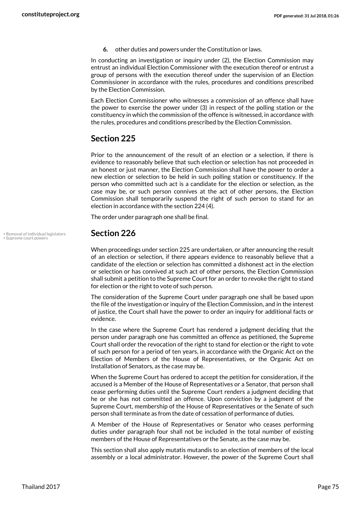**6.** other duties and powers under the Constitution or laws.

In conducting an investigation or inquiry under (2), the Election Commission may entrust an individual Election Commissioner with the execution thereof or entrust a group of persons with the execution thereof under the supervision of an Election Commissioner in accordance with the rules, procedures and conditions prescribed by the Election Commission.

Each Election Commissioner who witnesses a commission of an offence shall have the power to exercise the power under (3) in respect of the polling station or the constituency in which the commission of the offence is witnessed, in accordance with the rules, procedures and conditions prescribed by the Election Commission.

# **Section 225**

Prior to the announcement of the result of an election or a selection, if there is evidence to reasonably believe that such election or selection has not proceeded in an honest or just manner, the Election Commission shall have the power to order a new election or selection to be held in such polling station or constituency. If the person who committed such act is a candidate for the election or selection, as the case may be, or such person connives at the act of other persons, the Election Commission shall temporarily suspend the right of such person to stand for an election in accordance with the section 224 (4).

The order under paragraph one shall be final.

<span id="page-74-1"></span><span id="page-74-0"></span>When proceedings under section 225 are undertaken, or after announcing the result of an election or selection, if there appears evidence to reasonably believe that a candidate of the election or selection has committed a dishonest act in the election or selection or has connived at such act of other persons, the Election Commission shall submit a petition to the Supreme Court for an order to revoke the right to stand for election or the right to vote of such person.

The consideration of the Supreme Court under paragraph one shall be based upon the file of the investigation or inquiry of the Election Commission, and in the interest of justice, the Court shall have the power to order an inquiry for additional facts or evidence.

In the case where the Supreme Court has rendered a judgment deciding that the person under paragraph one has committed an offence as petitioned, the Supreme Court shall order the revocation of the right to stand for election or the right to vote of such person for a period of ten years, in accordance with the Organic Act on the Election of Members of the House of Representatives, or the Organic Act on Installation of Senators, as the case may be.

When the Supreme Court has ordered to accept the petition for consideration, if the accused is a Member of the House of Representatives or a Senator, that person shall cease performing duties until the Supreme Court renders a judgment deciding that he or she has not committed an offence. Upon conviction by a judgment of the Supreme Court, membership of the House of Representatives or the Senate of such person shall terminate as from the date of cessation of performance of duties.

A Member of the House of Representatives or Senator who ceases performing duties under paragraph four shall not be included in the total number of existing members of the House of Representatives or the Senate, as the case may be.

This section shall also apply mutatis mutandis to an election of members of the local assembly or a local administrator. However, the power of the Supreme Court shall

• Removal of individual legislators **Section 226** • Supreme court powers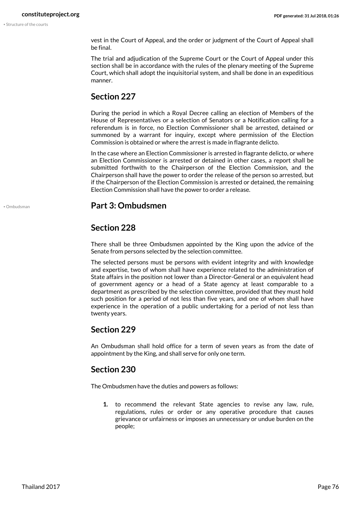<span id="page-75-1"></span>vest in the Court of Appeal, and the order or judgment of the Court of Appeal shall be final.

The trial and adjudication of the Supreme Court or the Court of Appeal under this section shall be in accordance with the rules of the plenary meeting of the Supreme Court, which shall adopt the inquisitorial system, and shall be done in an expeditious manner.

### **Section 227**

During the period in which a Royal Decree calling an election of Members of the House of Representatives or a selection of Senators or a Notification calling for a referendum is in force, no Election Commissioner shall be arrested, detained or summoned by a warrant for inquiry, except where permission of the Election Commission is obtained or where the arrest is made in flagrante delicto.

In the case where an Election Commissioner is arrested in flagrante delicto, or where an Election Commissioner is arrested or detained in other cases, a report shall be submitted forthwith to the Chairperson of the Election Commission, and the Chairperson shall have the power to order the release of the person so arrested, but if the Chairperson of the Election Commission is arrested or detained, the remaining Election Commission shall have the power to order a release.

<span id="page-75-0"></span>• Ombudsman **Part 3: Ombudsmen**

### **Section 228**

There shall be three Ombudsmen appointed by the King upon the advice of the Senate from persons selected by the selection committee.

The selected persons must be persons with evident integrity and with knowledge and expertise, two of whom shall have experience related to the administration of State affairs in the position not lower than a Director-General or an equivalent head of government agency or a head of a State agency at least comparable to a department as prescribed by the selection committee, provided that they must hold such position for a period of not less than five years, and one of whom shall have experience in the operation of a public undertaking for a period of not less than twenty years.

### **Section 229**

An Ombudsman shall hold office for a term of seven years as from the date of appointment by the King, and shall serve for only one term.

### **Section 230**

The Ombudsmen have the duties and powers as follows:

**1.** to recommend the relevant State agencies to revise any law, rule, regulations, rules or order or any operative procedure that causes grievance or unfairness or imposes an unnecessary or undue burden on the people;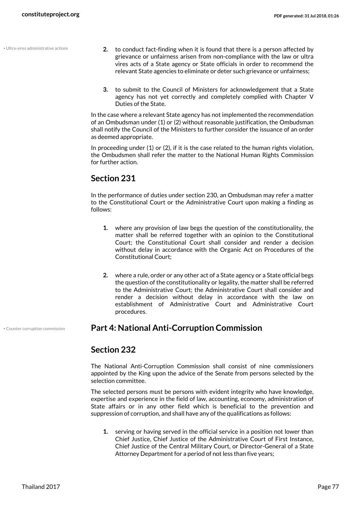• Ultra-vires administrative actions

- **2.** to conduct fact-finding when it is found that there is a person affected by grievance or unfairness arisen from non-compliance with the law or ultra vires acts of a State agency or State officials in order to recommend the relevant State agencies to eliminate or deter such grievance or unfairness;
- **3.** to submit to the Council of Ministers for acknowledgement that a State agency has not yet correctly and completely complied with Chapter V Duties of the State.

In the case where a relevant State agency has not implemented the recommendation of an Ombudsman under (1) or (2) without reasonable justification, the Ombudsman shall notify the Council of the Ministers to further consider the issuance of an order as deemed appropriate.

In proceeding under (1) or (2), if it is the case related to the human rights violation, the Ombudsmen shall refer the matter to the National Human Rights Commission for further action.

## **Section 231**

In the performance of duties under section 230, an Ombudsman may refer a matter to the Constitutional Court or the Administrative Court upon making a finding as follows:

- **1.** where any provision of law begs the question of the constitutionality, the matter shall be referred together with an opinion to the Constitutional Court; the Constitutional Court shall consider and render a decision without delay in accordance with the Organic Act on Procedures of the Constitutional Court;
- **2.** where a rule, order or any other act of a State agency or a State official begs the question of the constitutionality or legality, the matter shall be referred to the Administrative Court; the Administrative Court shall consider and render a decision without delay in accordance with the law on establishment of Administrative Court and Administrative Court procedures.

### • Counter corruption commission **Part 4: National Anti-Corruption Commission**

### <span id="page-76-0"></span>**Section 232**

The National Anti-Corruption Commission shall consist of nine commissioners appointed by the King upon the advice of the Senate from persons selected by the selection committee.

The selected persons must be persons with evident integrity who have knowledge, expertise and experience in the field of law, accounting, economy, administration of State affairs or in any other field which is beneficial to the prevention and suppression of corruption, and shall have any of the qualifications as follows:

**1.** serving or having served in the official service in a position not lower than Chief Justice, Chief Justice of the Administrative Court of First Instance, Chief Justice of the Central Military Court, or Director-General of a State Attorney Department for a period of not less than five years;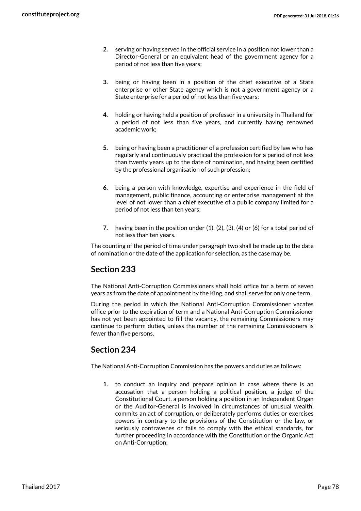- **2.** serving or having served in the official service in a position not lower than a Director-General or an equivalent head of the government agency for a period of not less than five years;
- **3.** being or having been in a position of the chief executive of a State enterprise or other State agency which is not a government agency or a State enterprise for a period of not less than five years;
- **4.** holding or having held a position of professor in a university in Thailand for a period of not less than five years, and currently having renowned academic work;
- **5.** being or having been a practitioner of a profession certified by law who has regularly and continuously practiced the profession for a period of not less than twenty years up to the date of nomination, and having been certified by the professional organisation of such profession;
- **6.** being a person with knowledge, expertise and experience in the field of management, public finance, accounting or enterprise management at the level of not lower than a chief executive of a public company limited for a period of not less than ten years;
- **7.** having been in the position under (1), (2), (3), (4) or (6) for a total period of not less than ten years.

The counting of the period of time under paragraph two shall be made up to the date of nomination or the date of the application for selection, as the case may be.

# **Section 233**

The National Anti-Corruption Commissioners shall hold office for a term of seven years as from the date of appointment by the King, and shall serve for only one term.

During the period in which the National Anti-Corruption Commissioner vacates office prior to the expiration of term and a National Anti-Corruption Commissioner has not yet been appointed to fill the vacancy, the remaining Commissioners may continue to perform duties, unless the number of the remaining Commissioners is fewer than five persons.

# **Section 234**

The National Anti-Corruption Commission has the powers and duties as follows:

**1.** to conduct an inquiry and prepare opinion in case where there is an accusation that a person holding a political position, a judge of the Constitutional Court, a person holding a position in an Independent Organ or the Auditor-General is involved in circumstances of unusual wealth, commits an act of corruption, or deliberately performs duties or exercises powers in contrary to the provisions of the Constitution or the law, or seriously contravenes or fails to comply with the ethical standards, for further proceeding in accordance with the Constitution or the Organic Act on Anti-Corruption;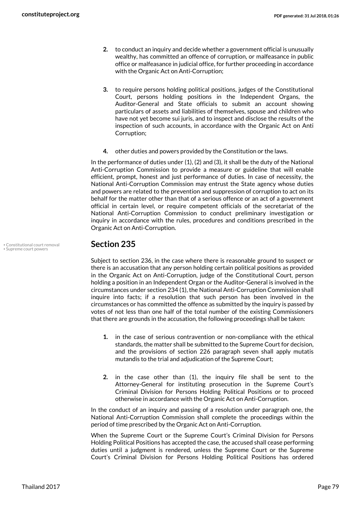- **2.** to conduct an inquiry and decide whether a government official is unusually wealthy, has committed an offence of corruption, or malfeasance in public office or malfeasance in judicial office, for further proceeding in accordance with the Organic Act on Anti-Corruption;
- **3.** to require persons holding political positions, judges of the Constitutional Court, persons holding positions in the Independent Organs, the Auditor-General and State officials to submit an account showing particulars of assets and liabilities of themselves, spouse and children who have not yet become sui juris, and to inspect and disclose the results of the inspection of such accounts, in accordance with the Organic Act on Anti Corruption;
- **4.** other duties and powers provided by the Constitution or the laws.

In the performance of duties under (1), (2) and (3), it shall be the duty of the National Anti-Corruption Commission to provide a measure or guideline that will enable efficient, prompt, honest and just performance of duties. In case of necessity, the National Anti-Corruption Commission may entrust the State agency whose duties and powers are related to the prevention and suppression of corruption to act on its behalf for the matter other than that of a serious offence or an act of a government official in certain level, or require competent officials of the secretariat of the National Anti-Corruption Commission to conduct preliminary investigation or inquiry in accordance with the rules, procedures and conditions prescribed in the Organic Act on Anti-Corruption.

<span id="page-78-1"></span><span id="page-78-0"></span>Subject to section 236, in the case where there is reasonable ground to suspect or there is an accusation that any person holding certain political positions as provided in the Organic Act on Anti-Corruption, judge of the Constitutional Court, person holding a position in an Independent Organ or the Auditor-General is involved in the circumstances under section 234 (1), the National Anti-Corruption Commission shall inquire into facts; if a resolution that such person has been involved in the circumstances or has committed the offence as submitted by the inquiry is passed by votes of not less than one half of the total number of the existing Commissioners that there are grounds in the accusation, the following proceedings shall be taken:

- **1.** in the case of serious contravention or non-compliance with the ethical standards, the matter shall be submitted to the Supreme Court for decision, and the provisions of section 226 paragraph seven shall apply mutatis mutandis to the trial and adjudication of the Supreme Court;
- **2.** in the case other than (1), the inquiry file shall be sent to the Attorney-General for instituting prosecution in the Supreme Court's Criminal Division for Persons Holding Political Positions or to proceed otherwise in accordance with the Organic Act on Anti-Corruption.

In the conduct of an inquiry and passing of a resolution under paragraph one, the National Anti-Corruption Commission shall complete the proceedings within the period of time prescribed by the Organic Act on Anti-Corruption.

When the Supreme Court or the Supreme Court's Criminal Division for Persons Holding Political Positions has accepted the case, the accused shall cease performing duties until a judgment is rendered, unless the Supreme Court or the Supreme Court's Criminal Division for Persons Holding Political Positions has ordered

• Constitutional court removal **Section 235** • Supreme court powers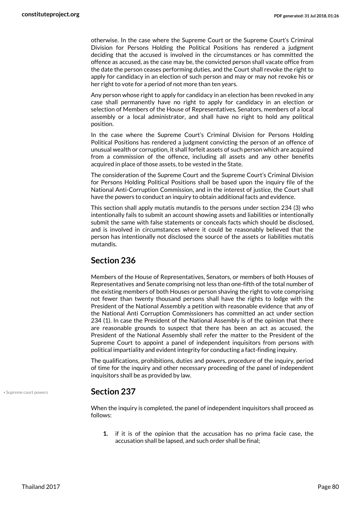otherwise. In the case where the Supreme Court or the Supreme Court's Criminal Division for Persons Holding the Political Positions has rendered a judgment deciding that the accused is involved in the circumstances or has committed the offence as accused, as the case may be, the convicted person shall vacate office from the date the person ceases performing duties, and the Court shall revoke the right to apply for candidacy in an election of such person and may or may not revoke his or her right to vote for a period of not more than ten years.

Any person whose right to apply for candidacy in an election has been revoked in any case shall permanently have no right to apply for candidacy in an election or selection of Members of the House of Representatives, Senators, members of a local assembly or a local administrator, and shall have no right to hold any political position.

In the case where the Supreme Court's Criminal Division for Persons Holding Political Positions has rendered a judgment convicting the person of an offence of unusual wealth or corruption, it shall forfeit assets of such person which are acquired from a commission of the offence, including all assets and any other benefits acquired in place of those assets, to be vested in the State.

The consideration of the Supreme Court and the Supreme Court's Criminal Division for Persons Holding Political Positions shall be based upon the inquiry file of the National Anti-Corruption Commission, and in the interest of justice, the Court shall have the powers to conduct an inquiry to obtain additional facts and evidence.

This section shall apply mutatis mutandis to the persons under section 234 (3) who intentionally fails to submit an account showing assets and liabilities or intentionally submit the same with false statements or conceals facts which should be disclosed, and is involved in circumstances where it could be reasonably believed that the person has intentionally not disclosed the source of the assets or liabilities mutatis mutandis.

### **Section 236**

Members of the House of Representatives, Senators, or members of both Houses of Representatives and Senate comprising not less than one-fifth of the total number of the existing members of both Houses or person shaving the right to vote comprising not fewer than twenty thousand persons shall have the rights to lodge with the President of the National Assembly a petition with reasonable evidence that any of the National Anti Corruption Commissioners has committed an act under section 234 (1). In case the President of the National Assembly is of the opinion that there are reasonable grounds to suspect that there has been an act as accused, the President of the National Assembly shall refer the matter to the President of the Supreme Court to appoint a panel of independent inquisitors from persons with political impartiality and evident integrity for conducting a fact-finding inquiry.

The qualifications, prohibitions, duties and powers, procedure of the inquiry, period of time for the inquiry and other necessary proceeding of the panel of independent inquisitors shall be as provided by law.

### • Supreme court powers **Section 237**

When the inquiry is completed, the panel of independent inquisitors shall proceed as follows:

**1.** if it is of the opinion that the accusation has no prima facie case, the accusation shall be lapsed, and such order shall be final;

<span id="page-79-0"></span>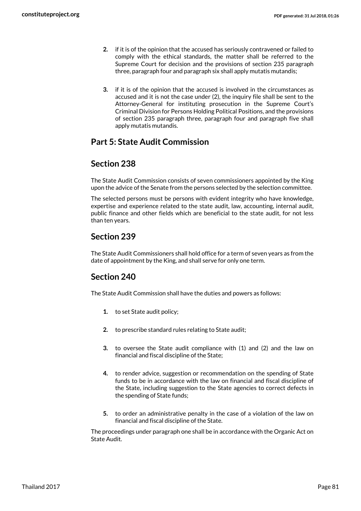- **2.** if it is of the opinion that the accused has seriously contravened or failed to comply with the ethical standards, the matter shall be referred to the Supreme Court for decision and the provisions of section 235 paragraph three, paragraph four and paragraph six shall apply mutatis mutandis;
- **3.** if it is of the opinion that the accused is involved in the circumstances as accused and it is not the case under (2), the inquiry file shall be sent to the Attorney-General for instituting prosecution in the Supreme Court's Criminal Division for Persons Holding Political Positions, and the provisions of section 235 paragraph three, paragraph four and paragraph five shall apply mutatis mutandis.

## **Part 5: State Audit Commission**

## **Section 238**

The State Audit Commission consists of seven commissioners appointed by the King upon the advice of the Senate from the persons selected by the selection committee.

The selected persons must be persons with evident integrity who have knowledge, expertise and experience related to the state audit, law, accounting, internal audit, public finance and other fields which are beneficial to the state audit, for not less than ten years.

## **Section 239**

The State Audit Commissioners shall hold office for a term of seven years as from the date of appointment by the King, and shall serve for only one term.

# **Section 240**

The State Audit Commission shall have the duties and powers as follows:

- **1.** to set State audit policy;
- **2.** to prescribe standard rules relating to State audit;
- **3.** to oversee the State audit compliance with (1) and (2) and the law on financial and fiscal discipline of the State;
- **4.** to render advice, suggestion or recommendation on the spending of State funds to be in accordance with the law on financial and fiscal discipline of the State, including suggestion to the State agencies to correct defects in the spending of State funds;
- **5.** to order an administrative penalty in the case of a violation of the law on financial and fiscal discipline of the State.

The proceedings under paragraph one shall be in accordance with the Organic Act on State Audit.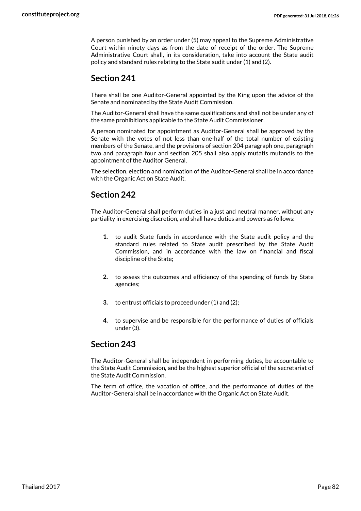A person punished by an order under (5) may appeal to the Supreme Administrative Court within ninety days as from the date of receipt of the order. The Supreme Administrative Court shall, in its consideration, take into account the State audit policy and standard rules relating to the State audit under (1) and (2).

### **Section 241**

There shall be one Auditor-General appointed by the King upon the advice of the Senate and nominated by the State Audit Commission.

The Auditor-General shall have the same qualifications and shall not be under any of the same prohibitions applicable to the State Audit Commissioner.

A person nominated for appointment as Auditor-General shall be approved by the Senate with the votes of not less than one-half of the total number of existing members of the Senate, and the provisions of section 204 paragraph one, paragraph two and paragraph four and section 205 shall also apply mutatis mutandis to the appointment of the Auditor General.

The selection, election and nomination of the Auditor-General shall be in accordance with the Organic Act on State Audit.

### **Section 242**

The Auditor-General shall perform duties in a just and neutral manner, without any partiality in exercising discretion, and shall have duties and powers as follows:

- **1.** to audit State funds in accordance with the State audit policy and the standard rules related to State audit prescribed by the State Audit Commission, and in accordance with the law on financial and fiscal discipline of the State;
- **2.** to assess the outcomes and efficiency of the spending of funds by State agencies;
- **3.** to entrust officials to proceed under (1) and (2);
- **4.** to supervise and be responsible for the performance of duties of officials under (3).

### **Section 243**

The Auditor-General shall be independent in performing duties, be accountable to the State Audit Commission, and be the highest superior official of the secretariat of the State Audit Commission.

The term of office, the vacation of office, and the performance of duties of the Auditor-General shall be in accordance with the Organic Act on State Audit.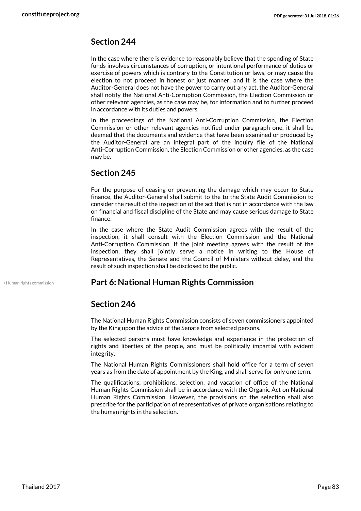### **Section 244**

In the case where there is evidence to reasonably believe that the spending of State funds involves circumstances of corruption, or intentional performance of duties or exercise of powers which is contrary to the Constitution or laws, or may cause the election to not proceed in honest or just manner, and it is the case where the Auditor-General does not have the power to carry out any act, the Auditor-General shall notify the National Anti-Corruption Commission, the Election Commission or other relevant agencies, as the case may be, for information and to further proceed in accordance with its duties and powers.

In the proceedings of the National Anti-Corruption Commission, the Election Commission or other relevant agencies notified under paragraph one, it shall be deemed that the documents and evidence that have been examined or produced by the Auditor-General are an integral part of the inquiry file of the National Anti-Corruption Commission, the Election Commission or other agencies, as the case may be.

### **Section 245**

For the purpose of ceasing or preventing the damage which may occur to State finance, the Auditor-General shall submit to the to the State Audit Commission to consider the result of the inspection of the act that is not in accordance with the law on financial and fiscal discipline of the State and may cause serious damage to State finance.

In the case where the State Audit Commission agrees with the result of the inspection, it shall consult with the Election Commission and the National Anti-Corruption Commission. If the joint meeting agrees with the result of the inspection, they shall jointly serve a notice in writing to the House of Representatives, the Senate and the Council of Ministers without delay, and the result of such inspection shall be disclosed to the public.

### • Human rights commission **Part 6: National Human Rights Commission**

### <span id="page-82-0"></span>**Section 246**

The National Human Rights Commission consists of seven commissioners appointed by the King upon the advice of the Senate from selected persons.

The selected persons must have knowledge and experience in the protection of rights and liberties of the people, and must be politically impartial with evident integrity.

The National Human Rights Commissioners shall hold office for a term of seven years as from the date of appointment by the King, and shall serve for only one term.

The qualifications, prohibitions, selection, and vacation of office of the National Human Rights Commission shall be in accordance with the Organic Act on National Human Rights Commission. However, the provisions on the selection shall also prescribe for the participation of representatives of private organisations relating to the human rights in the selection.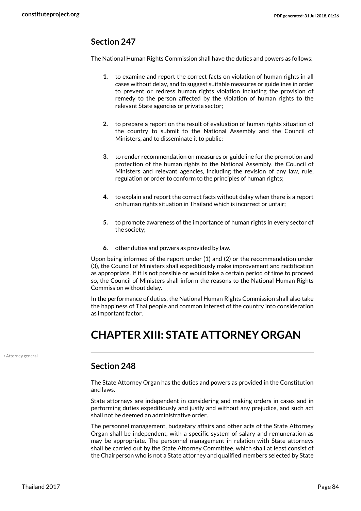### **Section 247**

The National Human Rights Commission shall have the duties and powers as follows:

- **1.** to examine and report the correct facts on violation of human rights in all cases without delay, and to suggest suitable measures or guidelines in order to prevent or redress human rights violation including the provision of remedy to the person affected by the violation of human rights to the relevant State agencies or private sector;
- **2.** to prepare a report on the result of evaluation of human rights situation of the country to submit to the National Assembly and the Council of Ministers, and to disseminate it to public;
- **3.** to render recommendation on measures or guideline for the promotion and protection of the human rights to the National Assembly, the Council of Ministers and relevant agencies, including the revision of any law, rule, regulation or order to conform to the principles of human rights;
- **4.** to explain and report the correct facts without delay when there is a report on human rights situation in Thailand which is incorrect or unfair;
- **5.** to promote awareness of the importance of human rights in every sector of the society;
- **6.** other duties and powers as provided by law.

Upon being informed of the report under (1) and (2) or the recommendation under (3), the Council of Ministers shall expeditiously make improvement and rectification as appropriate. If it is not possible or would take a certain period of time to proceed so, the Council of Ministers shall inform the reasons to the National Human Rights Commission without delay.

In the performance of duties, the National Human Rights Commission shall also take the happiness of Thai people and common interest of the country into consideration as important factor.

# **CHAPTER XIII: STATE ATTORNEY ORGAN**

<span id="page-83-0"></span>• Attorney general

### **Section 248**

The State Attorney Organ has the duties and powers as provided in the Constitution and laws.

State attorneys are independent in considering and making orders in cases and in performing duties expeditiously and justly and without any prejudice, and such act shall not be deemed an administrative order.

The personnel management, budgetary affairs and other acts of the State Attorney Organ shall be independent, with a specific system of salary and remuneration as may be appropriate. The personnel management in relation with State attorneys shall be carried out by the State Attorney Committee, which shall at least consist of the Chairperson who is not a State attorney and qualified members selected by State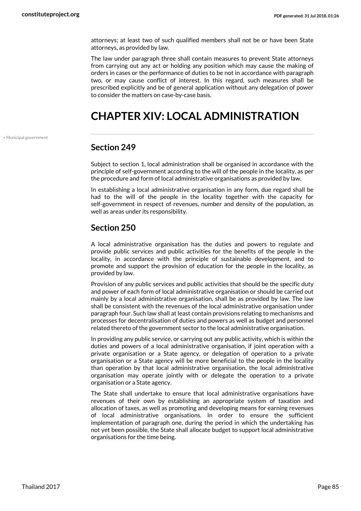attorneys; at least two of such qualified members shall not be or have been State attorneys, as provided by law.

The law under paragraph three shall contain measures to prevent State attorneys from carrying out any act or holding any position which may cause the making of orders in cases or the performance of duties to be not in accordance with paragraph two, or may cause conflict of interest. In this regard, such measures shall be prescribed explicitly and be of general application without any delegation of power to consider the matters on case-by-case basis.

# **CHAPTER XIV: LOCAL ADMINISTRATION**

• Municipal government

### <span id="page-84-0"></span>**Section 249**

Subject to section 1, local administration shall be organised in accordance with the principle of self-government according to the will of the people in the locality, as per the procedure and form of local administrative organisations as provided by law.

In establishing a local administrative organisation in any form, due regard shall be had to the will of the people in the locality together with the capacity for self-government in respect of revenues, number and density of the population, as well as areas under its responsibility.

## **Section 250**

A local administrative organisation has the duties and powers to regulate and provide public services and public activities for the benefits of the people in the locality, in accordance with the principle of sustainable development, and to promote and support the provision of education for the people in the locality, as provided by law.

Provision of any public services and public activities that should be the specific duty and power of each form of local administrative organisation or should be carried out mainly by a local administrative organisation, shall be as provided by law. The law shall be consistent with the revenues of the local administrative organisation under paragraph four. Such law shall at least contain provisions relating to mechanisms and processes for decentralisation of duties and powers as well as budget and personnel related thereto of the government sector to the local administrative organisation.

In providing any public service, or carrying out any public activity, which is within the duties and powers of a local administrative organisation, if joint operation with a private organisation or a State agency, or delegation of operation to a private organisation or a State agency will be more beneficial to the people in the locality than operation by that local administrative organisation, the local administrative organisation may operate jointly with or delegate the operation to a private organisation or a State agency.

The State shall undertake to ensure that local administrative organisations have revenues of their own by establishing an appropriate system of taxation and allocation of taxes, as well as promoting and developing means for earning revenues of local administrative organisations. In order to ensure the sufficient implementation of paragraph one, during the period in which the undertaking has not yet been possible, the State shall allocate budget to support local administrative organisations for the time being.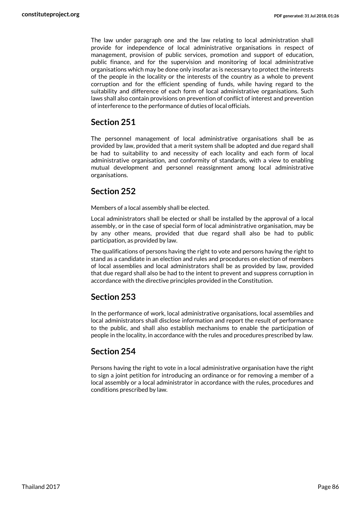The law under paragraph one and the law relating to local administration shall provide for independence of local administrative organisations in respect of management, provision of public services, promotion and support of education, public finance, and for the supervision and monitoring of local administrative organisations which may be done only insofar as is necessary to protect the interests of the people in the locality or the interests of the country as a whole to prevent corruption and for the efficient spending of funds, while having regard to the suitability and difference of each form of local administrative organisations. Such laws shall also contain provisions on prevention of conflict of interest and prevention of interference to the performance of duties of local officials.

### **Section 251**

The personnel management of local administrative organisations shall be as provided by law, provided that a merit system shall be adopted and due regard shall be had to suitability to and necessity of each locality and each form of local administrative organisation, and conformity of standards, with a view to enabling mutual development and personnel reassignment among local administrative organisations.

### **Section 252**

Members of a local assembly shall be elected.

Local administrators shall be elected or shall be installed by the approval of a local assembly, or in the case of special form of local administrative organisation, may be by any other means, provided that due regard shall also be had to public participation, as provided by law.

The qualifications of persons having the right to vote and persons having the right to stand as a candidate in an election and rules and procedures on election of members of local assemblies and local administrators shall be as provided by law, provided that due regard shall also be had to the intent to prevent and suppress corruption in accordance with the directive principles provided in the Constitution.

### **Section 253**

In the performance of work, local administrative organisations, local assemblies and local administrators shall disclose information and report the result of performance to the public, and shall also establish mechanisms to enable the participation of people in the locality, in accordance with the rules and procedures prescribed by law.

# **Section 254**

Persons having the right to vote in a local administrative organisation have the right to sign a joint petition for introducing an ordinance or for removing a member of a local assembly or a local administrator in accordance with the rules, procedures and conditions prescribed by law.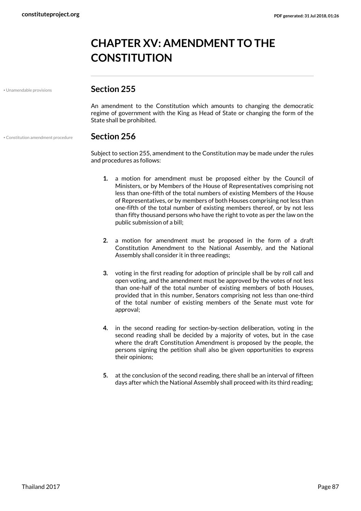# **CHAPTER XV: AMENDMENT TO THE CONSTITUTION**

### • Unamendable provisions **Section 255**

An amendment to the Constitution which amounts to changing the democratic regime of government with the King as Head of State or changing the form of the State shall be prohibited.

• Constitution amendment procedure **Section 256**

<span id="page-86-0"></span>Subject to section 255, amendment to the Constitution may be made under the rules and procedures as follows:

- **1.** a motion for amendment must be proposed either by the Council of Ministers, or by Members of the House of Representatives comprising not less than one-fifth of the total numbers of existing Members of the House of Representatives, or by members of both Houses comprising not less than one-fifth of the total number of existing members thereof, or by not less than fifty thousand persons who have the right to vote as per the law on the public submission of a bill;
- **2.** a motion for amendment must be proposed in the form of a draft Constitution Amendment to the National Assembly, and the National Assembly shall consider it in three readings;
- **3.** voting in the first reading for adoption of principle shall be by roll call and open voting, and the amendment must be approved by the votes of not less than one-half of the total number of existing members of both Houses, provided that in this number, Senators comprising not less than one-third of the total number of existing members of the Senate must vote for approval;
- **4.** in the second reading for section-by-section deliberation, voting in the second reading shall be decided by a majority of votes, but in the case where the draft Constitution Amendment is proposed by the people, the persons signing the petition shall also be given opportunities to express their opinions;
- **5.** at the conclusion of the second reading, there shall be an interval of fifteen days after which the National Assembly shall proceed with its third reading;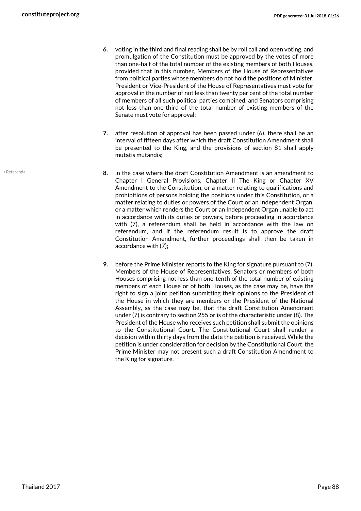- **6.** voting in the third and final reading shall be by roll call and open voting, and promulgation of the Constitution must be approved by the votes of more than one-half of the total number of the existing members of both Houses, provided that in this number, Members of the House of Representatives from political parties whose members do not hold the positions of Minister, President or Vice-President of the House of Representatives must vote for approval in the number of not less than twenty per cent of the total number of members of all such political parties combined, and Senators comprising not less than one-third of the total number of existing members of the Senate must vote for approval;
- **7.** after resolution of approval has been passed under (6), there shall be an interval of fifteen days after which the draft Constitution Amendment shall be presented to the King, and the provisions of section 81 shall apply mutatis mutandis;
- **8.** in the case where the draft Constitution Amendment is an amendment to Chapter I General Provisions, Chapter II The King or Chapter XV Amendment to the Constitution, or a matter relating to qualifications and prohibitions of persons holding the positions under this Constitution, or a matter relating to duties or powers of the Court or an Independent Organ, or a matter which renders the Court or an Independent Organ unable to act in accordance with its duties or powers, before proceeding in accordance with (7), a referendum shall be held in accordance with the law on referendum, and if the referendum result is to approve the draft Constitution Amendment, further proceedings shall then be taken in accordance with (7);
- **9.** before the Prime Minister reports to the King for signature pursuant to (7), Members of the House of Representatives, Senators or members of both Houses comprising not less than one-tenth of the total number of existing members of each House or of both Houses, as the case may be, have the right to sign a joint petition submitting their opinions to the President of the House in which they are members or the President of the National Assembly, as the case may be, that the draft Constitution Amendment under (7) is contrary to section 255 or is of the characteristic under (8). The President of the House who receives such petition shall submit the opinions to the Constitutional Court. The Constitutional Court shall render a decision within thirty days from the date the petition is received. While the petition is under consideration for decision by the Constitutional Court, the Prime Minister may not present such a draft Constitution Amendment to the King for signature.

<span id="page-87-0"></span>• Referenda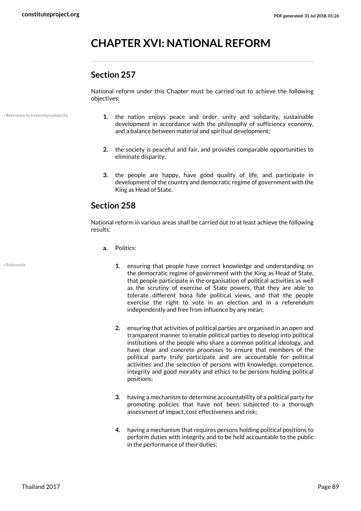# **CHAPTER XVI: NATIONAL REFORM**

### **Section 257**

<span id="page-88-0"></span>National reform under this Chapter must be carried out to achieve the following objectives:

• Reference to fraternity/solidarity

- **1.** the nation enjoys peace and order, unity and solidarity, sustainable development in accordance with the philosophy of sufficiency economy, and a balance between material and spiritual development;
- **2.** the society is peaceful and fair, and provides comparable opportunities to eliminate disparity;
- **3.** the people are happy, have good quality of life, and participate in development of the country and democratic regime of government with the King as Head of State.

### **Section 258**

National reform in various areas shall be carried out to at least achieve the following results:

- **a.** Politics:
	- **1.** ensuring that people have correct knowledge and understanding on the democratic regime of government with the King as Head of State, that people participate in the organisation of political activities as well as the scrutiny of exercise of State powers, that they are able to tolerate different bona fide political views, and that the people exercise the right to vote in an election and in a referendum independently and free from influence by any mean;
	- **2.** ensuring that activities of political parties are organised in an open and transparent manner to enable political parties to develop into political institutions of the people who share a common political ideology, and have clear and concrete processes to ensure that members of the political party truly participate and are accountable for political activities and the selection of persons with knowledge, competence, integrity and good morality and ethics to be persons holding political positions;
	- **3.** having a mechanism to determine accountability of a political party for promoting policies that have not been subjected to a thorough assessment of impact, cost effectiveness and risk;
	- **4.** having a mechanism that requires persons holding political positions to perform duties with integrity and to be held accountable to the public in the performance of their duties;

<span id="page-88-1"></span>• Referenda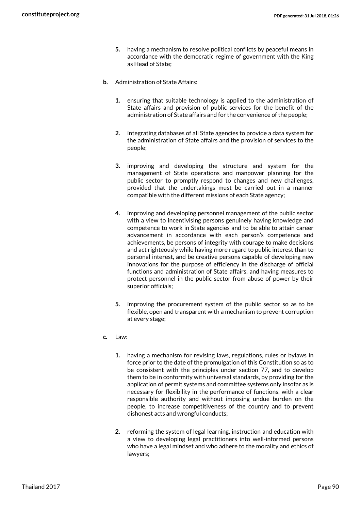- **5.** having a mechanism to resolve political conflicts by peaceful means in accordance with the democratic regime of government with the King as Head of State;
- **b.** Administration of State Affairs:
	- **1.** ensuring that suitable technology is applied to the administration of State affairs and provision of public services for the benefit of the administration of State affairs and for the convenience of the people;
	- **2.** integrating databases of all State agencies to provide a data system for the administration of State affairs and the provision of services to the people;
	- **3.** improving and developing the structure and system for the management of State operations and manpower planning for the public sector to promptly respond to changes and new challenges, provided that the undertakings must be carried out in a manner compatible with the different missions of each State agency;
	- **4.** improving and developing personnel management of the public sector with a view to incentivising persons genuinely having knowledge and competence to work in State agencies and to be able to attain career advancement in accordance with each person's competence and achievements, be persons of integrity with courage to make decisions and act righteously while having more regard to public interest than to personal interest, and be creative persons capable of developing new innovations for the purpose of efficiency in the discharge of official functions and administration of State affairs, and having measures to protect personnel in the public sector from abuse of power by their superior officials;
	- **5.** improving the procurement system of the public sector so as to be flexible, open and transparent with a mechanism to prevent corruption at every stage;
- **c.** Law:
	- **1.** having a mechanism for revising laws, regulations, rules or bylaws in force prior to the date of the promulgation of this Constitution so as to be consistent with the principles under section 77, and to develop them to be in conformity with universal standards, by providing for the application of permit systems and committee systems only insofar as is necessary for flexibility in the performance of functions, with a clear responsible authority and without imposing undue burden on the people, to increase competitiveness of the country and to prevent dishonest acts and wrongful conducts;
	- **2.** reforming the system of legal learning, instruction and education with a view to developing legal practitioners into well-informed persons who have a legal mindset and who adhere to the morality and ethics of lawyers;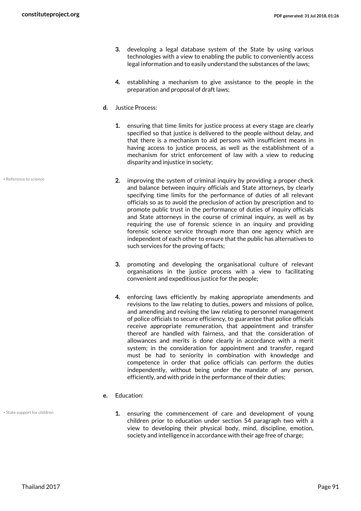- **3.** developing a legal database system of the State by using various technologies with a view to enabling the public to conveniently access legal information and to easily understand the substances of the laws;
- **4.** establishing a mechanism to give assistance to the people in the preparation and proposal of draft laws;
- **d.** Justice Process:
	- **1.** ensuring that time limits for justice process at every stage are clearly specified so that justice is delivered to the people without delay, and that there is a mechanism to aid persons with insufficient means in having access to justice process, as well as the establishment of a mechanism for strict enforcement of law with a view to reducing disparity and injustice in society;
	- **2.** improving the system of criminal inquiry by providing a proper check and balance between inquiry officials and State attorneys, by clearly specifying time limits for the performance of duties of all relevant officials so as to avoid the preclusion of action by prescription and to promote public trust in the performance of duties of inquiry officials and State attorneys in the course of criminal inquiry, as well as by requiring the use of forensic science in an inquiry and providing forensic science service through more than one agency which are independent of each other to ensure that the public has alternatives to such services for the proving of facts;
	- **3.** promoting and developing the organisational culture of relevant organisations in the justice process with a view to facilitating convenient and expeditious justice for the people;
	- **4.** enforcing laws efficiently by making appropriate amendments and revisions to the law relating to duties, powers and missions of police, and amending and revising the law relating to personnel management of police officials to secure efficiency, to guarantee that police officials receive appropriate remuneration, that appointment and transfer thereof are handled with fairness, and that the consideration of allowances and merits is done clearly in accordance with a merit system; in the consideration for appointment and transfer, regard must be had to seniority in combination with knowledge and competence in order that police officials can perform the duties independently, without being under the mandate of any person, efficiently, and with pride in the performance of their duties;
- **e.** Education:
- <span id="page-90-1"></span>• State support for children

**1.** ensuring the commencement of care and development of young children prior to education under section 54 paragraph two with a view to developing their physical body, mind, discipline, emotion, society and intelligence in accordance with their age free of charge;

<span id="page-90-0"></span>• Reference to science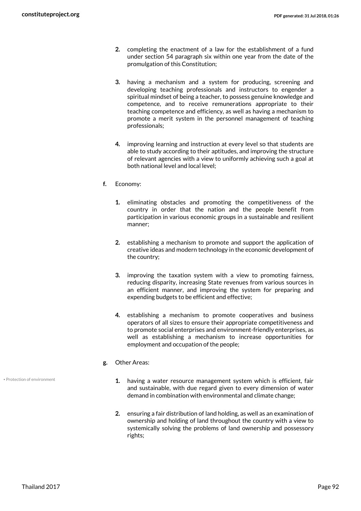- **2.** completing the enactment of a law for the establishment of a fund under section 54 paragraph six within one year from the date of the promulgation of this Constitution;
- **3.** having a mechanism and a system for producing, screening and developing teaching professionals and instructors to engender a spiritual mindset of being a teacher, to possess genuine knowledge and competence, and to receive remunerations appropriate to their teaching competence and efficiency, as well as having a mechanism to promote a merit system in the personnel management of teaching professionals;
- **4.** improving learning and instruction at every level so that students are able to study according to their aptitudes, and improving the structure of relevant agencies with a view to uniformly achieving such a goal at both national level and local level;
- **f.** Economy:
	- **1.** eliminating obstacles and promoting the competitiveness of the country in order that the nation and the people benefit from participation in various economic groups in a sustainable and resilient manner;
	- **2.** establishing a mechanism to promote and support the application of creative ideas and modern technology in the economic development of the country;
	- **3.** improving the taxation system with a view to promoting fairness, reducing disparity, increasing State revenues from various sources in an efficient manner, and improving the system for preparing and expending budgets to be efficient and effective;
	- **4.** establishing a mechanism to promote cooperatives and business operators of all sizes to ensure their appropriate competitiveness and to promote social enterprises and environment-friendly enterprises, as well as establishing a mechanism to increase opportunities for employment and occupation of the people;

### <span id="page-91-0"></span>**g.** Other Areas:

- **1.** having a water resource management system which is efficient, fair and sustainable, with due regard given to every dimension of water demand in combination with environmental and climate change;
- **2.** ensuring a fair distribution of land holding, as well as an examination of ownership and holding of land throughout the country with a view to systemically solving the problems of land ownership and possessory rights;

• Protection of environment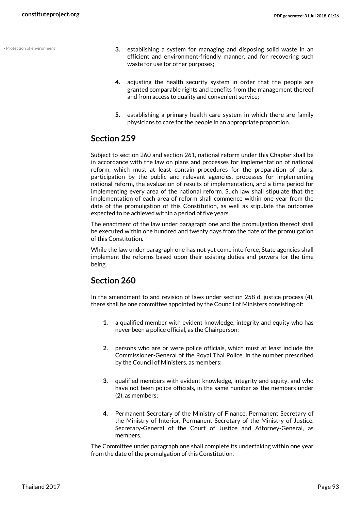<span id="page-92-0"></span>• Protection of environment

- **3.** establishing a system for managing and disposing solid waste in an efficient and environment-friendly manner, and for recovering such waste for use for other purposes;
- **4.** adjusting the health security system in order that the people are granted comparable rights and benefits from the management thereof and from access to quality and convenient service;
- **5.** establishing a primary health care system in which there are family physicians to care for the people in an appropriate proportion.

## **Section 259**

Subject to section 260 and section 261, national reform under this Chapter shall be in accordance with the law on plans and processes for implementation of national reform, which must at least contain procedures for the preparation of plans, participation by the public and relevant agencies, processes for implementing national reform, the evaluation of results of implementation, and a time period for implementing every area of the national reform. Such law shall stipulate that the implementation of each area of reform shall commence within one year from the date of the promulgation of this Constitution, as well as stipulate the outcomes expected to be achieved within a period of five years.

The enactment of the law under paragraph one and the promulgation thereof shall be executed within one hundred and twenty days from the date of the promulgation of this Constitution.

While the law under paragraph one has not yet come into force, State agencies shall implement the reforms based upon their existing duties and powers for the time being.

### **Section 260**

In the amendment to and revision of laws under section 258 d. justice process (4), there shall be one committee appointed by the Council of Ministers consisting of:

- **1.** a qualified member with evident knowledge, integrity and equity who has never been a police official, as the Chairperson;
- **2.** persons who are or were police officials, which must at least include the Commissioner-General of the Royal Thai Police, in the number prescribed by the Council of Ministers, as members;
- **3.** qualified members with evident knowledge, integrity and equity, and who have not been police officials, in the same number as the members under (2), as members;
- **4.** Permanent Secretary of the Ministry of Finance, Permanent Secretary of the Ministry of Interior, Permanent Secretary of the Ministry of Justice, Secretary-General of the Court of Justice and Attorney-General, as members.

The Committee under paragraph one shall complete its undertaking within one year from the date of the promulgation of this Constitution.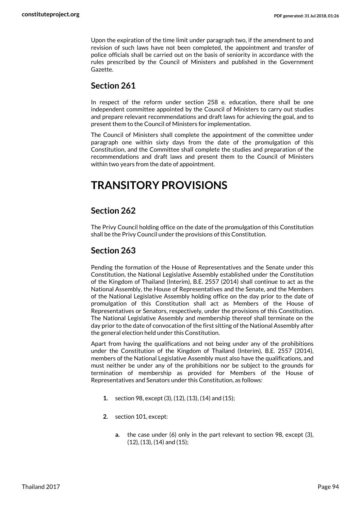Upon the expiration of the time limit under paragraph two, if the amendment to and revision of such laws have not been completed, the appointment and transfer of police officials shall be carried out on the basis of seniority in accordance with the rules prescribed by the Council of Ministers and published in the Government Gazette.

### **Section 261**

In respect of the reform under section 258 e. education, there shall be one independent committee appointed by the Council of Ministers to carry out studies and prepare relevant recommendations and draft laws for achieving the goal, and to present them to the Council of Ministers for implementation.

The Council of Ministers shall complete the appointment of the committee under paragraph one within sixty days from the date of the promulgation of this Constitution, and the Committee shall complete the studies and preparation of the recommendations and draft laws and present them to the Council of Ministers within two years from the date of appointment.

# **TRANSITORY PROVISIONS**

### **Section 262**

The Privy Council holding office on the date of the promulgation of this Constitution shall be the Privy Council under the provisions of this Constitution.

### **Section 263**

Pending the formation of the House of Representatives and the Senate under this Constitution, the National Legislative Assembly established under the Constitution of the Kingdom of Thailand (Interim), B.E. 2557 (2014) shall continue to act as the National Assembly, the House of Representatives and the Senate, and the Members of the National Legislative Assembly holding office on the day prior to the date of promulgation of this Constitution shall act as Members of the House of Representatives or Senators, respectively, under the provisions of this Constitution. The National Legislative Assembly and membership thereof shall terminate on the day prior to the date of convocation of the first sitting of the National Assembly after the general election held under this Constitution.

Apart from having the qualifications and not being under any of the prohibitions under the Constitution of the Kingdom of Thailand (Interim), B.E. 2557 (2014), members of the National Legislative Assembly must also have the qualifications, and must neither be under any of the prohibitions nor be subject to the grounds for termination of membership as provided for Members of the House of Representatives and Senators under this Constitution, as follows:

- **1.** section 98, except (3), (12), (13), (14) and (15);
- **2.** section 101, except:
	- **a.** the case under (6) only in the part relevant to section 98, except (3), (12), (13), (14) and (15);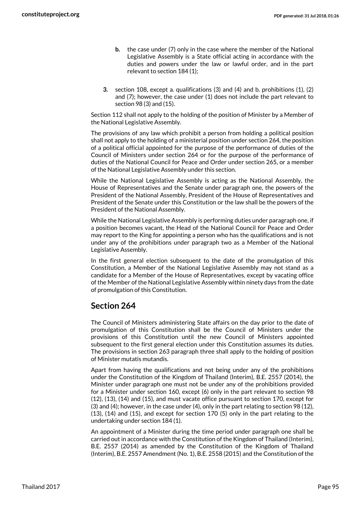- **b.** the case under (7) only in the case where the member of the National Legislative Assembly is a State official acting in accordance with the duties and powers under the law or lawful order, and in the part relevant to section 184 (1);
- **3.** section 108, except a. qualifications (3) and (4) and b. prohibitions (1), (2) and (7); however, the case under (1) does not include the part relevant to section 98 (3) and (15).

Section 112 shall not apply to the holding of the position of Minister by a Member of the National Legislative Assembly.

The provisions of any law which prohibit a person from holding a political position shall not apply to the holding of a ministerial position under section 264, the position of a political official appointed for the purpose of the performance of duties of the Council of Ministers under section 264 or for the purpose of the performance of duties of the National Council for Peace and Order under section 265, or a member of the National Legislative Assembly under this section.

While the National Legislative Assembly is acting as the National Assembly, the House of Representatives and the Senate under paragraph one, the powers of the President of the National Assembly, President of the House of Representatives and President of the Senate under this Constitution or the law shall be the powers of the President of the National Assembly.

While the National Legislative Assembly is performing duties under paragraph one, if a position becomes vacant, the Head of the National Council for Peace and Order may report to the King for appointing a person who has the qualifications and is not under any of the prohibitions under paragraph two as a Member of the National Legislative Assembly.

In the first general election subsequent to the date of the promulgation of this Constitution, a Member of the National Legislative Assembly may not stand as a candidate for a Member of the House of Representatives, except by vacating office of the Member of the National Legislative Assembly within ninety days from the date of promulgation of this Constitution.

### **Section 264**

The Council of Ministers administering State affairs on the day prior to the date of promulgation of this Constitution shall be the Council of Ministers under the provisions of this Constitution until the new Council of Ministers appointed subsequent to the first general election under this Constitution assumes its duties. The provisions in section 263 paragraph three shall apply to the holding of position of Minister mutatis mutandis.

Apart from having the qualifications and not being under any of the prohibitions under the Constitution of the Kingdom of Thailand (Interim), B.E. 2557 (2014), the Minister under paragraph one must not be under any of the prohibitions provided for a Minister under section 160, except (6) only in the part relevant to section 98 (12), (13), (14) and (15), and must vacate office pursuant to section 170, except for (3) and (4); however, in the case under (4), only in the part relating to section 98 (12), (13), (14) and (15), and except for section 170 (5) only in the part relating to the undertaking under section 184 (1).

An appointment of a Minister during the time period under paragraph one shall be carried out in accordance with the Constitution of the Kingdom of Thailand (Interim), B.E. 2557 (2014) as amended by the Constitution of the Kingdom of Thailand (Interim), B.E. 2557 Amendment (No. 1), B.E. 2558 (2015) and the Constitution of the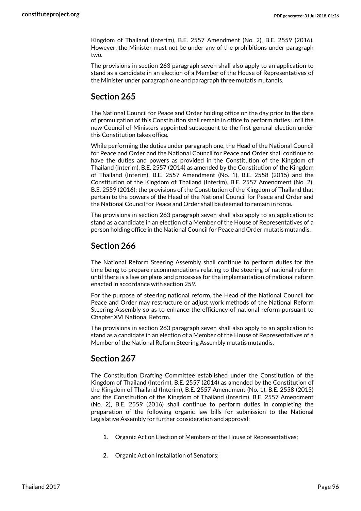Kingdom of Thailand (Interim), B.E. 2557 Amendment (No. 2), B.E. 2559 (2016). However, the Minister must not be under any of the prohibitions under paragraph two.

The provisions in section 263 paragraph seven shall also apply to an application to stand as a candidate in an election of a Member of the House of Representatives of the Minister under paragraph one and paragraph three mutatis mutandis.

### **Section 265**

The National Council for Peace and Order holding office on the day prior to the date of promulgation of this Constitution shall remain in office to perform duties until the new Council of Ministers appointed subsequent to the first general election under this Constitution takes office.

While performing the duties under paragraph one, the Head of the National Council for Peace and Order and the National Council for Peace and Order shall continue to have the duties and powers as provided in the Constitution of the Kingdom of Thailand (Interim), B.E. 2557 (2014) as amended by the Constitution of the Kingdom of Thailand (Interim), B.E. 2557 Amendment (No. 1), B.E. 2558 (2015) and the Constitution of the Kingdom of Thailand (Interim), B.E. 2557 Amendment (No. 2), B.E. 2559 (2016); the provisions of the Constitution of the Kingdom of Thailand that pertain to the powers of the Head of the National Council for Peace and Order and the National Council for Peace and Order shall be deemed to remain in force.

The provisions in section 263 paragraph seven shall also apply to an application to stand as a candidate in an election of a Member of the House of Representatives of a person holding office in the National Council for Peace and Order mutatis mutandis.

### **Section 266**

The National Reform Steering Assembly shall continue to perform duties for the time being to prepare recommendations relating to the steering of national reform until there is a law on plans and processes for the implementation of national reform enacted in accordance with section 259.

For the purpose of steering national reform, the Head of the National Council for Peace and Order may restructure or adjust work methods of the National Reform Steering Assembly so as to enhance the efficiency of national reform pursuant to Chapter XVI National Reform.

The provisions in section 263 paragraph seven shall also apply to an application to stand as a candidate in an election of a Member of the House of Representatives of a Member of the National Reform Steering Assembly mutatis mutandis.

# **Section 267**

The Constitution Drafting Committee established under the Constitution of the Kingdom of Thailand (Interim), B.E. 2557 (2014) as amended by the Constitution of the Kingdom of Thailand (Interim), B.E. 2557 Amendment (No. 1), B.E. 2558 (2015) and the Constitution of the Kingdom of Thailand (Interim), B.E. 2557 Amendment (No. 2), B.E. 2559 (2016) shall continue to perform duties in completing the preparation of the following organic law bills for submission to the National Legislative Assembly for further consideration and approval:

- **1.** Organic Act on Election of Members of the House of Representatives;
- **2.** Organic Act on Installation of Senators;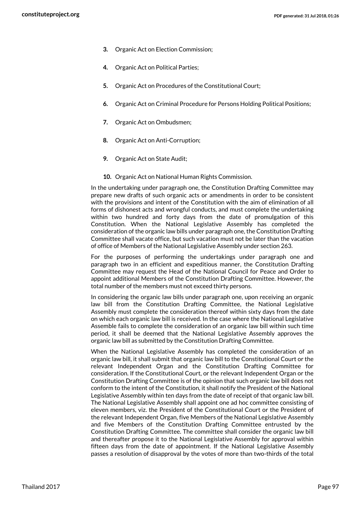- **3.** Organic Act on Election Commission;
- **4.** Organic Act on Political Parties;
- **5.** Organic Act on Procedures of the Constitutional Court;
- **6.** Organic Act on Criminal Procedure for Persons Holding Political Positions;
- **7.** Organic Act on Ombudsmen;
- **8.** Organic Act on Anti-Corruption;
- **9.** Organic Act on State Audit;
- **10.** Organic Act on National Human Rights Commission.

In the undertaking under paragraph one, the Constitution Drafting Committee may prepare new drafts of such organic acts or amendments in order to be consistent with the provisions and intent of the Constitution with the aim of elimination of all forms of dishonest acts and wrongful conducts, and must complete the undertaking within two hundred and forty days from the date of promulgation of this Constitution. When the National Legislative Assembly has completed the consideration of the organic law bills under paragraph one, the Constitution Drafting Committee shall vacate office, but such vacation must not be later than the vacation of office of Members of the National Legislative Assembly under section 263.

For the purposes of performing the undertakings under paragraph one and paragraph two in an efficient and expeditious manner, the Constitution Drafting Committee may request the Head of the National Council for Peace and Order to appoint additional Members of the Constitution Drafting Committee. However, the total number of the members must not exceed thirty persons.

In considering the organic law bills under paragraph one, upon receiving an organic law bill from the Constitution Drafting Committee, the National Legislative Assembly must complete the consideration thereof within sixty days from the date on which each organic law bill is received. In the case where the National Legislative Assemble fails to complete the consideration of an organic law bill within such time period, it shall be deemed that the National Legislative Assembly approves the organic law bill as submitted by the Constitution Drafting Committee.

When the National Legislative Assembly has completed the consideration of an organic law bill, it shall submit that organic law bill to the Constitutional Court or the relevant Independent Organ and the Constitution Drafting Committee for consideration. If the Constitutional Court, or the relevant Independent Organ or the Constitution Drafting Committee is of the opinion that such organic law bill does not conform to the intent of the Constitution, it shall notify the President of the National Legislative Assembly within ten days from the date of receipt of that organic law bill. The National Legislative Assembly shall appoint one ad hoc committee consisting of eleven members, viz. the President of the Constitutional Court or the President of the relevant Independent Organ, five Members of the National Legislative Assembly and five Members of the Constitution Drafting Committee entrusted by the Constitution Drafting Committee. The committee shall consider the organic law bill and thereafter propose it to the National Legislative Assembly for approval within fifteen days from the date of appointment. If the National Legislative Assembly passes a resolution of disapproval by the votes of more than two-thirds of the total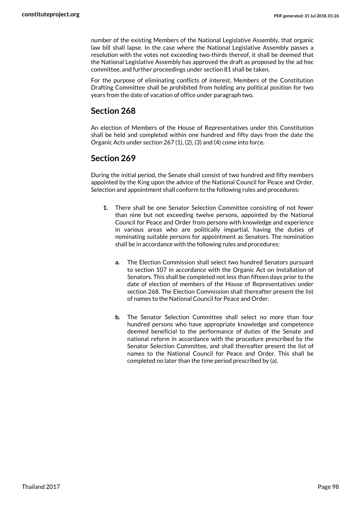number of the existing Members of the National Legislative Assembly, that organic law bill shall lapse. In the case where the National Legislative Assembly passes a resolution with the votes not exceeding two-thirds thereof, it shall be deemed that the National Legislative Assembly has approved the draft as proposed by the ad hoc committee, and further proceedings under section 81 shall be taken.

For the purpose of eliminating conflicts of interest, Members of the Constitution Drafting Committee shall be prohibited from holding any political position for two years from the date of vacation of office under paragraph two.

### **Section 268**

An election of Members of the House of Representatives under this Constitution shall be held and completed within one hundred and fifty days from the date the Organic Acts under section 267 (1), (2), (3) and (4) come into force.

# **Section 269**

During the initial period, the Senate shall consist of two hundred and fifty members appointed by the King upon the advice of the National Council for Peace and Order. Selection and appointment shall conform to the following rules and procedures:

- **1.** There shall be one Senator Selection Committee consisting of not fewer than nine but not exceeding twelve persons, appointed by the National Council for Peace and Order from persons with knowledge and experience in various areas who are politically impartial, having the duties of nominating suitable persons for appointment as Senators. The nomination shall be in accordance with the following rules and procedures:
	- **a.** The Election Commission shall select two hundred Senators pursuant to section 107 in accordance with the Organic Act on Installation of Senators. This shall be completed not less than fifteen days prior to the date of election of members of the House of Representatives under section 268. The Election Commission shall thereafter present the list of names to the National Council for Peace and Order.
	- **b.** The Senator Selection Committee shall select no more than four hundred persons who have appropriate knowledge and competence deemed beneficial to the performance of duties of the Senate and national reform in accordance with the procedure prescribed by the Senator Selection Committee, and shall thereafter present the list of names to the National Council for Peace and Order. This shall be completed no later than the time period prescribed by (a).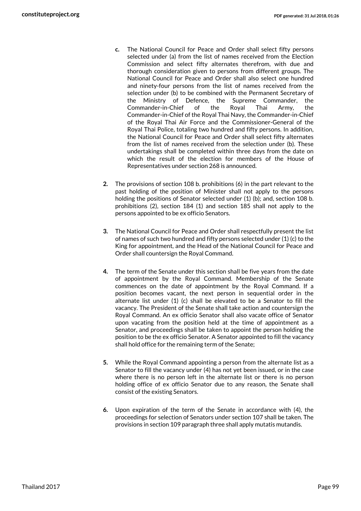- **c.** The National Council for Peace and Order shall select fifty persons selected under (a) from the list of names received from the Election Commission and select fifty alternates therefrom, with due and thorough consideration given to persons from different groups. The National Council for Peace and Order shall also select one hundred and ninety-four persons from the list of names received from the selection under (b) to be combined with the Permanent Secretary of the Ministry of Defence, the Supreme Commander, the Commander-in-Chief of the Royal Thai Army, the Commander-in-Chief of the Royal Thai Navy, the Commander-in-Chief of the Royal Thai Air Force and the Commissioner-General of the Royal Thai Police, totaling two hundred and fifty persons. In addition, the National Council for Peace and Order shall select fifty alternates from the list of names received from the selection under (b). These undertakings shall be completed within three days from the date on which the result of the election for members of the House of Representatives under section 268 is announced.
- **2.** The provisions of section 108 b. prohibitions (6) in the part relevant to the past holding of the position of Minister shall not apply to the persons holding the positions of Senator selected under (1) (b); and, section 108 b. prohibitions (2), section 184 (1) and section 185 shall not apply to the persons appointed to be ex officio Senators.
- **3.** The National Council for Peace and Order shall respectfully present the list of names of such two hundred and fifty persons selected under (1) (c) to the King for appointment, and the Head of the National Council for Peace and Order shall countersign the Royal Command.
- **4.** The term of the Senate under this section shall be five years from the date of appointment by the Royal Command. Membership of the Senate commences on the date of appointment by the Royal Command. If a position becomes vacant, the next person in sequential order in the alternate list under (1) (c) shall be elevated to be a Senator to fill the vacancy. The President of the Senate shall take action and countersign the Royal Command. An ex officio Senator shall also vacate office of Senator upon vacating from the position held at the time of appointment as a Senator, and proceedings shall be taken to appoint the person holding the position to be the ex officio Senator. A Senator appointed to fill the vacancy shall hold office for the remaining term of the Senate;
- **5.** While the Royal Command appointing a person from the alternate list as a Senator to fill the vacancy under (4) has not yet been issued, or in the case where there is no person left in the alternate list or there is no person holding office of ex officio Senator due to any reason, the Senate shall consist of the existing Senators.
- **6.** Upon expiration of the term of the Senate in accordance with (4), the proceedings for selection of Senators under section 107 shall be taken. The provisions in section 109 paragraph three shall apply mutatis mutandis.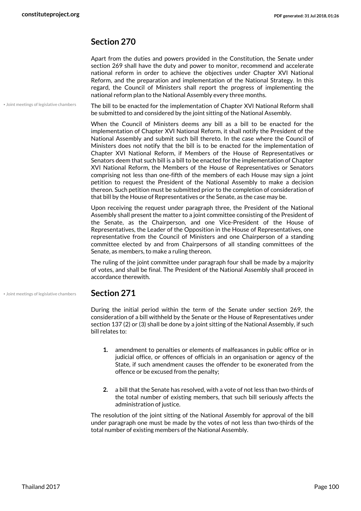### **Section 270**

Apart from the duties and powers provided in the Constitution, the Senate under section 269 shall have the duty and power to monitor, recommend and accelerate national reform in order to achieve the objectives under Chapter XVI National Reform, and the preparation and implementation of the National Strategy. In this regard, the Council of Ministers shall report the progress of implementing the national reform plan to the National Assembly every three months.

• Joint meetings of legislative chambers

The bill to be enacted for the implementation of Chapter XVI National Reform shall be submitted to and considered by the joint sitting of the National Assembly.

When the Council of Ministers deems any bill as a bill to be enacted for the implementation of Chapter XVI National Reform, it shall notify the President of the National Assembly and submit such bill thereto. In the case where the Council of Ministers does not notify that the bill is to be enacted for the implementation of Chapter XVI National Reform, if Members of the House of Representatives or Senators deem that such bill is a bill to be enacted for the implementation of Chapter XVI National Reform, the Members of the House of Representatives or Senators comprising not less than one-fifth of the members of each House may sign a joint petition to request the President of the National Assembly to make a decision thereon. Such petition must be submitted prior to the completion of consideration of that bill by the House of Representatives or the Senate, as the case may be.

Upon receiving the request under paragraph three, the President of the National Assembly shall present the matter to a joint committee consisting of the President of the Senate, as the Chairperson, and one Vice-President of the House of Representatives, the Leader of the Opposition in the House of Representatives, one representative from the Council of Ministers and one Chairperson of a standing committee elected by and from Chairpersons of all standing committees of the Senate, as members, to make a ruling thereon.

The ruling of the joint committee under paragraph four shall be made by a majority of votes, and shall be final. The President of the National Assembly shall proceed in accordance therewith.

### • Joint meetings of legislative chambers **Section 271**

<span id="page-99-0"></span>During the initial period within the term of the Senate under section 269, the consideration of a bill withheld by the Senate or the House of Representatives under section 137 (2) or (3) shall be done by a joint sitting of the National Assembly, if such bill relates to:

- **1.** amendment to penalties or elements of malfeasances in public office or in judicial office, or offences of officials in an organisation or agency of the State, if such amendment causes the offender to be exonerated from the offence or be excused from the penalty;
- **2.** a bill that the Senate has resolved, with a vote of not less than two-thirds of the total number of existing members, that such bill seriously affects the administration of justice.

The resolution of the joint sitting of the National Assembly for approval of the bill under paragraph one must be made by the votes of not less than two-thirds of the total number of existing members of the National Assembly.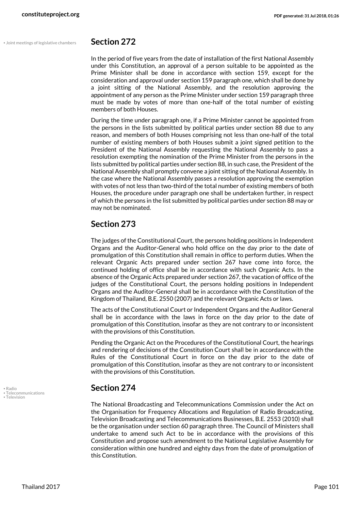• Joint meetings of legislative chambers **Section 272**

<span id="page-100-0"></span>In the period of five years from the date of installation of the first National Assembly under this Constitution, an approval of a person suitable to be appointed as the Prime Minister shall be done in accordance with section 159, except for the consideration and approval under section 159 paragraph one, which shall be done by a joint sitting of the National Assembly, and the resolution approving the appointment of any person as the Prime Minister under section 159 paragraph three must be made by votes of more than one-half of the total number of existing members of both Houses.

During the time under paragraph one, if a Prime Minister cannot be appointed from the persons in the lists submitted by political parties under section 88 due to any reason, and members of both Houses comprising not less than one-half of the total number of existing members of both Houses submit a joint signed petition to the President of the National Assembly requesting the National Assembly to pass a resolution exempting the nomination of the Prime Minister from the persons in the lists submitted by political parties under section 88, in such case, the President of the National Assembly shall promptly convene a joint sitting of the National Assembly. In the case where the National Assembly passes a resolution approving the exemption with votes of not less than two-third of the total number of existing members of both Houses, the procedure under paragraph one shall be undertaken further, in respect of which the persons in the list submitted by political parties under section 88 may or may not be nominated.

## **Section 273**

The judges of the Constitutional Court, the persons holding positions in Independent Organs and the Auditor-General who hold office on the day prior to the date of promulgation of this Constitution shall remain in office to perform duties. When the relevant Organic Acts prepared under section 267 have come into force, the continued holding of office shall be in accordance with such Organic Acts. In the absence of the Organic Acts prepared under section 267, the vacation of office of the judges of the Constitutional Court, the persons holding positions in Independent Organs and the Auditor-General shall be in accordance with the Constitution of the Kingdom of Thailand, B.E. 2550 (2007) and the relevant Organic Acts or laws.

The acts of the Constitutional Court or Independent Organs and the Auditor General shall be in accordance with the laws in force on the day prior to the date of promulgation of this Constitution, insofar as they are not contrary to or inconsistent with the provisions of this Constitution.

Pending the Organic Act on the Procedures of the Constitutional Court, the hearings and rendering of decisions of the Constitution Court shall be in accordance with the Rules of the Constitutional Court in force on the day prior to the date of promulgation of this Constitution, insofar as they are not contrary to or inconsistent with the provisions of this Constitution.

The National Broadcasting and Telecommunications Commission under the Act on the Organisation for Frequency Allocations and Regulation of Radio Broadcasting, Television Broadcasting and Telecommunications Businesses, B.E. 2553 (2010) shall be the organisation under section 60 paragraph three. The Council of Ministers shall undertake to amend such Act to be in accordance with the provisions of this Constitution and propose such amendment to the National Legislative Assembly for consideration within one hundred and eighty days from the date of promulgation of this Constitution.

<span id="page-100-2"></span><span id="page-100-1"></span>• Radio **Section 274** • Telecommunications • Television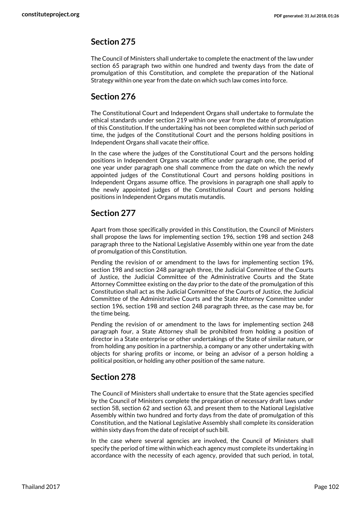### **Section 275**

The Council of Ministers shall undertake to complete the enactment of the law under section 65 paragraph two within one hundred and twenty days from the date of promulgation of this Constitution, and complete the preparation of the National Strategy within one year from the date on which such law comes into force.

### **Section 276**

The Constitutional Court and Independent Organs shall undertake to formulate the ethical standards under section 219 within one year from the date of promulgation of this Constitution. If the undertaking has not been completed within such period of time, the judges of the Constitutional Court and the persons holding positions in Independent Organs shall vacate their office.

In the case where the judges of the Constitutional Court and the persons holding positions in Independent Organs vacate office under paragraph one, the period of one year under paragraph one shall commence from the date on which the newly appointed judges of the Constitutional Court and persons holding positions in Independent Organs assume office. The provisions in paragraph one shall apply to the newly appointed judges of the Constitutional Court and persons holding positions in Independent Organs mutatis mutandis.

## **Section 277**

Apart from those specifically provided in this Constitution, the Council of Ministers shall propose the laws for implementing section 196, section 198 and section 248 paragraph three to the National Legislative Assembly within one year from the date of promulgation of this Constitution.

Pending the revision of or amendment to the laws for implementing section 196, section 198 and section 248 paragraph three, the Judicial Committee of the Courts of Justice, the Judicial Committee of the Administrative Courts and the State Attorney Committee existing on the day prior to the date of the promulgation of this Constitution shall act as the Judicial Committee of the Courts of Justice, the Judicial Committee of the Administrative Courts and the State Attorney Committee under section 196, section 198 and section 248 paragraph three, as the case may be, for the time being.

Pending the revision of or amendment to the laws for implementing section 248 paragraph four, a State Attorney shall be prohibited from holding a position of director in a State enterprise or other undertakings of the State of similar nature, or from holding any position in a partnership, a company or any other undertaking with objects for sharing profits or income, or being an advisor of a person holding a political position, or holding any other position of the same nature.

### **Section 278**

The Council of Ministers shall undertake to ensure that the State agencies specified by the Council of Ministers complete the preparation of necessary draft laws under section 58, section 62 and section 63, and present them to the National Legislative Assembly within two hundred and forty days from the date of promulgation of this Constitution, and the National Legislative Assembly shall complete its consideration within sixty days from the date of receipt of such bill.

In the case where several agencies are involved, the Council of Ministers shall specify the period of time within which each agency must complete its undertaking in accordance with the necessity of each agency, provided that such period, in total,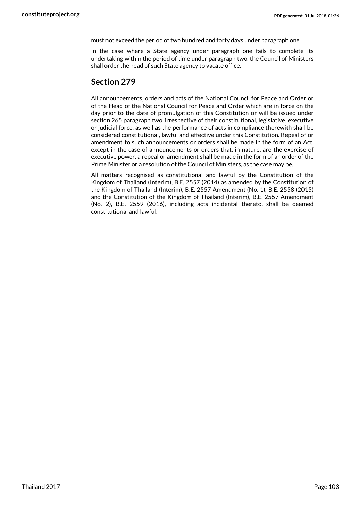must not exceed the period of two hundred and forty days under paragraph one.

In the case where a State agency under paragraph one fails to complete its undertaking within the period of time under paragraph two, the Council of Ministers shall order the head of such State agency to vacate office.

### **Section 279**

All announcements, orders and acts of the National Council for Peace and Order or of the Head of the National Council for Peace and Order which are in force on the day prior to the date of promulgation of this Constitution or will be issued under section 265 paragraph two, irrespective of their constitutional, legislative, executive or judicial force, as well as the performance of acts in compliance therewith shall be considered constitutional, lawful and effective under this Constitution. Repeal of or amendment to such announcements or orders shall be made in the form of an Act, except in the case of announcements or orders that, in nature, are the exercise of executive power, a repeal or amendment shall be made in the form of an order of the Prime Minister or a resolution of the Council of Ministers, as the case may be.

All matters recognised as constitutional and lawful by the Constitution of the Kingdom of Thailand (Interim), B.E. 2557 (2014) as amended by the Constitution of the Kingdom of Thailand (Interim), B.E. 2557 Amendment (No. 1), B.E. 2558 (2015) and the Constitution of the Kingdom of Thailand (Interim), B.E. 2557 Amendment (No. 2), B.E. 2559 (2016), including acts incidental thereto, shall be deemed constitutional and lawful.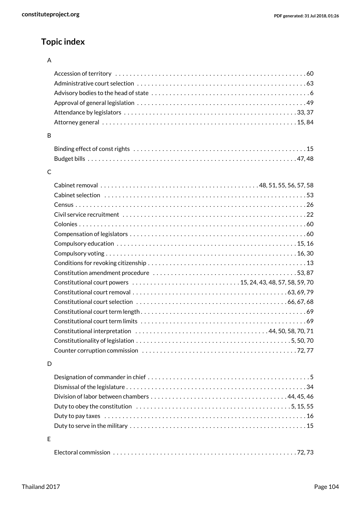# **Topic index**

### A

| B |                                                                                                                |
|---|----------------------------------------------------------------------------------------------------------------|
|   |                                                                                                                |
|   |                                                                                                                |
| C |                                                                                                                |
|   |                                                                                                                |
|   |                                                                                                                |
|   |                                                                                                                |
|   |                                                                                                                |
|   |                                                                                                                |
|   |                                                                                                                |
|   |                                                                                                                |
|   |                                                                                                                |
|   |                                                                                                                |
|   |                                                                                                                |
|   |                                                                                                                |
|   |                                                                                                                |
|   |                                                                                                                |
|   |                                                                                                                |
|   |                                                                                                                |
|   |                                                                                                                |
|   |                                                                                                                |
|   |                                                                                                                |
| D |                                                                                                                |
|   |                                                                                                                |
|   |                                                                                                                |
|   |                                                                                                                |
|   |                                                                                                                |
|   | Duty to pay taxes experience in the control of the control of the control of the control of the control of the |
|   |                                                                                                                |
|   |                                                                                                                |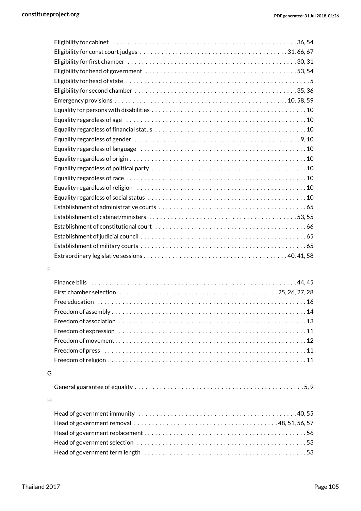| Equality regardless of gender $\dots\dots\dots\dots\dots\dots\dots\dots\dots\dots\dots\dots\dots\dots$ |  |
|--------------------------------------------------------------------------------------------------------|--|
|                                                                                                        |  |
|                                                                                                        |  |
|                                                                                                        |  |
|                                                                                                        |  |
|                                                                                                        |  |
|                                                                                                        |  |
|                                                                                                        |  |
|                                                                                                        |  |
|                                                                                                        |  |
|                                                                                                        |  |
|                                                                                                        |  |
|                                                                                                        |  |
|                                                                                                        |  |

### F

| G |  |
|---|--|
|   |  |
| H |  |
|   |  |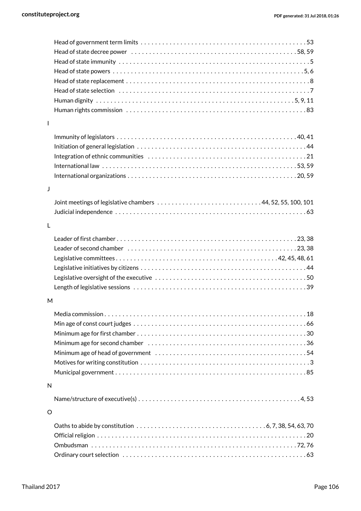|   | Human dignity $\dots\dots\dots\dots\dots\dots\dots\dots\dots\dots\dots\dots\dots\dots\dots\dots\dots\dots$                           |
|---|--------------------------------------------------------------------------------------------------------------------------------------|
|   |                                                                                                                                      |
| I |                                                                                                                                      |
|   |                                                                                                                                      |
|   |                                                                                                                                      |
|   |                                                                                                                                      |
|   |                                                                                                                                      |
|   |                                                                                                                                      |
| J |                                                                                                                                      |
|   | Joint meetings of legislative chambers 44,52,55,100,101                                                                              |
|   |                                                                                                                                      |
| L |                                                                                                                                      |
|   |                                                                                                                                      |
|   |                                                                                                                                      |
|   |                                                                                                                                      |
|   |                                                                                                                                      |
|   |                                                                                                                                      |
|   |                                                                                                                                      |
| М |                                                                                                                                      |
|   |                                                                                                                                      |
|   |                                                                                                                                      |
|   |                                                                                                                                      |
|   |                                                                                                                                      |
|   |                                                                                                                                      |
|   |                                                                                                                                      |
|   |                                                                                                                                      |
| N |                                                                                                                                      |
|   |                                                                                                                                      |
|   | Name/structure of executive(s) $\dots\dots\dots\dots\dots\dots\dots\dots\dots\dots\dots\dots\dots\dots\dots$                         |
| O |                                                                                                                                      |
|   | Oaths to abide by constitution $\ldots \ldots \ldots \ldots \ldots \ldots \ldots \ldots \ldots \ldots \ldots$ . 6, 7, 38, 54, 63, 70 |
|   |                                                                                                                                      |
|   |                                                                                                                                      |
|   |                                                                                                                                      |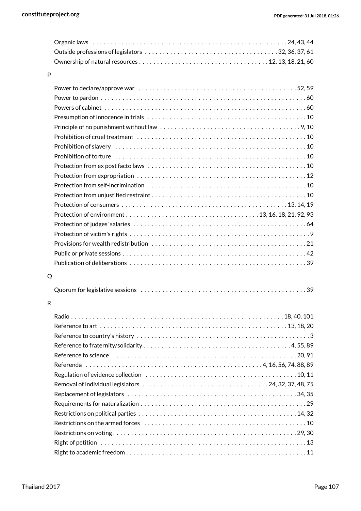### P

| Q |  |
|---|--|
|   |  |

### R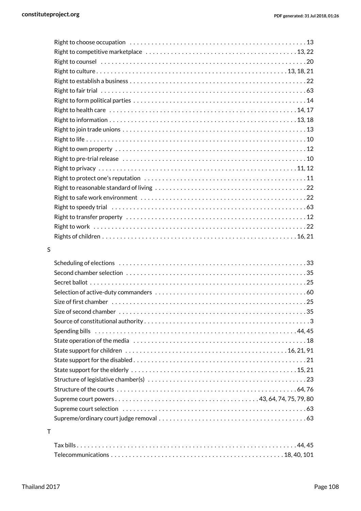### S

### T